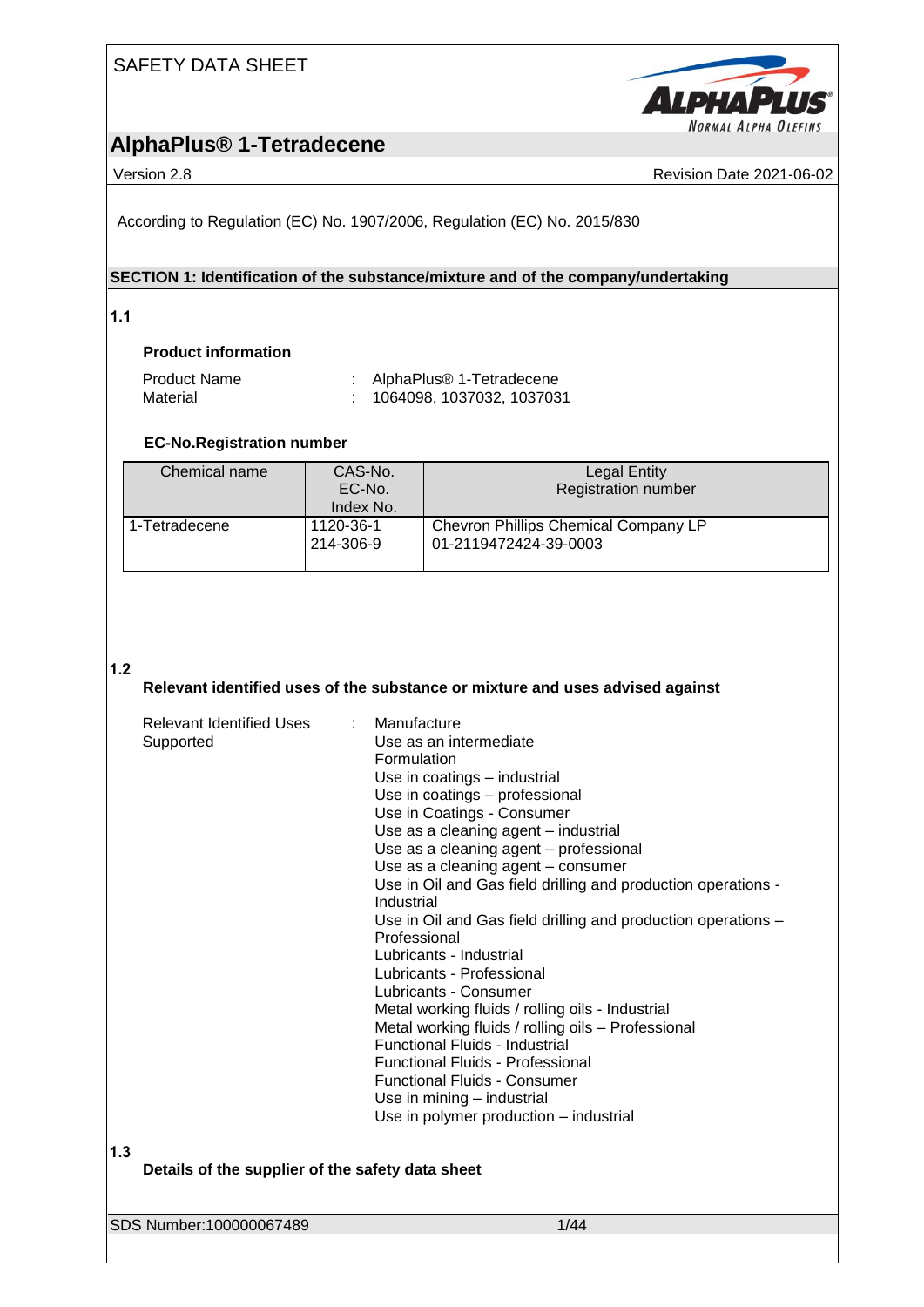

## **AlphaPlus® 1-Tetradecene**

Version 2.8 **Revision Date 2021-06-02** Revision Date 2021-06-02

According to Regulation (EC) No. 1907/2006, Regulation (EC) No. 2015/830

#### **SECTION 1: Identification of the substance/mixture and of the company/undertaking**

**1.1** 

#### **Product information**

| <b>Product Name</b> | AlphaPlus® 1-Tetradecene    |
|---------------------|-----------------------------|
| Material            | : 1064098, 1037032, 1037031 |

### **EC-No.Registration number**

| Chemical name   | CAS-No.<br>EC-No.<br>Index No. | <b>Legal Entity</b><br><b>Registration number</b>             |
|-----------------|--------------------------------|---------------------------------------------------------------|
| l 1-Tetradecene | 1120-36-1<br>214-306-9         | Chevron Phillips Chemical Company LP<br>01-2119472424-39-0003 |

#### **1.2**

#### **Relevant identified uses of the substance or mixture and uses advised against**

| Relevant Identified Uses<br>Supported                   | Manufacture<br>Use as an intermediate<br>Formulation<br>Use in coatings - industrial<br>Use in coatings - professional<br>Use in Coatings - Consumer<br>Use as a cleaning agent - industrial<br>Use as a cleaning agent - professional<br>Use as a cleaning agent - consumer<br>Use in Oil and Gas field drilling and production operations -<br>Industrial<br>Use in Oil and Gas field drilling and production operations -<br>Professional<br>Lubricants - Industrial<br>Lubricants - Professional<br>Lubricants - Consumer<br>Metal working fluids / rolling oils - Industrial<br>Metal working fluids / rolling oils - Professional<br>Functional Fluids - Industrial<br><b>Functional Fluids - Professional</b><br><b>Functional Fluids - Consumer</b><br>Use in mining - industrial<br>Use in polymer production - industrial |
|---------------------------------------------------------|-------------------------------------------------------------------------------------------------------------------------------------------------------------------------------------------------------------------------------------------------------------------------------------------------------------------------------------------------------------------------------------------------------------------------------------------------------------------------------------------------------------------------------------------------------------------------------------------------------------------------------------------------------------------------------------------------------------------------------------------------------------------------------------------------------------------------------------|
| 1.3<br>Details of the supplier of the safety data sheet |                                                                                                                                                                                                                                                                                                                                                                                                                                                                                                                                                                                                                                                                                                                                                                                                                                     |
| SDS Number:100000067489                                 | 1/44                                                                                                                                                                                                                                                                                                                                                                                                                                                                                                                                                                                                                                                                                                                                                                                                                                |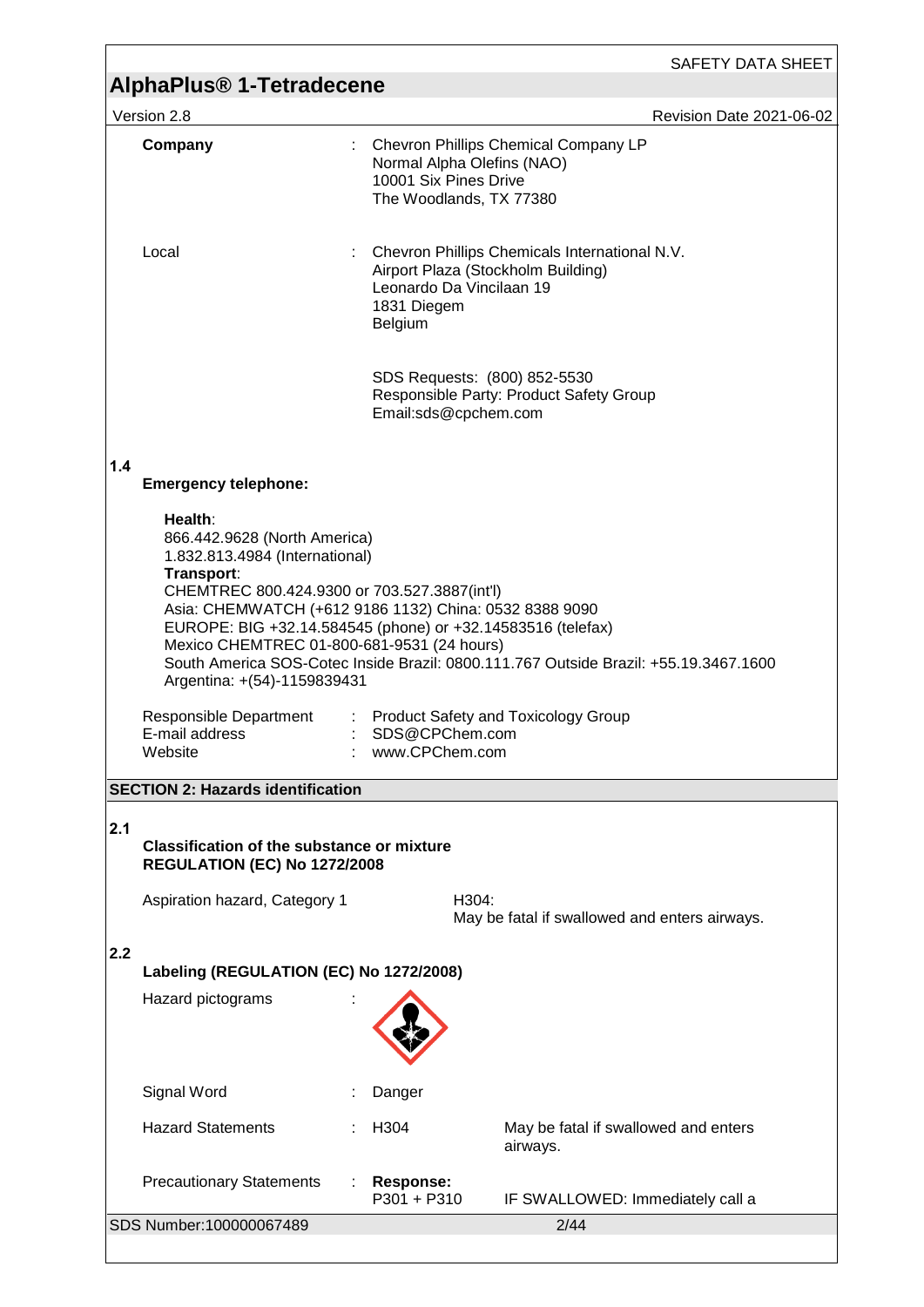|     |                                                                                                                                                                                                                                                                                                                                                                                                      |                                  | SAFETY DATA SHEET                                                                                                             |  |
|-----|------------------------------------------------------------------------------------------------------------------------------------------------------------------------------------------------------------------------------------------------------------------------------------------------------------------------------------------------------------------------------------------------------|----------------------------------|-------------------------------------------------------------------------------------------------------------------------------|--|
|     | AlphaPlus <sup>®</sup> 1-Tetradecene                                                                                                                                                                                                                                                                                                                                                                 |                                  |                                                                                                                               |  |
|     | Version 2.8                                                                                                                                                                                                                                                                                                                                                                                          |                                  | Revision Date 2021-06-02                                                                                                      |  |
|     | Company                                                                                                                                                                                                                                                                                                                                                                                              | 10001 Six Pines Drive            | Chevron Phillips Chemical Company LP<br>Normal Alpha Olefins (NAO)<br>The Woodlands, TX 77380                                 |  |
|     | Local                                                                                                                                                                                                                                                                                                                                                                                                | 1831 Diegem<br>Belgium           | Chevron Phillips Chemicals International N.V.<br>Airport Plaza (Stockholm Building)<br>Leonardo Da Vincilaan 19               |  |
|     |                                                                                                                                                                                                                                                                                                                                                                                                      | Email:sds@cpchem.com             | SDS Requests: (800) 852-5530<br>Responsible Party: Product Safety Group                                                       |  |
| 1.4 | <b>Emergency telephone:</b>                                                                                                                                                                                                                                                                                                                                                                          |                                  |                                                                                                                               |  |
|     | Health:<br>866.442.9628 (North America)<br>1.832.813.4984 (International)<br>Transport:<br>CHEMTREC 800.424.9300 or 703.527.3887(int'l)<br>Asia: CHEMWATCH (+612 9186 1132) China: 0532 8388 9090<br>EUROPE: BIG +32.14.584545 (phone) or +32.14583516 (telefax)<br>Mexico CHEMTREC 01-800-681-9531 (24 hours)<br>Argentina: +(54)-1159839431<br>Responsible Department<br>E-mail address<br>Website | SDS@CPChem.com<br>www.CPChem.com | South America SOS-Cotec Inside Brazil: 0800.111.767 Outside Brazil: +55.19.3467.1600<br>: Product Safety and Toxicology Group |  |
|     | <b>SECTION 2: Hazards identification</b>                                                                                                                                                                                                                                                                                                                                                             |                                  |                                                                                                                               |  |
| 2.1 | <b>Classification of the substance or mixture</b><br><b>REGULATION (EC) No 1272/2008</b>                                                                                                                                                                                                                                                                                                             |                                  |                                                                                                                               |  |
|     | Aspiration hazard, Category 1                                                                                                                                                                                                                                                                                                                                                                        |                                  | H304:<br>May be fatal if swallowed and enters airways.                                                                        |  |
| 2.2 |                                                                                                                                                                                                                                                                                                                                                                                                      |                                  |                                                                                                                               |  |
|     | Labeling (REGULATION (EC) No 1272/2008)<br>Hazard pictograms                                                                                                                                                                                                                                                                                                                                         |                                  |                                                                                                                               |  |
|     |                                                                                                                                                                                                                                                                                                                                                                                                      |                                  |                                                                                                                               |  |
|     | Signal Word                                                                                                                                                                                                                                                                                                                                                                                          | Danger                           |                                                                                                                               |  |
|     | <b>Hazard Statements</b>                                                                                                                                                                                                                                                                                                                                                                             | H304                             | May be fatal if swallowed and enters                                                                                          |  |
|     |                                                                                                                                                                                                                                                                                                                                                                                                      |                                  | airways.                                                                                                                      |  |
|     | <b>Precautionary Statements</b>                                                                                                                                                                                                                                                                                                                                                                      | <b>Response:</b><br>P301 + P310  | IF SWALLOWED: Immediately call a                                                                                              |  |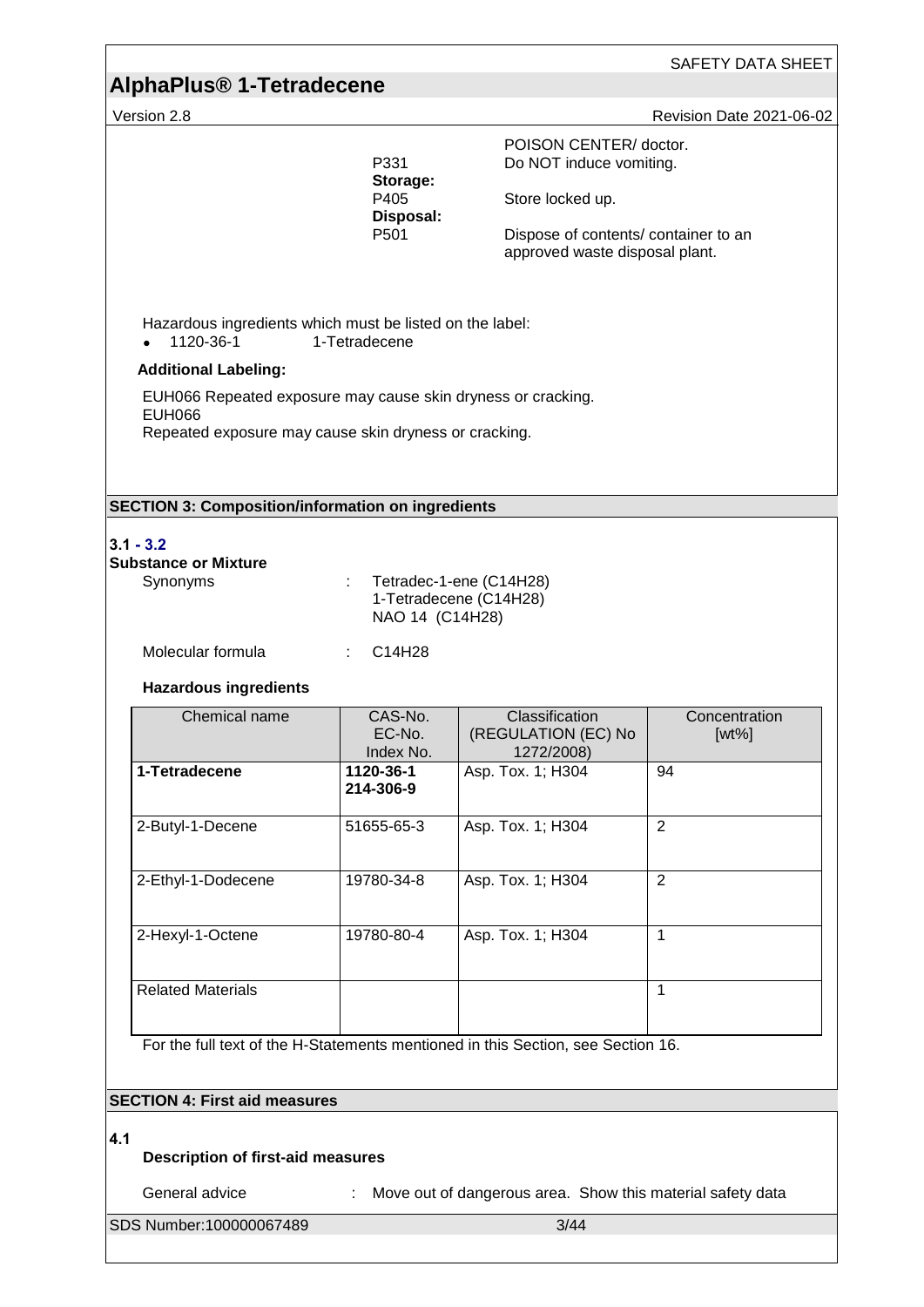# **AlphaPlus® 1-Tetradecene**

| Version 2.8                                                                                                                            |                                                           |                                                                                                                                                 | Revision Date 2021-06-02  |
|----------------------------------------------------------------------------------------------------------------------------------------|-----------------------------------------------------------|-------------------------------------------------------------------------------------------------------------------------------------------------|---------------------------|
|                                                                                                                                        | P331<br>Storage:<br>P405<br>Disposal:<br>P <sub>501</sub> | POISON CENTER/ doctor.<br>Do NOT induce vomiting.<br>Store locked up.<br>Dispose of contents/ container to an<br>approved waste disposal plant. |                           |
| Hazardous ingredients which must be listed on the label:<br>1120-36-1                                                                  | 1-Tetradecene                                             |                                                                                                                                                 |                           |
| <b>Additional Labeling:</b>                                                                                                            |                                                           |                                                                                                                                                 |                           |
| EUH066 Repeated exposure may cause skin dryness or cracking.<br><b>EUH066</b><br>Repeated exposure may cause skin dryness or cracking. |                                                           |                                                                                                                                                 |                           |
| <b>SECTION 3: Composition/information on ingredients</b>                                                                               |                                                           |                                                                                                                                                 |                           |
| $3.1 - 3.2$<br><b>Substance or Mixture</b><br>Synonyms<br>Molecular formula                                                            | ÷<br>NAO 14 (C14H28)<br>C14H28                            | Tetradec-1-ene (C14H28)<br>1-Tetradecene (C14H28)                                                                                               |                           |
| <b>Hazardous ingredients</b>                                                                                                           |                                                           |                                                                                                                                                 |                           |
| Chemical name                                                                                                                          | CAS-No.<br>EC-No.<br>Index No.                            | Classification<br>(REGULATION (EC) No<br>1272/2008)                                                                                             | Concentration<br>$[wt\%]$ |
| 1-Tetradecene                                                                                                                          | 1120-36-1<br>214-306-9                                    | Asp. Tox. 1; H304                                                                                                                               | 94                        |
| 2-Butyl-1-Decene                                                                                                                       | 51655-65-3                                                | Asp. Tox. 1; H304                                                                                                                               | 2                         |
| 2-Ethyl-1-Dodecene                                                                                                                     | 19780-34-8                                                | Asp. Tox. 1; H304                                                                                                                               | $\overline{2}$            |
| 2-Hexyl-1-Octene                                                                                                                       | 19780-80-4                                                | Asp. Tox. 1; H304                                                                                                                               | $\mathbf{1}$              |
| <b>Related Materials</b>                                                                                                               |                                                           |                                                                                                                                                 | $\mathbf{1}$              |
| For the full text of the H-Statements mentioned in this Section, see Section 16.                                                       |                                                           |                                                                                                                                                 |                           |
| <b>SECTION 4: First aid measures</b>                                                                                                   |                                                           |                                                                                                                                                 |                           |
| 4.1                                                                                                                                    |                                                           |                                                                                                                                                 |                           |

#### **Description of first-aid measures**

General advice : Move out of dangerous area. Show this material safety data

SDS Number:100000067489 3/44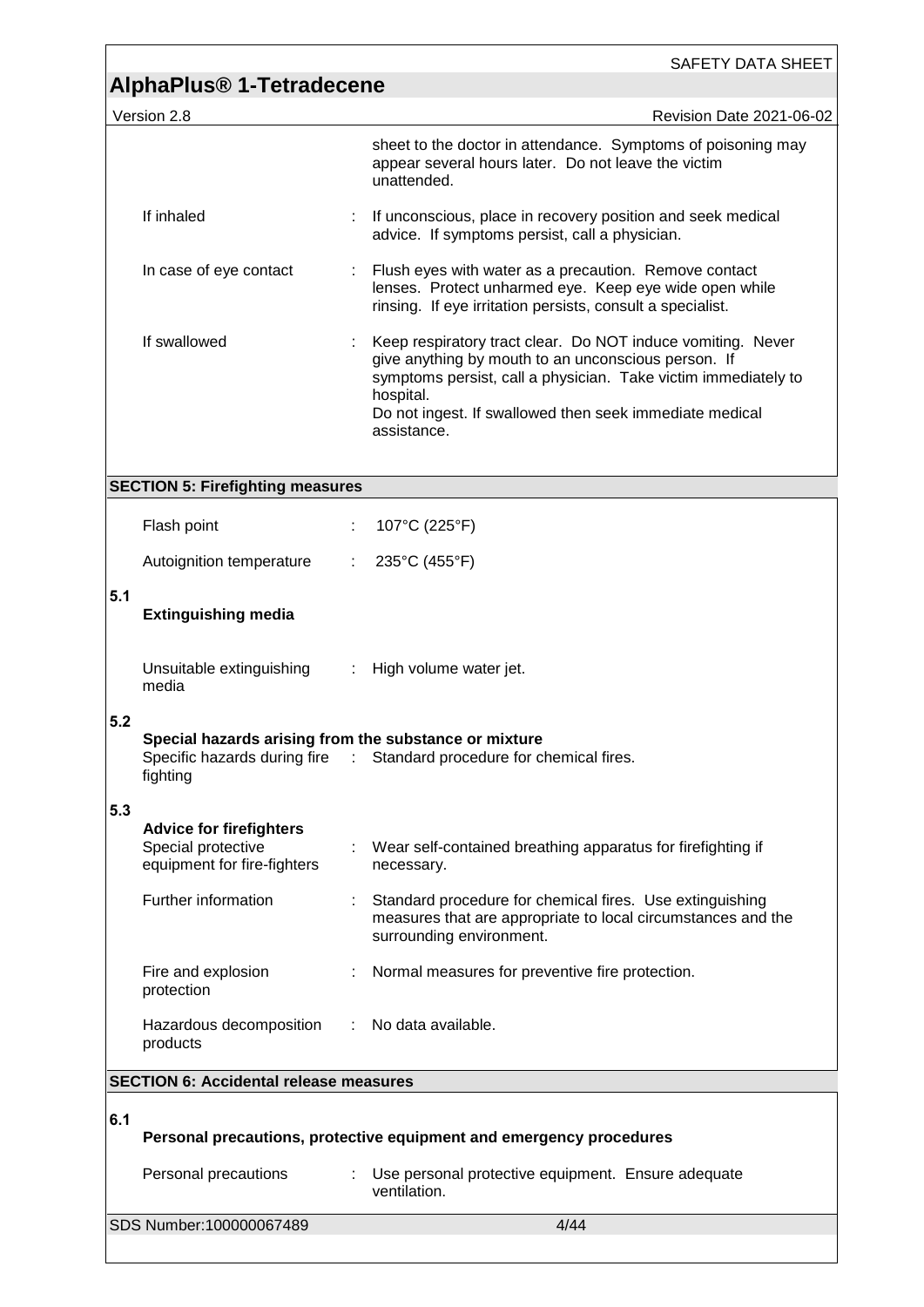|     |                                                                                     |   | SAFETY DATA SHEET                                                                                                                                                                                                                                                           |
|-----|-------------------------------------------------------------------------------------|---|-----------------------------------------------------------------------------------------------------------------------------------------------------------------------------------------------------------------------------------------------------------------------------|
|     | AlphaPlus <sup>®</sup> 1-Tetradecene                                                |   |                                                                                                                                                                                                                                                                             |
|     | Version 2.8                                                                         |   | Revision Date 2021-06-02                                                                                                                                                                                                                                                    |
|     |                                                                                     |   | sheet to the doctor in attendance. Symptoms of poisoning may<br>appear several hours later. Do not leave the victim<br>unattended.                                                                                                                                          |
|     | If inhaled                                                                          |   | If unconscious, place in recovery position and seek medical<br>advice. If symptoms persist, call a physician.                                                                                                                                                               |
|     | In case of eye contact                                                              |   | : Flush eyes with water as a precaution. Remove contact<br>lenses. Protect unharmed eye. Keep eye wide open while<br>rinsing. If eye irritation persists, consult a specialist.                                                                                             |
|     | If swallowed                                                                        |   | Keep respiratory tract clear. Do NOT induce vomiting. Never<br>give anything by mouth to an unconscious person. If<br>symptoms persist, call a physician. Take victim immediately to<br>hospital.<br>Do not ingest. If swallowed then seek immediate medical<br>assistance. |
|     | <b>SECTION 5: Firefighting measures</b>                                             |   |                                                                                                                                                                                                                                                                             |
|     |                                                                                     |   |                                                                                                                                                                                                                                                                             |
|     | Flash point                                                                         | ÷ | 107°C (225°F)                                                                                                                                                                                                                                                               |
|     | Autoignition temperature                                                            | ÷ | 235°C (455°F)                                                                                                                                                                                                                                                               |
| 5.1 | <b>Extinguishing media</b>                                                          |   |                                                                                                                                                                                                                                                                             |
|     | Unsuitable extinguishing<br>media                                                   |   | : High volume water jet.                                                                                                                                                                                                                                                    |
| 5.2 | Special hazards arising from the substance or mixture<br>fighting                   |   | Specific hazards during fire : Standard procedure for chemical fires.                                                                                                                                                                                                       |
| 5.3 | <b>Advice for firefighters</b><br>Special protective<br>equipment for fire-fighters |   | Wear self-contained breathing apparatus for firefighting if<br>necessary.                                                                                                                                                                                                   |
|     | Further information                                                                 |   | Standard procedure for chemical fires. Use extinguishing<br>measures that are appropriate to local circumstances and the<br>surrounding environment.                                                                                                                        |
|     | Fire and explosion<br>protection                                                    | ÷ | Normal measures for preventive fire protection.                                                                                                                                                                                                                             |
|     | Hazardous decomposition<br>products                                                 |   | : No data available.                                                                                                                                                                                                                                                        |
|     | <b>SECTION 6: Accidental release measures</b>                                       |   |                                                                                                                                                                                                                                                                             |
| 6.1 |                                                                                     |   | Personal precautions, protective equipment and emergency procedures                                                                                                                                                                                                         |
|     | Personal precautions                                                                |   | : Use personal protective equipment. Ensure adequate<br>ventilation.                                                                                                                                                                                                        |
|     | SDS Number:100000067489                                                             |   | 4/44                                                                                                                                                                                                                                                                        |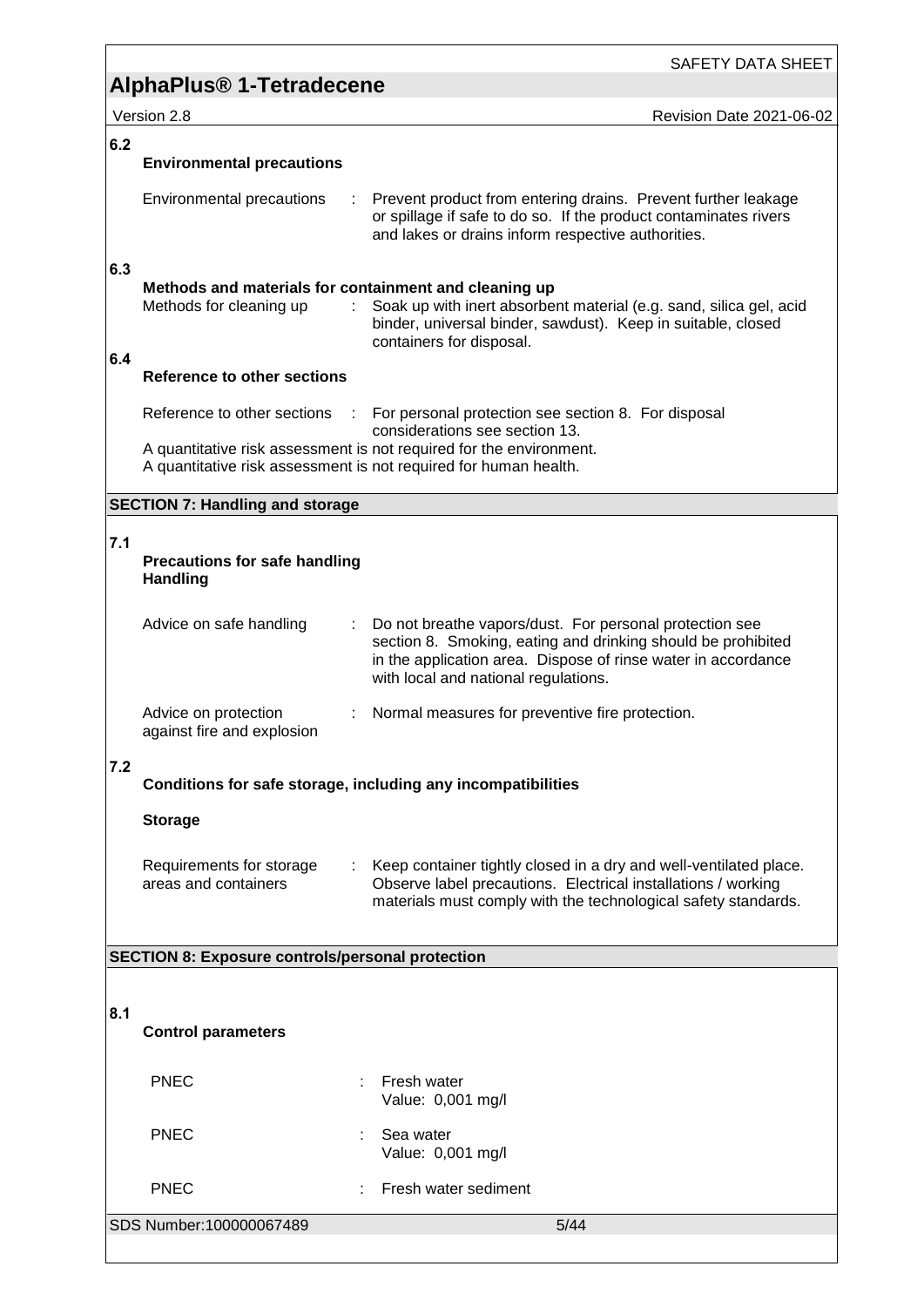Revision Date 2021-06-02

|     |                                                                                  | <b>SAFETY DATA SHE</b>                                                                                                                                                                                                           |
|-----|----------------------------------------------------------------------------------|----------------------------------------------------------------------------------------------------------------------------------------------------------------------------------------------------------------------------------|
|     | <b>AlphaPlus<sup>®</sup> 1-Tetradecene</b>                                       |                                                                                                                                                                                                                                  |
|     | Version 2.8                                                                      | Revision Date 2021-06                                                                                                                                                                                                            |
| 6.2 | <b>Environmental precautions</b>                                                 |                                                                                                                                                                                                                                  |
|     | Environmental precautions                                                        | Prevent product from entering drains. Prevent further leakage<br>or spillage if safe to do so. If the product contaminates rivers<br>and lakes or drains inform respective authorities.                                          |
| 6.3 | Methods and materials for containment and cleaning up<br>Methods for cleaning up | Soak up with inert absorbent material (e.g. sand, silica gel, acid<br>binder, universal binder, sawdust). Keep in suitable, closed<br>containers for disposal.                                                                   |
| 6.4 | Reference to other sections                                                      |                                                                                                                                                                                                                                  |
|     | Reference to other sections                                                      | : For personal protection see section 8. For disposal<br>considerations see section 13.                                                                                                                                          |
|     |                                                                                  | A quantitative risk assessment is not required for the environment.<br>A quantitative risk assessment is not required for human health.                                                                                          |
|     | <b>SECTION 7: Handling and storage</b>                                           |                                                                                                                                                                                                                                  |
| 7.1 | <b>Precautions for safe handling</b><br><b>Handling</b>                          |                                                                                                                                                                                                                                  |
|     | Advice on safe handling                                                          | Do not breathe vapors/dust. For personal protection see<br>section 8. Smoking, eating and drinking should be prohibited<br>in the application area. Dispose of rinse water in accordance<br>with local and national regulations. |
|     | Advice on protection<br>against fire and explosion                               | Normal measures for preventive fire protection.                                                                                                                                                                                  |
| 7.2 |                                                                                  | Conditions for safe storage, including any incompatibilities                                                                                                                                                                     |
|     | <b>Storage</b>                                                                   |                                                                                                                                                                                                                                  |
|     | Requirements for storage<br>areas and containers                                 | Keep container tightly closed in a dry and well-ventilated place.<br>Observe label precautions. Electrical installations / working<br>materials must comply with the technological safety standards.                             |
|     | <b>SECTION 8: Exposure controls/personal protection</b>                          |                                                                                                                                                                                                                                  |
|     |                                                                                  |                                                                                                                                                                                                                                  |
| 8.1 | <b>Control parameters</b>                                                        |                                                                                                                                                                                                                                  |

| ا : 6<br><b>Control parameters</b> |                                       |  |
|------------------------------------|---------------------------------------|--|
| <b>PNEC</b>                        | Fresh water<br>÷<br>Value: 0,001 mg/l |  |
| <b>PNEC</b>                        | Sea water<br>÷<br>Value: 0,001 mg/l   |  |
| <b>PNEC</b>                        | Fresh water sediment<br>÷             |  |
| SDS Number:100000067489            | $5/44$                                |  |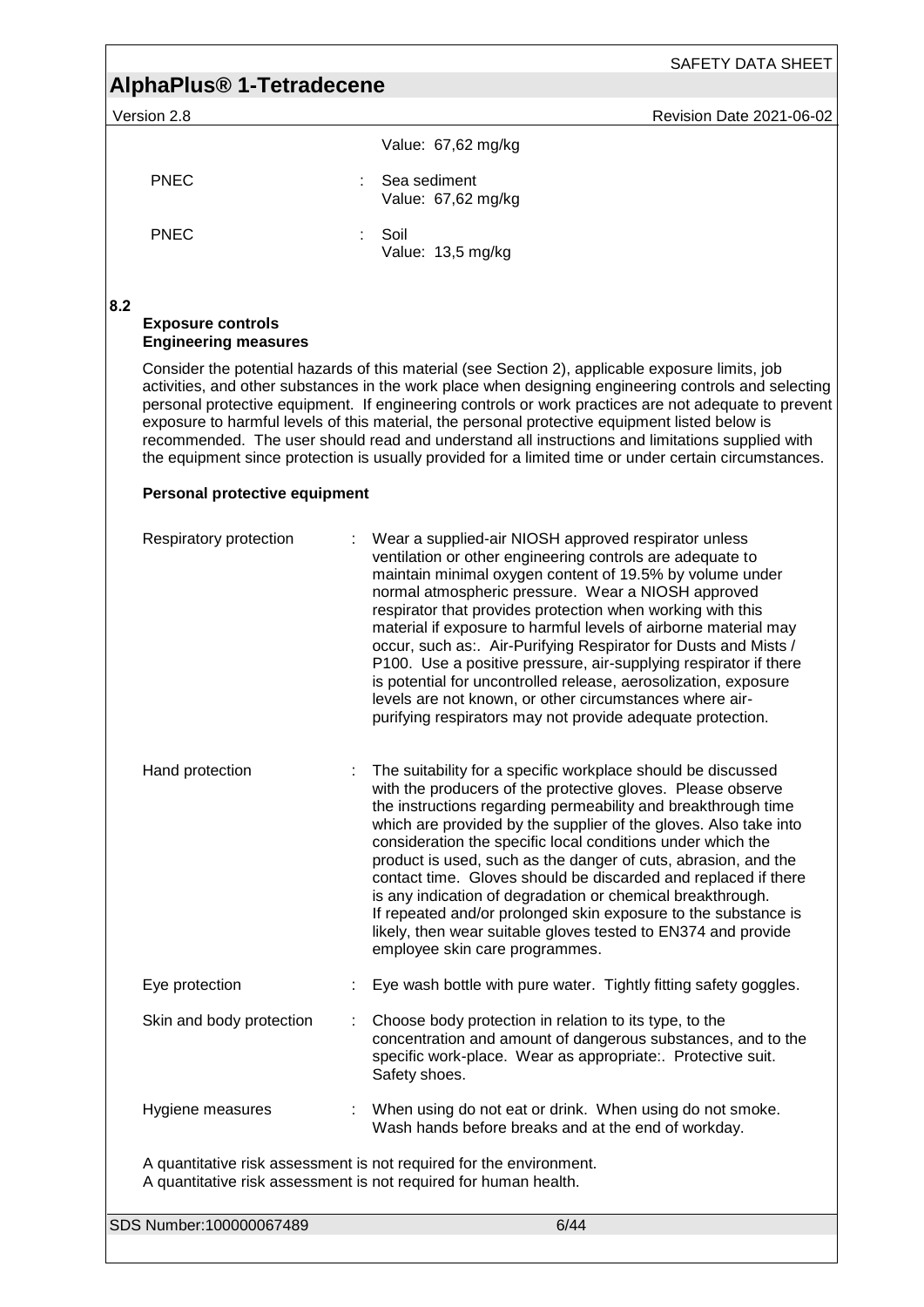# **AlphaPlus® 1-Tetradecene**

Version 2.8 **Revision Date 2021-06-02** 

|             | Value: 67,62 mg/kg                 |
|-------------|------------------------------------|
| <b>PNEC</b> | Sea sediment<br>Value: 67,62 mg/kg |
| <b>PNEC</b> | Soil<br>Value: 13,5 mg/kg          |

**8.2** 

#### **Exposure controls Engineering measures**

Consider the potential hazards of this material (see Section 2), applicable exposure limits, job activities, and other substances in the work place when designing engineering controls and selecting personal protective equipment. If engineering controls or work practices are not adequate to prevent exposure to harmful levels of this material, the personal protective equipment listed below is recommended. The user should read and understand all instructions and limitations supplied with the equipment since protection is usually provided for a limited time or under certain circumstances.

#### **Personal protective equipment**

| Respiratory protection   | Wear a supplied-air NIOSH approved respirator unless<br>ventilation or other engineering controls are adequate to<br>maintain minimal oxygen content of 19.5% by volume under<br>normal atmospheric pressure. Wear a NIOSH approved<br>respirator that provides protection when working with this<br>material if exposure to harmful levels of airborne material may<br>occur, such as:. Air-Purifying Respirator for Dusts and Mists /<br>P100. Use a positive pressure, air-supplying respirator if there<br>is potential for uncontrolled release, aerosolization, exposure<br>levels are not known, or other circumstances where air-<br>purifying respirators may not provide adequate protection. |
|--------------------------|---------------------------------------------------------------------------------------------------------------------------------------------------------------------------------------------------------------------------------------------------------------------------------------------------------------------------------------------------------------------------------------------------------------------------------------------------------------------------------------------------------------------------------------------------------------------------------------------------------------------------------------------------------------------------------------------------------|
| Hand protection          | The suitability for a specific workplace should be discussed<br>with the producers of the protective gloves. Please observe<br>the instructions regarding permeability and breakthrough time<br>which are provided by the supplier of the gloves. Also take into<br>consideration the specific local conditions under which the<br>product is used, such as the danger of cuts, abrasion, and the<br>contact time. Gloves should be discarded and replaced if there<br>is any indication of degradation or chemical breakthrough.<br>If repeated and/or prolonged skin exposure to the substance is<br>likely, then wear suitable gloves tested to EN374 and provide<br>employee skin care programmes.  |
| Eye protection           | Eye wash bottle with pure water. Tightly fitting safety goggles.                                                                                                                                                                                                                                                                                                                                                                                                                                                                                                                                                                                                                                        |
| Skin and body protection | Choose body protection in relation to its type, to the<br>concentration and amount of dangerous substances, and to the<br>specific work-place. Wear as appropriate:. Protective suit.<br>Safety shoes.                                                                                                                                                                                                                                                                                                                                                                                                                                                                                                  |
| Hygiene measures         | When using do not eat or drink. When using do not smoke.<br>Wash hands before breaks and at the end of workday.                                                                                                                                                                                                                                                                                                                                                                                                                                                                                                                                                                                         |
|                          | A quantitative risk assessment is not required for the environment.<br>A quantitative risk assessment is not required for human health.                                                                                                                                                                                                                                                                                                                                                                                                                                                                                                                                                                 |
| SDS Number:100000067489  | 6/44                                                                                                                                                                                                                                                                                                                                                                                                                                                                                                                                                                                                                                                                                                    |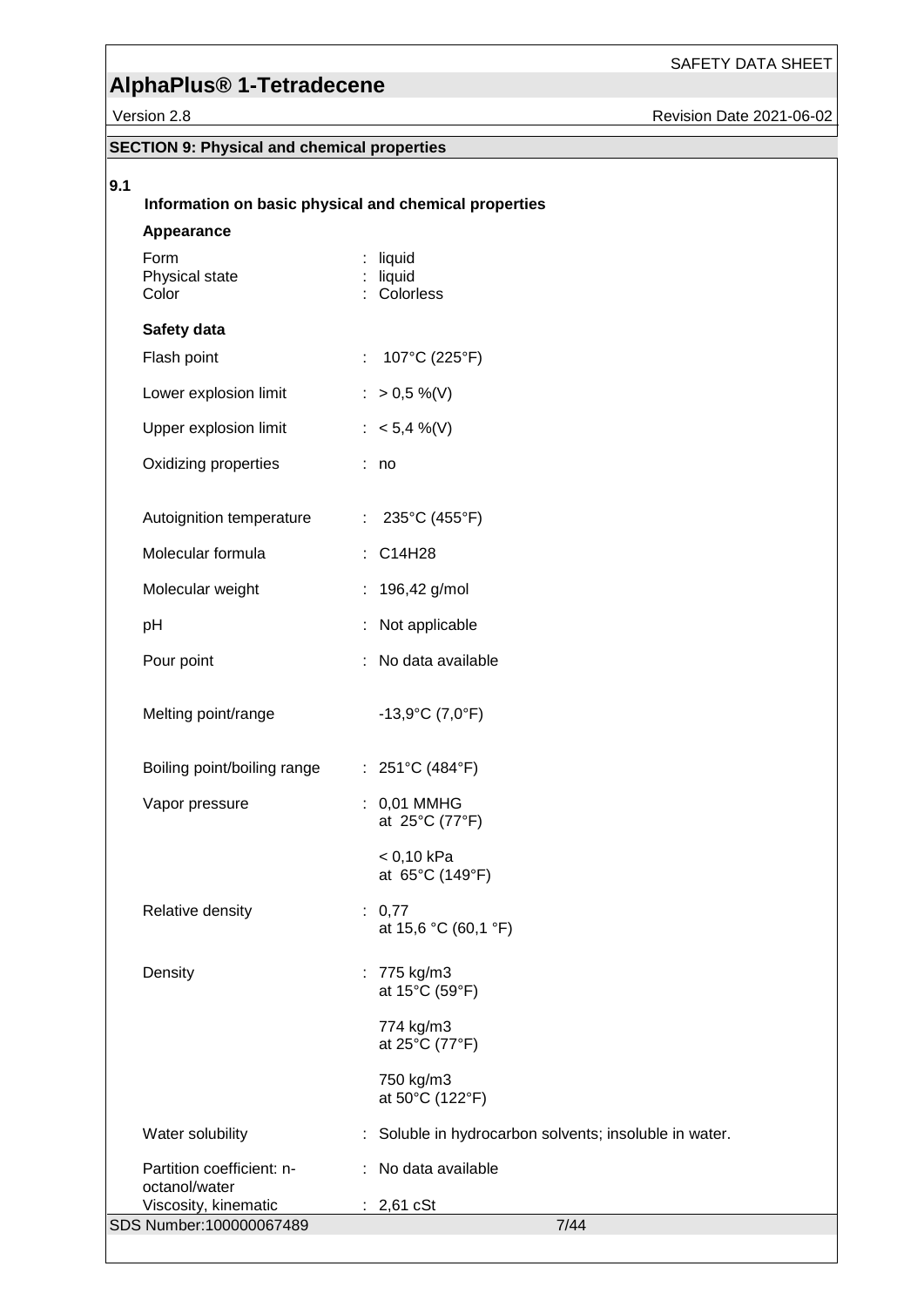# **AlphaPlus® 1-Tetradecene**

vision Date 2021-06-02

|     | Version 2.8                                        |                                                       | Revision Da |
|-----|----------------------------------------------------|-------------------------------------------------------|-------------|
|     | <b>SECTION 9: Physical and chemical properties</b> |                                                       |             |
| 9.1 |                                                    | Information on basic physical and chemical properties |             |
|     | Appearance<br>Form                                 | liquid                                                |             |
|     | Physical state<br>Color                            | : liquid<br>: Colorless                               |             |
|     | Safety data                                        |                                                       |             |
|     | Flash point                                        | 107°C (225°F)<br>÷.                                   |             |
|     | Lower explosion limit                              | : $> 0.5 \%$ (V)                                      |             |
|     | Upper explosion limit                              | : $< 5,4$ %(V)                                        |             |
|     | Oxidizing properties                               | : no                                                  |             |
|     | Autoignition temperature                           | : $235^{\circ}C(455^{\circ}F)$                        |             |
|     | Molecular formula                                  | : C14H28                                              |             |
|     | Molecular weight                                   | 196,42 g/mol                                          |             |
|     | pH                                                 | Not applicable<br>÷.                                  |             |
|     | Pour point                                         | No data available<br>÷                                |             |
|     | Melting point/range                                | $-13,9^{\circ}C(7,0^{\circ}F)$                        |             |
|     | Boiling point/boiling range : 251°C (484°F)        |                                                       |             |
|     | Vapor pressure                                     | : 0,01 MMHG<br>at 25°C (77°F)                         |             |
|     |                                                    | < 0,10 kPa<br>at 65°C (149°F)                         |             |
|     | Relative density                                   | : 0,77<br>at 15,6 °C (60,1 °F)                        |             |
|     | Density                                            | : 775 kg/m3<br>at 15°C (59°F)                         |             |
|     |                                                    | 774 kg/m3<br>at 25°C (77°F)                           |             |
|     |                                                    | 750 kg/m3<br>at 50°C (122°F)                          |             |
|     | Water solubility                                   | Soluble in hydrocarbon solvents; insoluble in water.  |             |
|     | Partition coefficient: n-<br>octanol/water         | : No data available                                   |             |

SDS Number:100000067489 7/44

Viscosity, kinematic : 2,61 cSt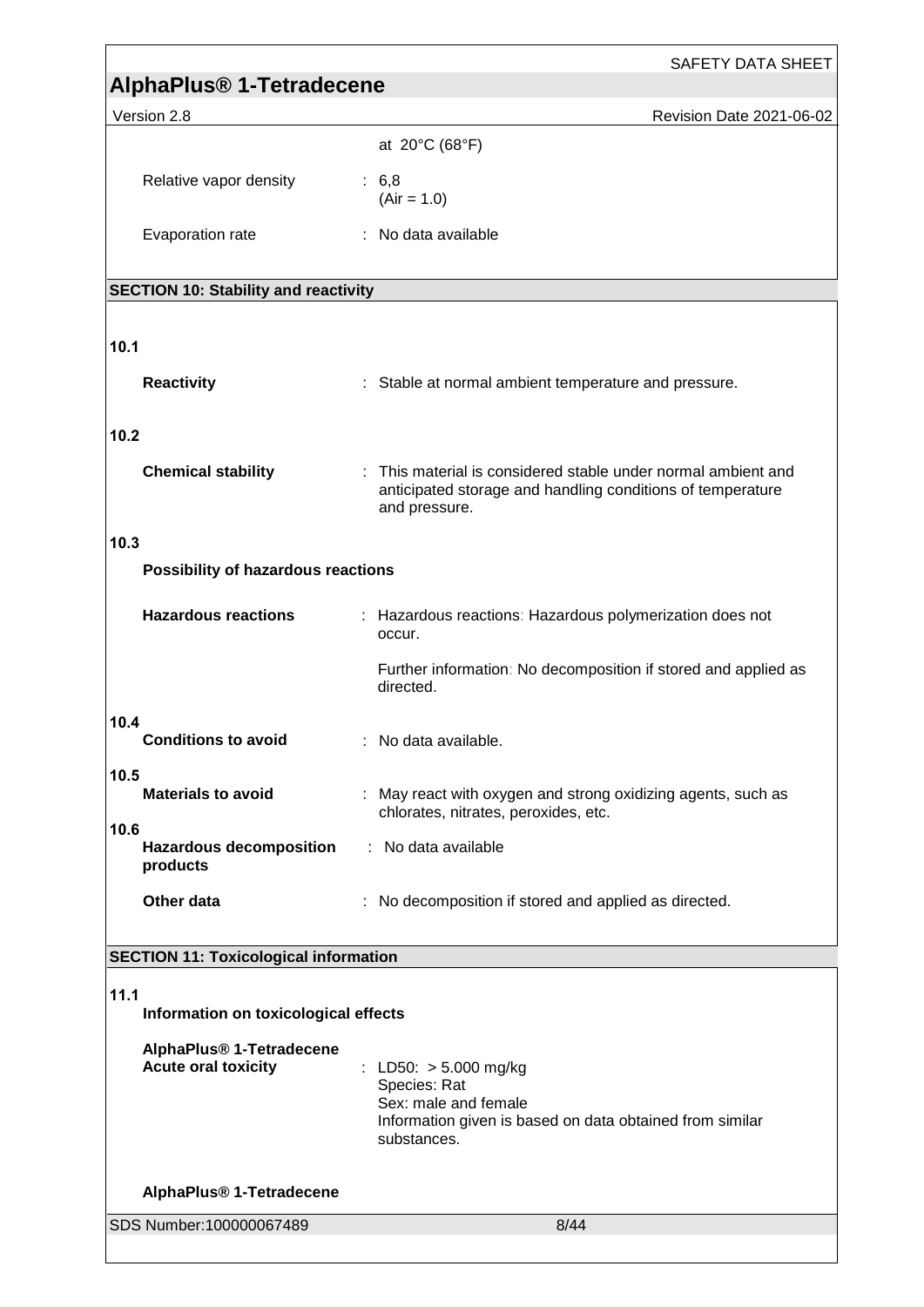|                                                                    | <b>SAFETY DATA SHEET</b>                                                                                                                     |
|--------------------------------------------------------------------|----------------------------------------------------------------------------------------------------------------------------------------------|
| AlphaPlus <sup>®</sup> 1-Tetradecene                               |                                                                                                                                              |
| Version 2.8                                                        | Revision Date 2021-06-02                                                                                                                     |
|                                                                    | at 20°C (68°F)                                                                                                                               |
| Relative vapor density                                             | : 6, 8<br>$(Air = 1.0)$                                                                                                                      |
| Evaporation rate                                                   | : No data available                                                                                                                          |
| <b>SECTION 10: Stability and reactivity</b>                        |                                                                                                                                              |
|                                                                    |                                                                                                                                              |
| 10.1                                                               |                                                                                                                                              |
| <b>Reactivity</b>                                                  | : Stable at normal ambient temperature and pressure.                                                                                         |
| 10.2                                                               |                                                                                                                                              |
| <b>Chemical stability</b>                                          | : This material is considered stable under normal ambient and<br>anticipated storage and handling conditions of temperature<br>and pressure. |
| 10.3                                                               |                                                                                                                                              |
| Possibility of hazardous reactions                                 |                                                                                                                                              |
| <b>Hazardous reactions</b>                                         | : Hazardous reactions: Hazardous polymerization does not<br>occur.                                                                           |
|                                                                    | Further information: No decomposition if stored and applied as<br>directed.                                                                  |
| 10.4<br><b>Conditions to avoid</b>                                 | No data available.                                                                                                                           |
| 10.5<br><b>Materials to avoid</b>                                  | : May react with oxygen and strong oxidizing agents, such as<br>chlorates, nitrates, peroxides, etc.                                         |
| 10.6<br><b>Hazardous decomposition</b><br>products                 | : No data available                                                                                                                          |
| Other data                                                         | No decomposition if stored and applied as directed.                                                                                          |
| <b>SECTION 11: Toxicological information</b>                       |                                                                                                                                              |
|                                                                    |                                                                                                                                              |
| 11.1<br>Information on toxicological effects                       |                                                                                                                                              |
| AlphaPlus <sup>®</sup> 1-Tetradecene<br><b>Acute oral toxicity</b> | : LD50: $> 5.000$ mg/kg<br>Species: Rat<br>Sex: male and female<br>Information given is based on data obtained from similar<br>substances.   |
| AlphaPlus <sup>®</sup> 1-Tetradecene                               |                                                                                                                                              |
| SDS Number:100000067489                                            | 8/44                                                                                                                                         |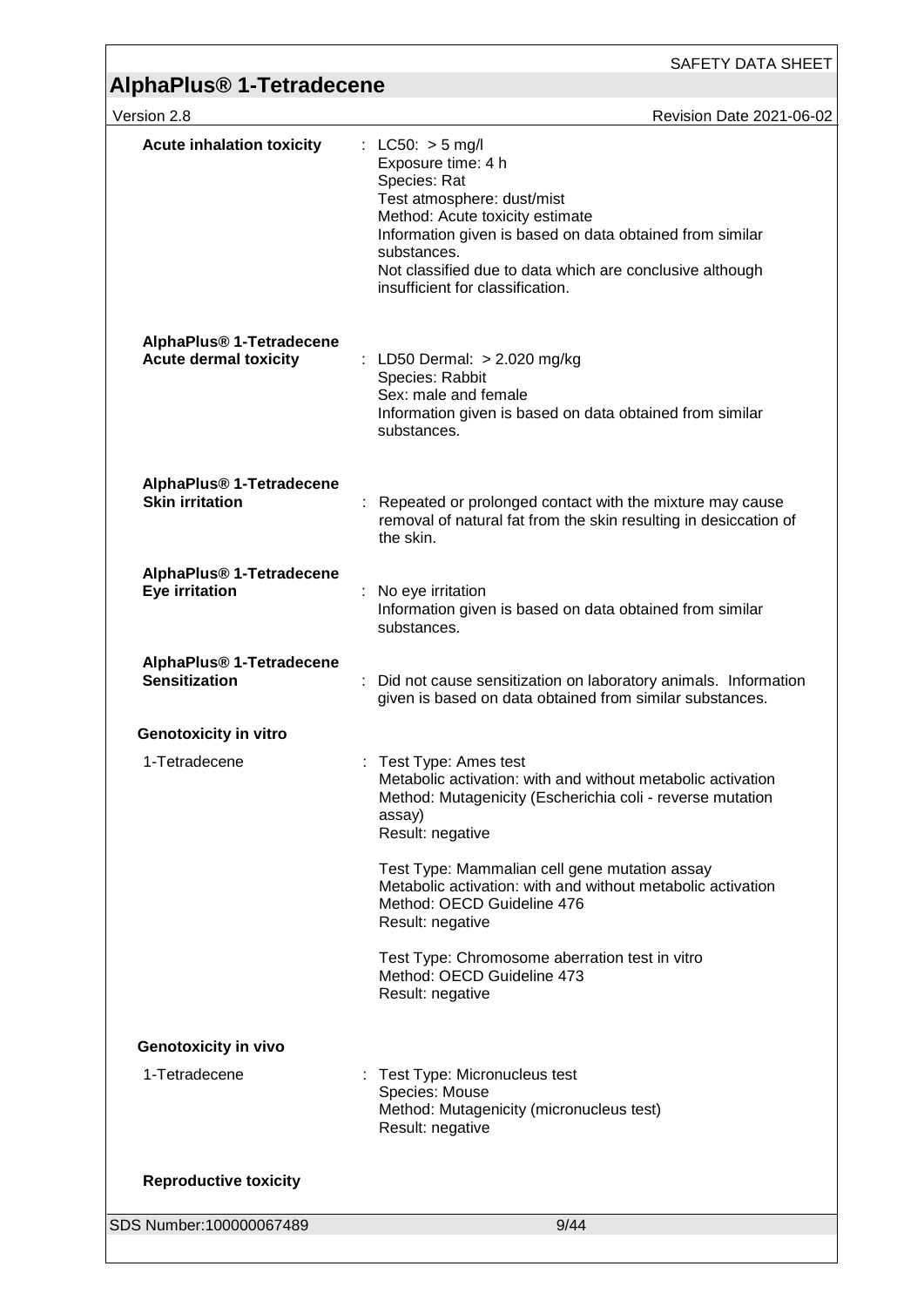| Version 2.8                                                          | Revision Date 2021-06-02                                                                                                                                                                                                                                                                             |
|----------------------------------------------------------------------|------------------------------------------------------------------------------------------------------------------------------------------------------------------------------------------------------------------------------------------------------------------------------------------------------|
| <b>Acute inhalation toxicity</b>                                     | : $LC50: > 5$ mg/l<br>Exposure time: 4 h<br>Species: Rat<br>Test atmosphere: dust/mist<br>Method: Acute toxicity estimate<br>Information given is based on data obtained from similar<br>substances.<br>Not classified due to data which are conclusive although<br>insufficient for classification. |
| AlphaPlus <sup>®</sup> 1-Tetradecene<br><b>Acute dermal toxicity</b> | : LD50 Dermal: > 2.020 mg/kg<br>Species: Rabbit<br>Sex: male and female<br>Information given is based on data obtained from similar<br>substances.                                                                                                                                                   |
| AlphaPlus® 1-Tetradecene<br><b>Skin irritation</b>                   | Repeated or prolonged contact with the mixture may cause<br>removal of natural fat from the skin resulting in desiccation of<br>the skin.                                                                                                                                                            |
| AlphaPlus <sup>®</sup> 1-Tetradecene<br>Eye irritation               | No eye irritation<br>Information given is based on data obtained from similar<br>substances.                                                                                                                                                                                                         |
| AlphaPlus <sup>®</sup> 1-Tetradecene<br><b>Sensitization</b>         | Did not cause sensitization on laboratory animals. Information<br>given is based on data obtained from similar substances.                                                                                                                                                                           |
| <b>Genotoxicity in vitro</b>                                         |                                                                                                                                                                                                                                                                                                      |
| 1-Tetradecene                                                        | Test Type: Ames test<br>Metabolic activation: with and without metabolic activation<br>Method: Mutagenicity (Escherichia coli - reverse mutation<br>assay)<br>Result: negative                                                                                                                       |
|                                                                      | Test Type: Mammalian cell gene mutation assay<br>Metabolic activation: with and without metabolic activation<br>Method: OECD Guideline 476<br>Result: negative                                                                                                                                       |
|                                                                      | Test Type: Chromosome aberration test in vitro<br>Method: OECD Guideline 473<br>Result: negative                                                                                                                                                                                                     |
| <b>Genotoxicity in vivo</b>                                          |                                                                                                                                                                                                                                                                                                      |
| 1-Tetradecene                                                        | : Test Type: Micronucleus test<br>Species: Mouse<br>Method: Mutagenicity (micronucleus test)<br>Result: negative                                                                                                                                                                                     |
| <b>Reproductive toxicity</b>                                         |                                                                                                                                                                                                                                                                                                      |
| SDS Number:100000067489                                              | 9/44                                                                                                                                                                                                                                                                                                 |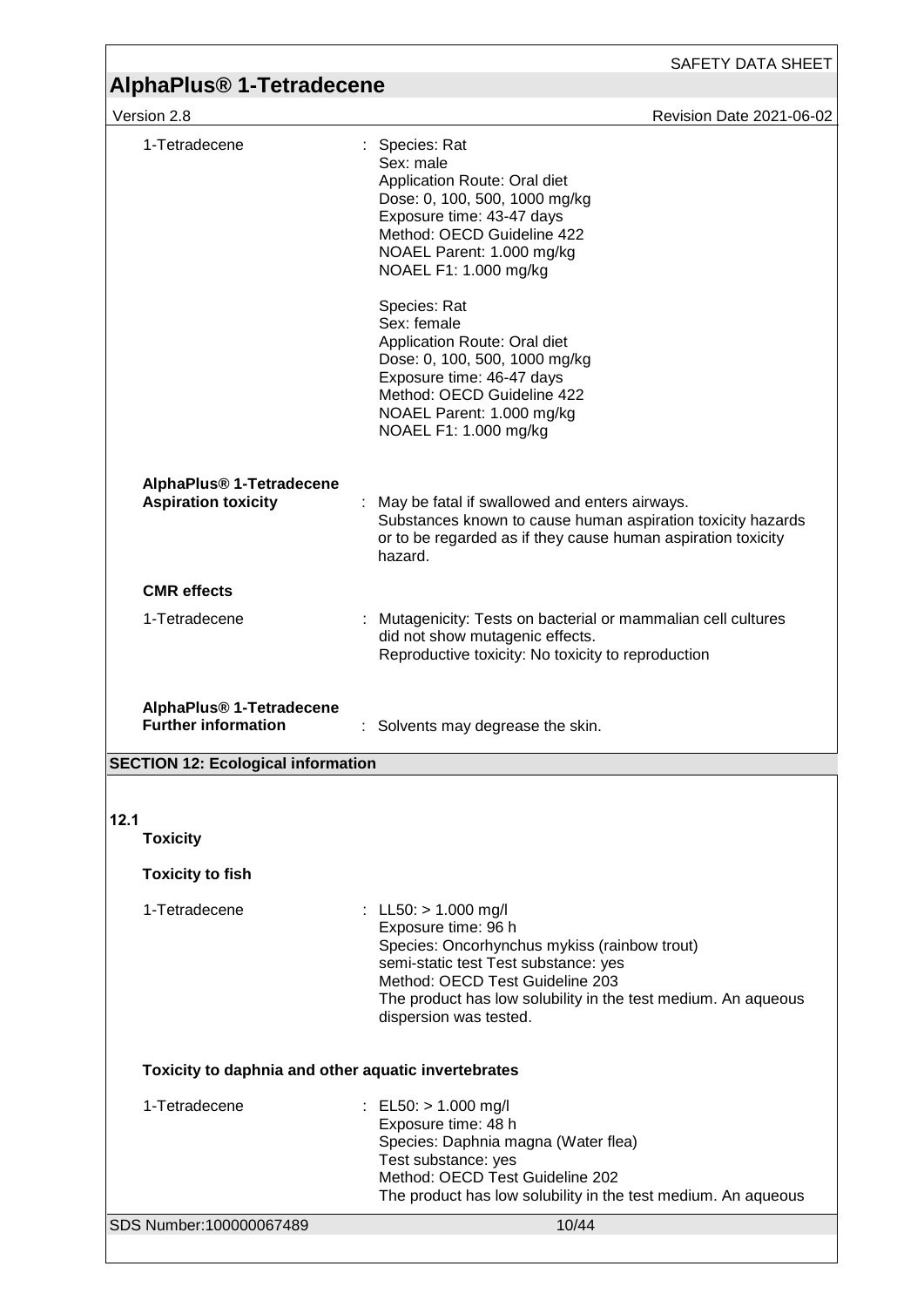$\sqrt{\frac{1}{2} \times 8}$  Revision Date 2021-06-02

| 1-Tetradecene                                                      | Species: Rat<br>Sex: male<br>Application Route: Oral diet<br>Dose: 0, 100, 500, 1000 mg/kg<br>Exposure time: 43-47 days<br>Method: OECD Guideline 422<br>NOAEL Parent: 1.000 mg/kg<br>NOAEL F1: 1.000 mg/kg<br>Species: Rat<br>Sex: female<br>Application Route: Oral diet<br>Dose: 0, 100, 500, 1000 mg/kg<br>Exposure time: 46-47 days<br>Method: OECD Guideline 422 |
|--------------------------------------------------------------------|------------------------------------------------------------------------------------------------------------------------------------------------------------------------------------------------------------------------------------------------------------------------------------------------------------------------------------------------------------------------|
|                                                                    | NOAEL Parent: 1.000 mg/kg<br>NOAEL F1: 1.000 mg/kg                                                                                                                                                                                                                                                                                                                     |
| AlphaPlus <sup>®</sup> 1-Tetradecene<br><b>Aspiration toxicity</b> | : May be fatal if swallowed and enters airways.<br>Substances known to cause human aspiration toxicity hazards<br>or to be regarded as if they cause human aspiration toxicity<br>hazard.                                                                                                                                                                              |
| <b>CMR</b> effects                                                 |                                                                                                                                                                                                                                                                                                                                                                        |
| 1-Tetradecene                                                      | Mutagenicity: Tests on bacterial or mammalian cell cultures<br>did not show mutagenic effects.<br>Reproductive toxicity: No toxicity to reproduction                                                                                                                                                                                                                   |
|                                                                    |                                                                                                                                                                                                                                                                                                                                                                        |
| AlphaPlus <sup>®</sup> 1-Tetradecene<br><b>Further information</b> | Solvents may degrease the skin.                                                                                                                                                                                                                                                                                                                                        |
| <b>SECTION 12: Ecological information</b>                          |                                                                                                                                                                                                                                                                                                                                                                        |
|                                                                    |                                                                                                                                                                                                                                                                                                                                                                        |
| 12.1<br><b>Toxicity</b>                                            |                                                                                                                                                                                                                                                                                                                                                                        |
| <b>Toxicity to fish</b>                                            |                                                                                                                                                                                                                                                                                                                                                                        |
| 1-Tetradecene                                                      | : LL50: $> 1.000$ mg/l<br>Exposure time: 96 h<br>Species: Oncorhynchus mykiss (rainbow trout)<br>semi-static test Test substance: yes<br>Method: OECD Test Guideline 203<br>The product has low solubility in the test medium. An aqueous<br>dispersion was tested.                                                                                                    |
| Toxicity to daphnia and other aquatic invertebrates                |                                                                                                                                                                                                                                                                                                                                                                        |
| 1-Tetradecene                                                      | : EL50: $> 1.000$ mg/l<br>Exposure time: 48 h<br>Species: Daphnia magna (Water flea)<br>Test substance: yes<br>Method: OECD Test Guideline 202<br>The product has low solubility in the test medium. An aqueous                                                                                                                                                        |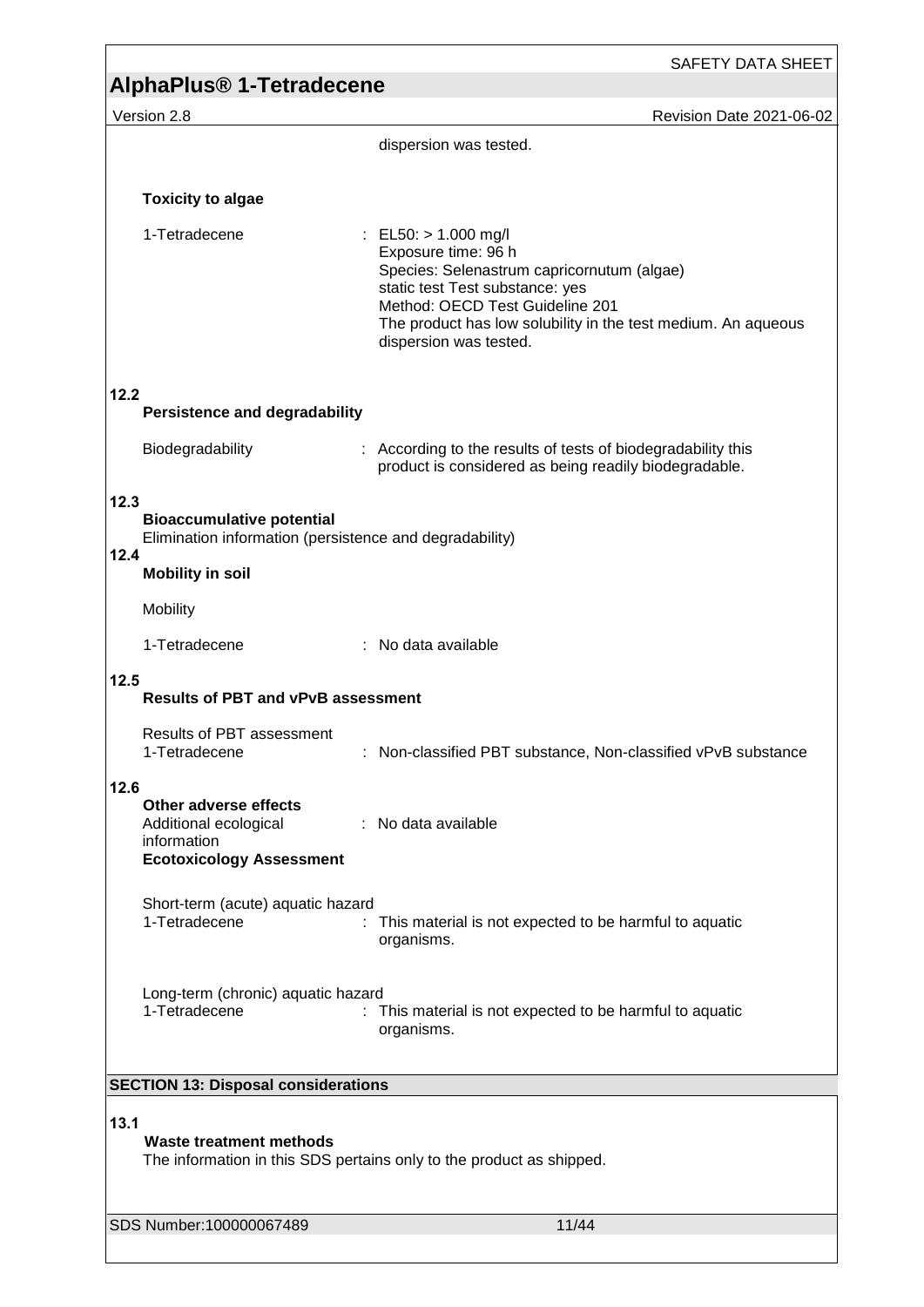|                                                                                                                | SAFETY DATA SHEET                                                                                                                                                                                                                                            |  |
|----------------------------------------------------------------------------------------------------------------|--------------------------------------------------------------------------------------------------------------------------------------------------------------------------------------------------------------------------------------------------------------|--|
| AlphaPlus <sup>®</sup> 1-Tetradecene                                                                           |                                                                                                                                                                                                                                                              |  |
| Version 2.8                                                                                                    | Revision Date 2021-06-02<br>dispersion was tested.                                                                                                                                                                                                           |  |
|                                                                                                                |                                                                                                                                                                                                                                                              |  |
| <b>Toxicity to algae</b>                                                                                       |                                                                                                                                                                                                                                                              |  |
| 1-Tetradecene                                                                                                  | : EL50: $> 1.000$ mg/l<br>Exposure time: 96 h<br>Species: Selenastrum capricornutum (algae)<br>static test Test substance: yes<br>Method: OECD Test Guideline 201<br>The product has low solubility in the test medium. An aqueous<br>dispersion was tested. |  |
| 12.2<br><b>Persistence and degradability</b>                                                                   |                                                                                                                                                                                                                                                              |  |
| Biodegradability                                                                                               | : According to the results of tests of biodegradability this<br>product is considered as being readily biodegradable.                                                                                                                                        |  |
| 12.3<br><b>Bioaccumulative potential</b><br>Elimination information (persistence and degradability)<br>12.4    |                                                                                                                                                                                                                                                              |  |
| <b>Mobility in soil</b>                                                                                        |                                                                                                                                                                                                                                                              |  |
| Mobility                                                                                                       |                                                                                                                                                                                                                                                              |  |
| 1-Tetradecene                                                                                                  | : No data available                                                                                                                                                                                                                                          |  |
| 12.5<br><b>Results of PBT and vPvB assessment</b>                                                              |                                                                                                                                                                                                                                                              |  |
| <b>Results of PBT assessment</b><br>1-Tetradecene                                                              | Non-classified PBT substance, Non-classified vPvB substance                                                                                                                                                                                                  |  |
| 12.6<br>Other adverse effects<br>Additional ecological<br>information<br><b>Ecotoxicology Assessment</b>       | : No data available                                                                                                                                                                                                                                          |  |
| Short-term (acute) aquatic hazard<br>1-Tetradecene                                                             | This material is not expected to be harmful to aquatic<br>organisms.                                                                                                                                                                                         |  |
| Long-term (chronic) aquatic hazard<br>1-Tetradecene                                                            | : This material is not expected to be harmful to aquatic<br>organisms.                                                                                                                                                                                       |  |
| <b>SECTION 13: Disposal considerations</b>                                                                     |                                                                                                                                                                                                                                                              |  |
| 13.1<br><b>Waste treatment methods</b><br>The information in this SDS pertains only to the product as shipped. |                                                                                                                                                                                                                                                              |  |
| SDS Number:100000067489                                                                                        | 11/44                                                                                                                                                                                                                                                        |  |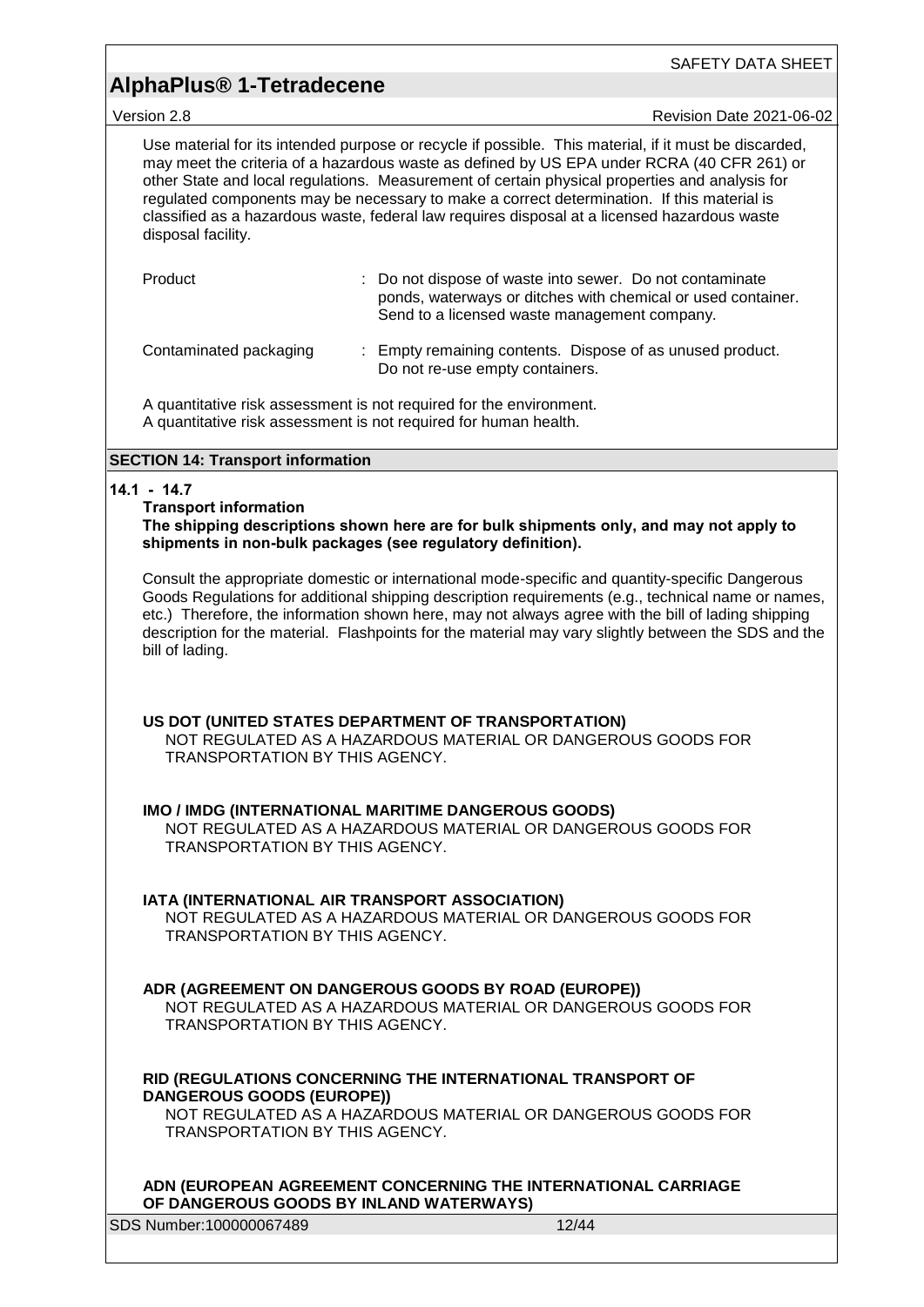Version 2.8 Revision Date 2021-06-02

Use material for its intended purpose or recycle if possible. This material, if it must be discarded, may meet the criteria of a hazardous waste as defined by US EPA under RCRA (40 CFR 261) or other State and local regulations. Measurement of certain physical properties and analysis for regulated components may be necessary to make a correct determination. If this material is classified as a hazardous waste, federal law requires disposal at a licensed hazardous waste disposal facility.

| Product                | : Do not dispose of waste into sewer. Do not contaminate<br>ponds, waterways or ditches with chemical or used container.<br>Send to a licensed waste management company. |
|------------------------|--------------------------------------------------------------------------------------------------------------------------------------------------------------------------|
| Contaminated packaging | : Empty remaining contents. Dispose of as unused product.<br>Do not re-use empty containers.                                                                             |

A quantitative risk assessment is not required for the environment. A quantitative risk assessment is not required for human health.

#### **SECTION 14: Transport information**

#### **14.1 - 14.7**

#### **Transport information**

**The shipping descriptions shown here are for bulk shipments only, and may not apply to shipments in non-bulk packages (see regulatory definition).**

Consult the appropriate domestic or international mode-specific and quantity-specific Dangerous Goods Regulations for additional shipping description requirements (e.g., technical name or names, etc.) Therefore, the information shown here, may not always agree with the bill of lading shipping description for the material. Flashpoints for the material may vary slightly between the SDS and the bill of lading.

#### **US DOT (UNITED STATES DEPARTMENT OF TRANSPORTATION)**

NOT REGULATED AS A HAZARDOUS MATERIAL OR DANGEROUS GOODS FOR TRANSPORTATION BY THIS AGENCY.

#### **IMO / IMDG (INTERNATIONAL MARITIME DANGEROUS GOODS)**

NOT REGULATED AS A HAZARDOUS MATERIAL OR DANGEROUS GOODS FOR TRANSPORTATION BY THIS AGENCY.

#### **IATA (INTERNATIONAL AIR TRANSPORT ASSOCIATION)**

NOT REGULATED AS A HAZARDOUS MATERIAL OR DANGEROUS GOODS FOR TRANSPORTATION BY THIS AGENCY.

#### **ADR (AGREEMENT ON DANGEROUS GOODS BY ROAD (EUROPE))**

NOT REGULATED AS A HAZARDOUS MATERIAL OR DANGEROUS GOODS FOR TRANSPORTATION BY THIS AGENCY.

#### **RID (REGULATIONS CONCERNING THE INTERNATIONAL TRANSPORT OF DANGEROUS GOODS (EUROPE))**

NOT REGULATED AS A HAZARDOUS MATERIAL OR DANGEROUS GOODS FOR TRANSPORTATION BY THIS AGENCY.

#### **ADN (EUROPEAN AGREEMENT CONCERNING THE INTERNATIONAL CARRIAGE OF DANGEROUS GOODS BY INLAND WATERWAYS)**

SDS Number:100000067489 12/44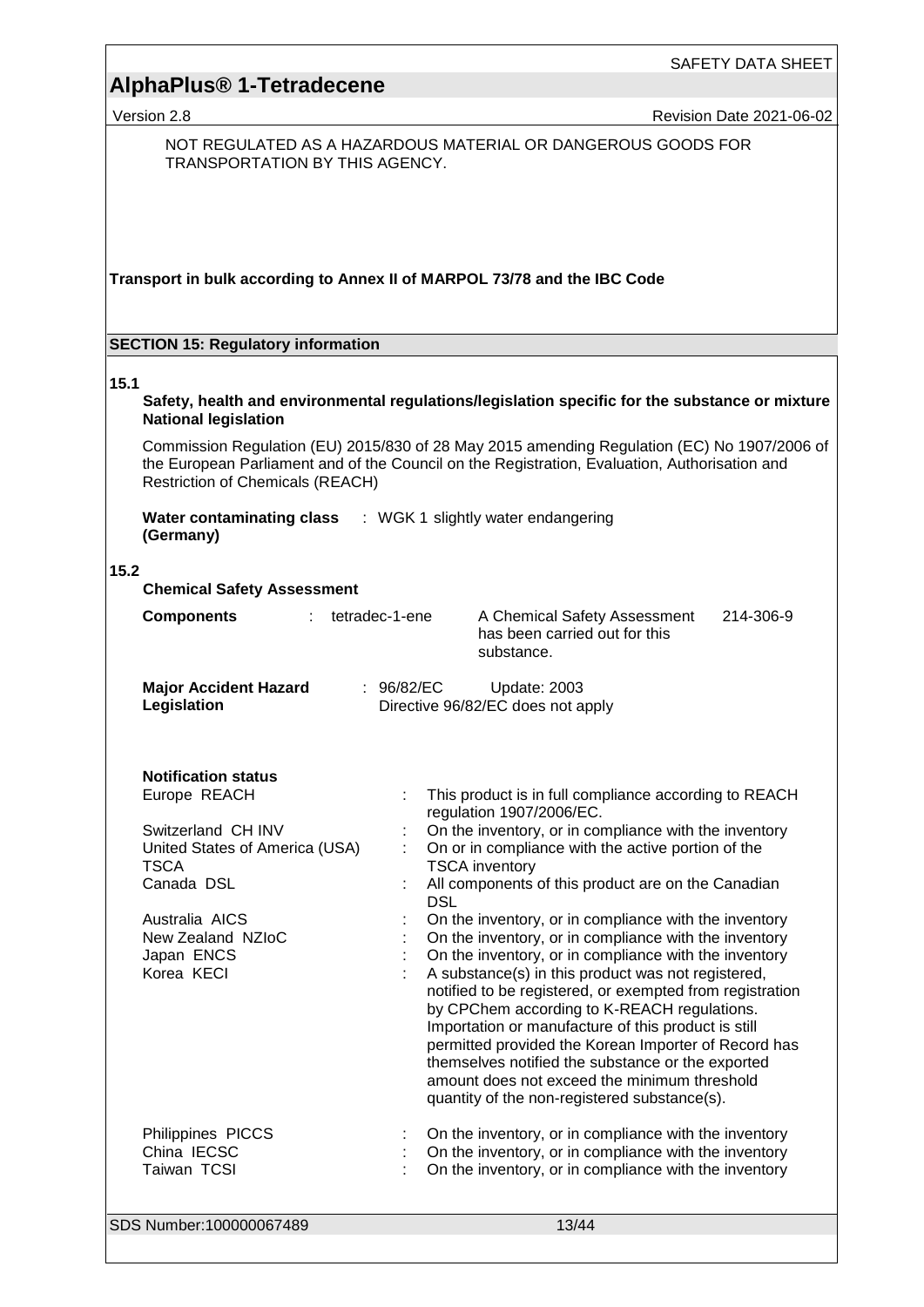Version 2.8 **Revision Date 2021-06-02** 

NOT REGULATED AS A HAZARDOUS MATERIAL OR DANGEROUS GOODS FOR TRANSPORTATION BY THIS AGENCY.

**Transport in bulk according to Annex II of MARPOL 73/78 and the IBC Code**

#### **SECTION 15: Regulatory information**

#### **15.1**

**Safety, health and environmental regulations/legislation specific for the substance or mixture National legislation**

Commission Regulation (EU) 2015/830 of 28 May 2015 amending Regulation (EC) No 1907/2006 of the European Parliament and of the Council on the Registration, Evaluation, Authorisation and Restriction of Chemicals (REACH)

**Water contaminating class**  : WGK 1 slightly water endangering **(Germany)**

#### **15.2**

| 15.2<br><b>Chemical Safety Assessment</b>                                                                                                                                                                               |                                                                                                                                                                                                                                                                                                                                                                                                                                                                                                                                                                                                                                                                                                                                                                                                                                                                                                                                                                        |
|-------------------------------------------------------------------------------------------------------------------------------------------------------------------------------------------------------------------------|------------------------------------------------------------------------------------------------------------------------------------------------------------------------------------------------------------------------------------------------------------------------------------------------------------------------------------------------------------------------------------------------------------------------------------------------------------------------------------------------------------------------------------------------------------------------------------------------------------------------------------------------------------------------------------------------------------------------------------------------------------------------------------------------------------------------------------------------------------------------------------------------------------------------------------------------------------------------|
| <b>Components</b><br>$\sim$                                                                                                                                                                                             | tetradec-1-ene<br>A Chemical Safety Assessment<br>214-306-9<br>has been carried out for this<br>substance.                                                                                                                                                                                                                                                                                                                                                                                                                                                                                                                                                                                                                                                                                                                                                                                                                                                             |
| <b>Major Accident Hazard</b><br>Legislation                                                                                                                                                                             | : $96/82/EC$<br>Update: 2003<br>Directive 96/82/EC does not apply                                                                                                                                                                                                                                                                                                                                                                                                                                                                                                                                                                                                                                                                                                                                                                                                                                                                                                      |
| <b>Notification status</b><br>Europe REACH<br>Switzerland CH INV<br>United States of America (USA)<br><b>TSCA</b><br>Canada DSL<br>Australia AICS<br>New Zealand NZIoC<br>Japan ENCS<br>Korea KECI<br>Philippines PICCS | This product is in full compliance according to REACH<br>regulation 1907/2006/EC.<br>On the inventory, or in compliance with the inventory<br>On or in compliance with the active portion of the<br><b>TSCA</b> inventory<br>All components of this product are on the Canadian<br><b>DSL</b><br>On the inventory, or in compliance with the inventory<br>On the inventory, or in compliance with the inventory<br>On the inventory, or in compliance with the inventory<br>A substance(s) in this product was not registered,<br>notified to be registered, or exempted from registration<br>by CPChem according to K-REACH regulations.<br>Importation or manufacture of this product is still<br>permitted provided the Korean Importer of Record has<br>themselves notified the substance or the exported<br>amount does not exceed the minimum threshold<br>quantity of the non-registered substance(s).<br>On the inventory, or in compliance with the inventory |
| China IECSC<br>Taiwan TCSI                                                                                                                                                                                              | On the inventory, or in compliance with the inventory<br>On the inventory, or in compliance with the inventory                                                                                                                                                                                                                                                                                                                                                                                                                                                                                                                                                                                                                                                                                                                                                                                                                                                         |
| SDS Number:100000067489                                                                                                                                                                                                 | 13/44                                                                                                                                                                                                                                                                                                                                                                                                                                                                                                                                                                                                                                                                                                                                                                                                                                                                                                                                                                  |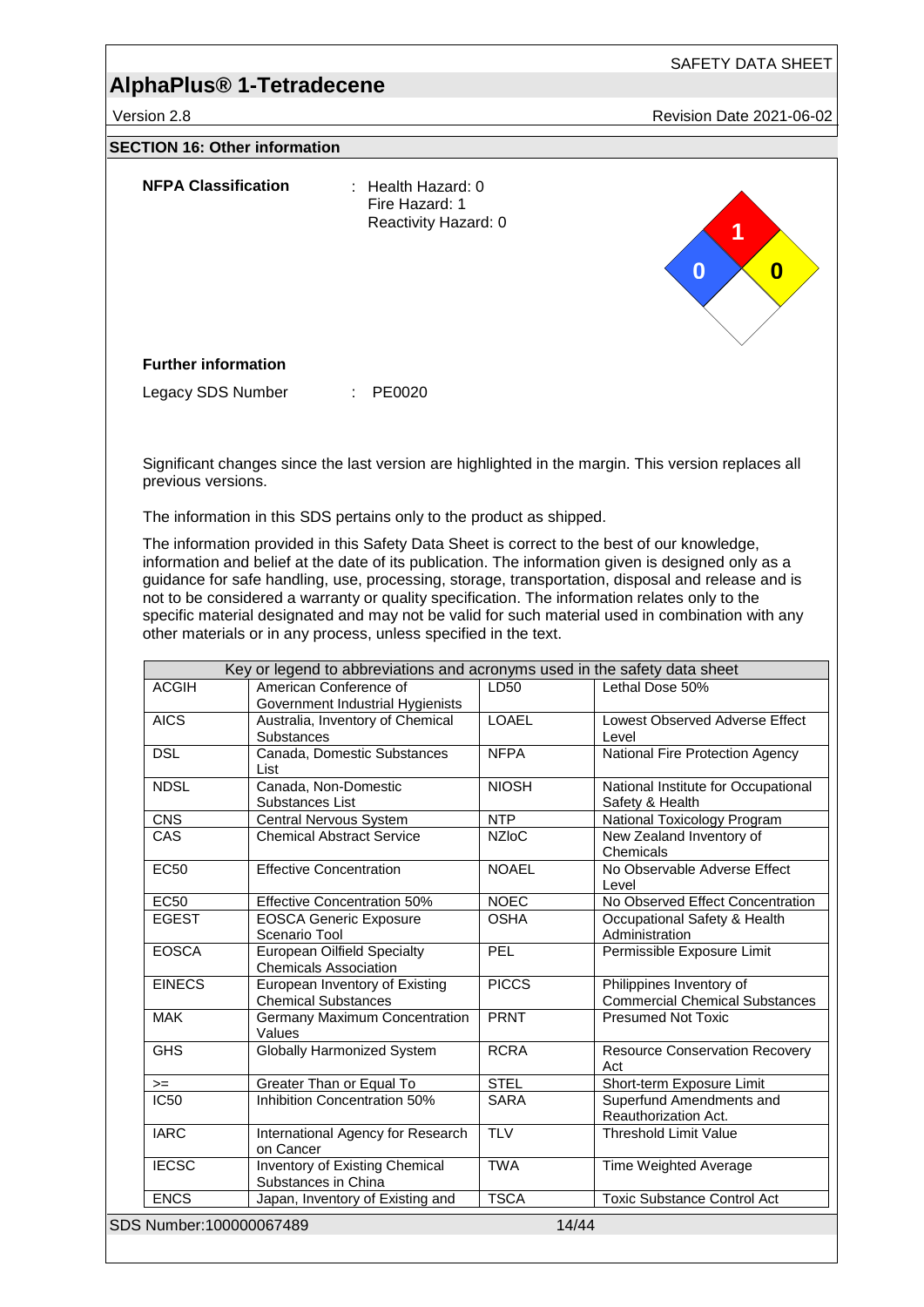Version 2.8 **Revision Date 2021-06-02** 

#### **SECTION 16: Other information**

| <b>NFPA Classification</b> | : Health Hazard: 0<br>Fire Hazard: 1<br>Reactivity Hazard: 0 | 1<br>$\sim$<br>$\bf{0}$<br>$\bf{0}$ |
|----------------------------|--------------------------------------------------------------|-------------------------------------|
| <b>Further information</b> |                                                              |                                     |
| Legacy SDS Number          | PE0020<br>÷                                                  |                                     |

Significant changes since the last version are highlighted in the margin. This version replaces all previous versions.

The information in this SDS pertains only to the product as shipped.

The information provided in this Safety Data Sheet is correct to the best of our knowledge, information and belief at the date of its publication. The information given is designed only as a guidance for safe handling, use, processing, storage, transportation, disposal and release and is not to be considered a warranty or quality specification. The information relates only to the specific material designated and may not be valid for such material used in combination with any other materials or in any process, unless specified in the text.

|               | Key or legend to abbreviations and acronyms used in the safety data sheet |              |                                                                   |
|---------------|---------------------------------------------------------------------------|--------------|-------------------------------------------------------------------|
| <b>ACGIH</b>  | American Conference of<br>Government Industrial Hygienists                | LD50         | Lethal Dose 50%                                                   |
| <b>AICS</b>   | Australia, Inventory of Chemical<br><b>Substances</b>                     | <b>LOAEL</b> | Lowest Observed Adverse Effect<br>Level                           |
| <b>DSL</b>    | Canada, Domestic Substances<br>List                                       | <b>NFPA</b>  | National Fire Protection Agency                                   |
| <b>NDSL</b>   | Canada, Non-Domestic<br>Substances List                                   | <b>NIOSH</b> | National Institute for Occupational<br>Safety & Health            |
| <b>CNS</b>    | <b>Central Nervous System</b>                                             | <b>NTP</b>   | National Toxicology Program                                       |
| CAS           | <b>Chemical Abstract Service</b>                                          | <b>NZIoC</b> | New Zealand Inventory of<br>Chemicals                             |
| <b>EC50</b>   | <b>Effective Concentration</b>                                            | <b>NOAEL</b> | No Observable Adverse Effect<br>Level                             |
| <b>EC50</b>   | <b>Effective Concentration 50%</b>                                        | <b>NOEC</b>  | No Observed Effect Concentration                                  |
| <b>EGEST</b>  | <b>EOSCA Generic Exposure</b><br>Scenario Tool                            | <b>OSHA</b>  | Occupational Safety & Health<br>Administration                    |
| <b>EOSCA</b>  | <b>European Oilfield Specialty</b><br><b>Chemicals Association</b>        | <b>PEL</b>   | Permissible Exposure Limit                                        |
| <b>EINECS</b> | European Inventory of Existing<br><b>Chemical Substances</b>              | <b>PICCS</b> | Philippines Inventory of<br><b>Commercial Chemical Substances</b> |
| <b>MAK</b>    | <b>Germany Maximum Concentration</b><br>Values                            | <b>PRNT</b>  | <b>Presumed Not Toxic</b>                                         |
| <b>GHS</b>    | <b>Globally Harmonized System</b>                                         | <b>RCRA</b>  | <b>Resource Conservation Recovery</b><br>Act                      |
| $>=$          | Greater Than or Equal To                                                  | <b>STEL</b>  | Short-term Exposure Limit                                         |
| <b>IC50</b>   | Inhibition Concentration 50%                                              | <b>SARA</b>  | Superfund Amendments and<br>Reauthorization Act.                  |
| <b>IARC</b>   | International Agency for Research<br>on Cancer                            | <b>TLV</b>   | <b>Threshold Limit Value</b>                                      |
| <b>IECSC</b>  | Inventory of Existing Chemical<br>Substances in China                     | <b>TWA</b>   | Time Weighted Average                                             |
|               |                                                                           | <b>TSCA</b>  | <b>Toxic Substance Control Act</b>                                |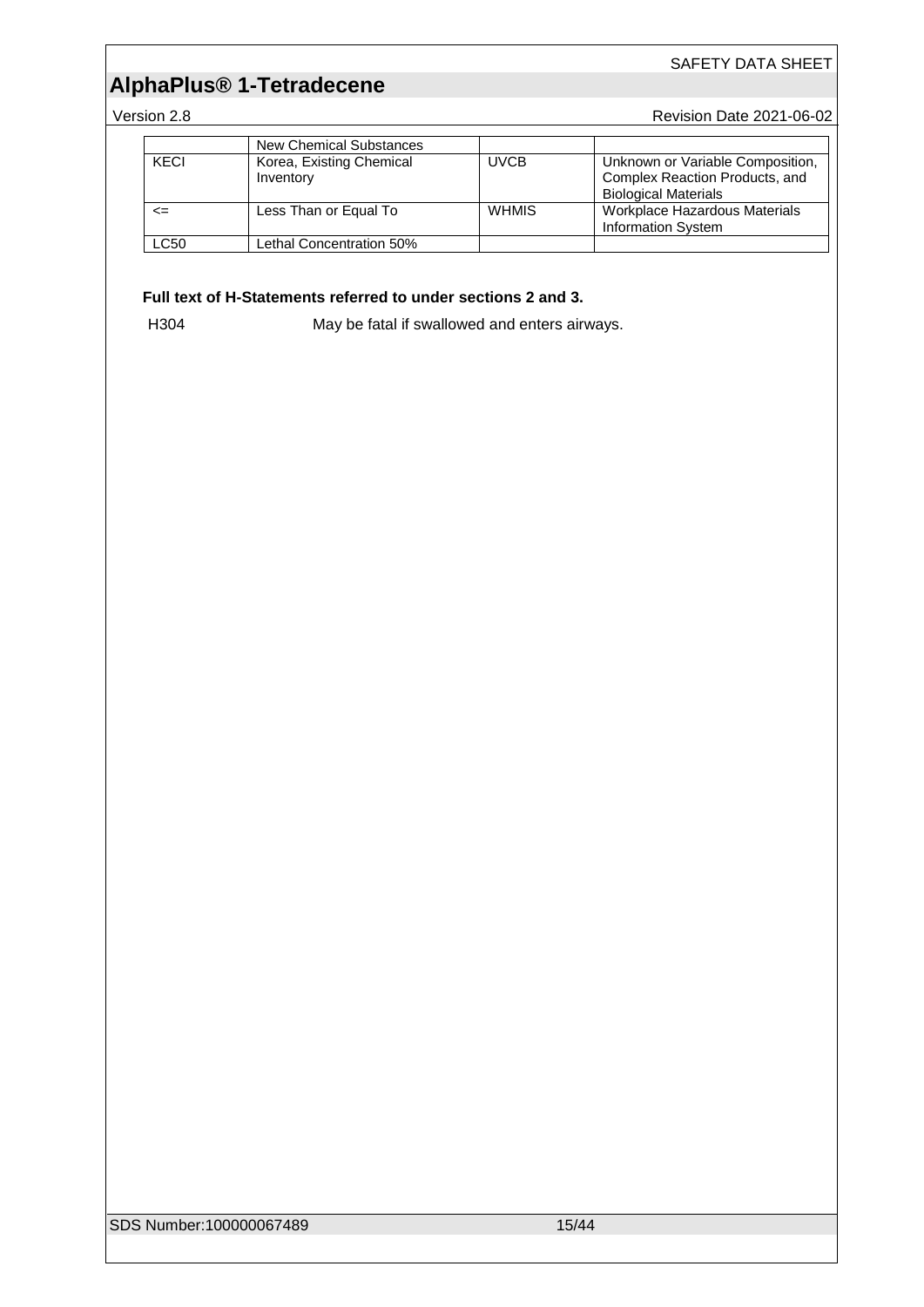# **AlphaPlus® 1-Tetradecene**

Version 2.8 **Version 2.8** Revision Date 2021-06-02

|      | <b>New Chemical Substances</b>        |              |                                                                                                   |
|------|---------------------------------------|--------------|---------------------------------------------------------------------------------------------------|
| KECI | Korea, Existing Chemical<br>Inventory | <b>UVCB</b>  | Unknown or Variable Composition,<br>Complex Reaction Products, and<br><b>Biological Materials</b> |
| <=   | Less Than or Equal To                 | <b>WHMIS</b> | Workplace Hazardous Materials<br><b>Information System</b>                                        |
| LC50 | <b>Lethal Concentration 50%</b>       |              |                                                                                                   |

#### **Full text of H-Statements referred to under sections 2 and 3.**

H304 May be fatal if swallowed and enters airways.

SDS Number:100000067489 15/44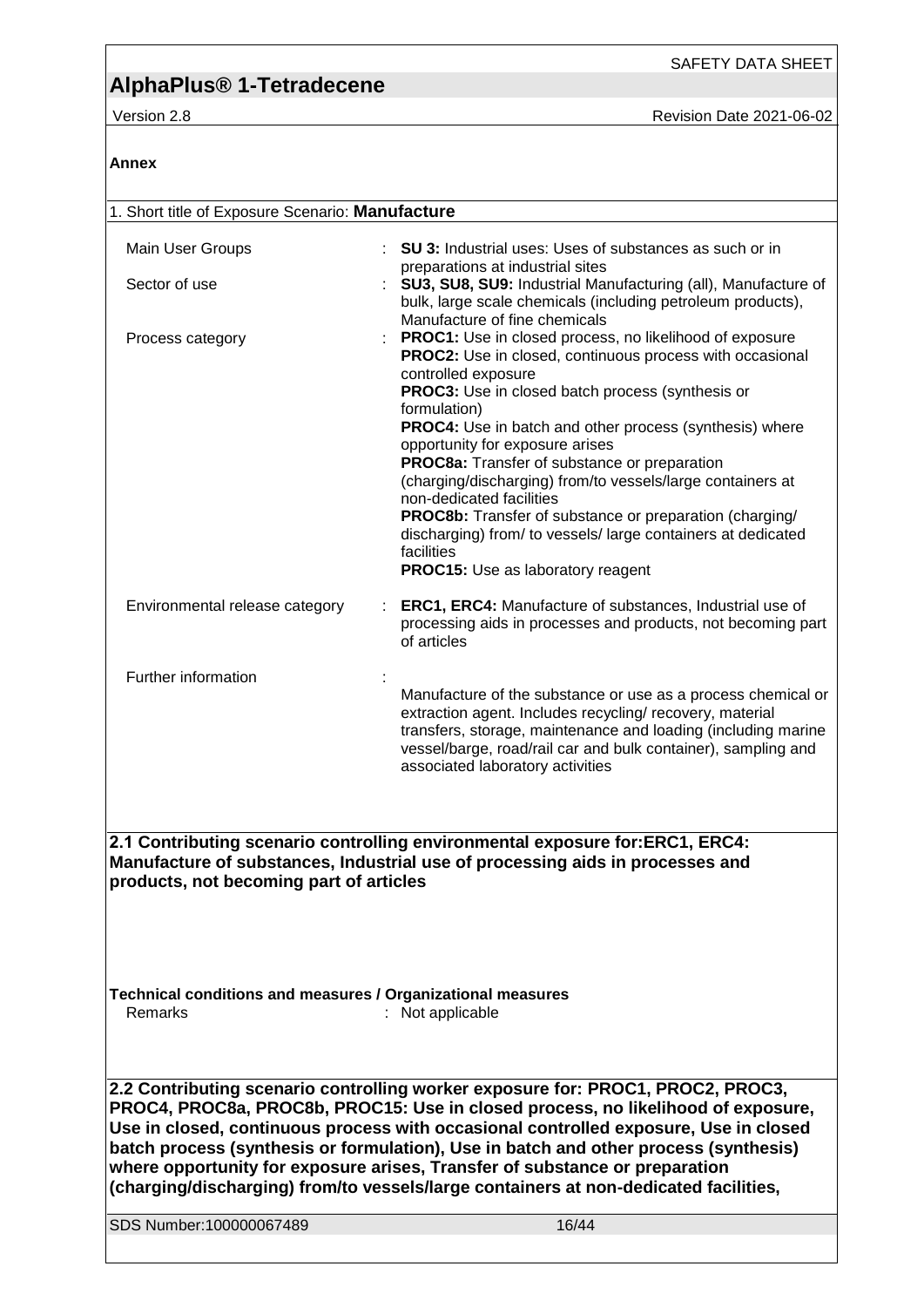**Annex**

Version 2.8 **Version 2.8** Revision Date 2021-06-02

| 1. Short title of Exposure Scenario: Manufacture                                                                                                                                                                                                                                                                                                                                                                                   |                                                                                                                                                                                                                                                                                                |  |  |
|------------------------------------------------------------------------------------------------------------------------------------------------------------------------------------------------------------------------------------------------------------------------------------------------------------------------------------------------------------------------------------------------------------------------------------|------------------------------------------------------------------------------------------------------------------------------------------------------------------------------------------------------------------------------------------------------------------------------------------------|--|--|
| Main User Groups                                                                                                                                                                                                                                                                                                                                                                                                                   | : SU 3: Industrial uses: Uses of substances as such or in                                                                                                                                                                                                                                      |  |  |
| Sector of use                                                                                                                                                                                                                                                                                                                                                                                                                      | preparations at industrial sites<br>SU3, SU8, SU9: Industrial Manufacturing (all), Manufacture of<br>bulk, large scale chemicals (including petroleum products),                                                                                                                               |  |  |
| Process category                                                                                                                                                                                                                                                                                                                                                                                                                   | Manufacture of fine chemicals<br>PROC1: Use in closed process, no likelihood of exposure<br>PROC2: Use in closed, continuous process with occasional<br>controlled exposure<br>PROC3: Use in closed batch process (synthesis or<br>formulation)                                                |  |  |
|                                                                                                                                                                                                                                                                                                                                                                                                                                    | <b>PROC4:</b> Use in batch and other process (synthesis) where<br>opportunity for exposure arises<br>PROC8a: Transfer of substance or preparation<br>(charging/discharging) from/to vessels/large containers at                                                                                |  |  |
|                                                                                                                                                                                                                                                                                                                                                                                                                                    | non-dedicated facilities<br><b>PROC8b:</b> Transfer of substance or preparation (charging/<br>discharging) from/ to vessels/ large containers at dedicated<br>facilities                                                                                                                       |  |  |
|                                                                                                                                                                                                                                                                                                                                                                                                                                    | <b>PROC15:</b> Use as laboratory reagent                                                                                                                                                                                                                                                       |  |  |
| Environmental release category                                                                                                                                                                                                                                                                                                                                                                                                     | ERC1, ERC4: Manufacture of substances, Industrial use of<br>processing aids in processes and products, not becoming part<br>of articles                                                                                                                                                        |  |  |
| Further information                                                                                                                                                                                                                                                                                                                                                                                                                |                                                                                                                                                                                                                                                                                                |  |  |
|                                                                                                                                                                                                                                                                                                                                                                                                                                    | Manufacture of the substance or use as a process chemical or<br>extraction agent. Includes recycling/ recovery, material<br>transfers, storage, maintenance and loading (including marine<br>vessel/barge, road/rail car and bulk container), sampling and<br>associated laboratory activities |  |  |
|                                                                                                                                                                                                                                                                                                                                                                                                                                    |                                                                                                                                                                                                                                                                                                |  |  |
| 2.1 Contributing scenario controlling environmental exposure for:ERC1, ERC4:<br>Manufacture of substances, Industrial use of processing aids in processes and<br>products, not becoming part of articles                                                                                                                                                                                                                           |                                                                                                                                                                                                                                                                                                |  |  |
|                                                                                                                                                                                                                                                                                                                                                                                                                                    |                                                                                                                                                                                                                                                                                                |  |  |
| Technical conditions and measures / Organizational measures<br>Remarks<br>: Not applicable                                                                                                                                                                                                                                                                                                                                         |                                                                                                                                                                                                                                                                                                |  |  |
|                                                                                                                                                                                                                                                                                                                                                                                                                                    |                                                                                                                                                                                                                                                                                                |  |  |
| 2.2 Contributing scenario controlling worker exposure for: PROC1, PROC2, PROC3,<br>PROC4, PROC8a, PROC8b, PROC15: Use in closed process, no likelihood of exposure,<br>Use in closed, continuous process with occasional controlled exposure, Use in closed<br>batch process (synthesis or formulation), Use in batch and other process (synthesis)<br>where opportunity for exposure arises, Transfer of substance or preparation |                                                                                                                                                                                                                                                                                                |  |  |
|                                                                                                                                                                                                                                                                                                                                                                                                                                    | (charging/discharging) from/to vessels/large containers at non-dedicated facilities,                                                                                                                                                                                                           |  |  |
| SDS Number:100000067489                                                                                                                                                                                                                                                                                                                                                                                                            | 16/44                                                                                                                                                                                                                                                                                          |  |  |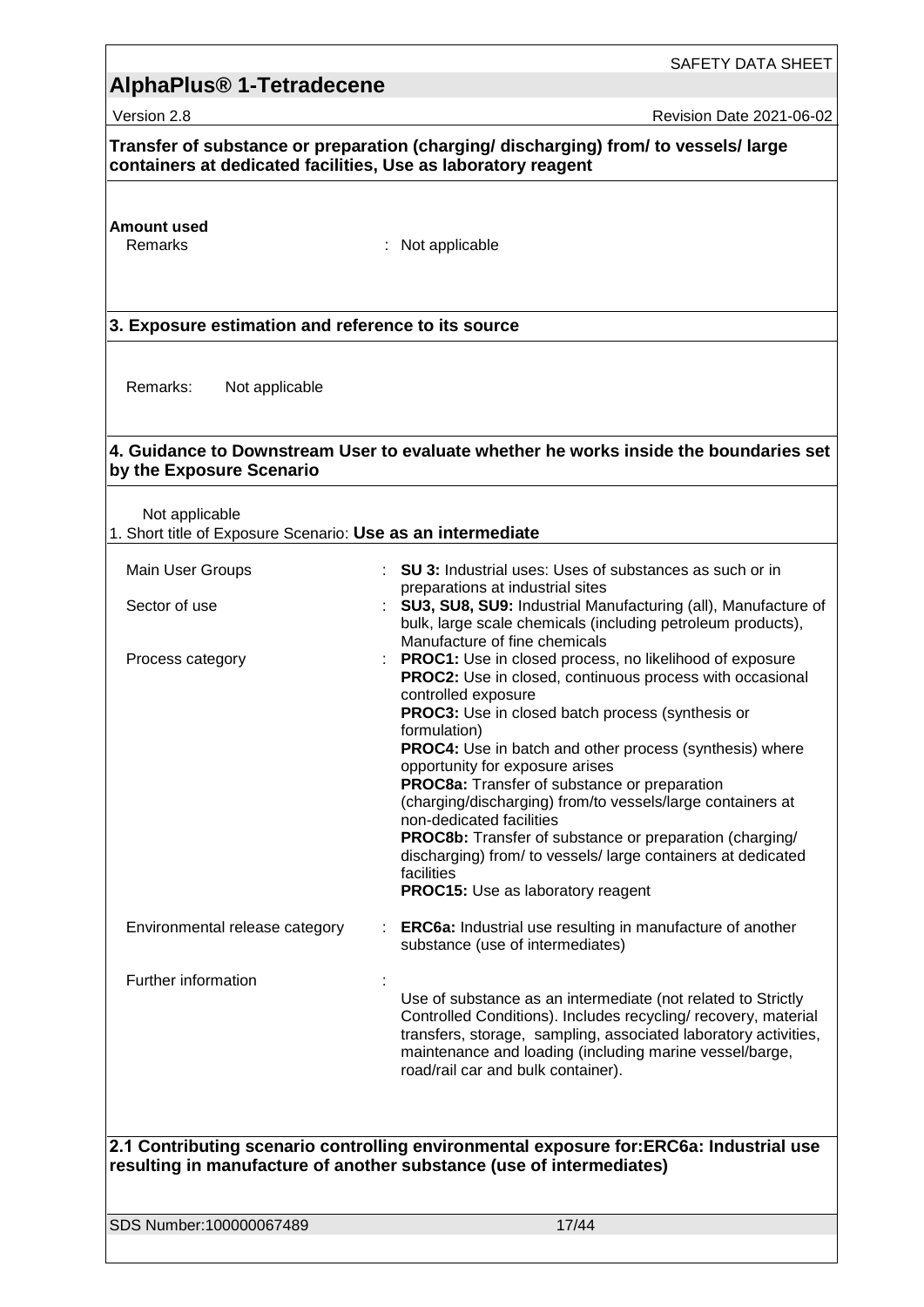## SAFETY DATA SHEET **AlphaPlus® 1-Tetradecene**  Version 2.8 **Revision Date 2021-06-02 Transfer of substance or preparation (charging/ discharging) from/ to vessels/ large containers at dedicated facilities, Use as laboratory reagent Amount used** : Not applicable **3. Exposure estimation and reference to its source** Remarks: Not applicable **4. Guidance to Downstream User to evaluate whether he works inside the boundaries set by the Exposure Scenario** Not applicable 1. Short title of Exposure Scenario: **Use as an intermediate** Main User Groups **: SU 3:** Industrial uses: Uses of substances as such or in preparations at industrial sites Sector of use : **SU3, SU8, SU9:** Industrial Manufacturing (all), Manufacture of bulk, large scale chemicals (including petroleum products), Manufacture of fine chemicals Process category **Example 20**: **PROC1:** Use in closed process, no likelihood of exposure **PROC2:** Use in closed, continuous process with occasional controlled exposure **PROC3:** Use in closed batch process (synthesis or formulation) **PROC4:** Use in batch and other process (synthesis) where opportunity for exposure arises **PROC8a:** Transfer of substance or preparation (charging/discharging) from/to vessels/large containers at non-dedicated facilities **PROC8b:** Transfer of substance or preparation (charging/ discharging) from/ to vessels/ large containers at dedicated facilities **PROC15:** Use as laboratory reagent Environmental release category : **ERC6a:** Industrial use resulting in manufacture of another substance (use of intermediates) Further information : Use of substance as an intermediate (not related to Strictly Controlled Conditions). Includes recycling/ recovery, material transfers, storage, sampling, associated laboratory activities, maintenance and loading (including marine vessel/barge, road/rail car and bulk container).

**2.1 Contributing scenario controlling environmental exposure for:ERC6a: Industrial use resulting in manufacture of another substance (use of intermediates)**

SDS Number:100000067489 17/44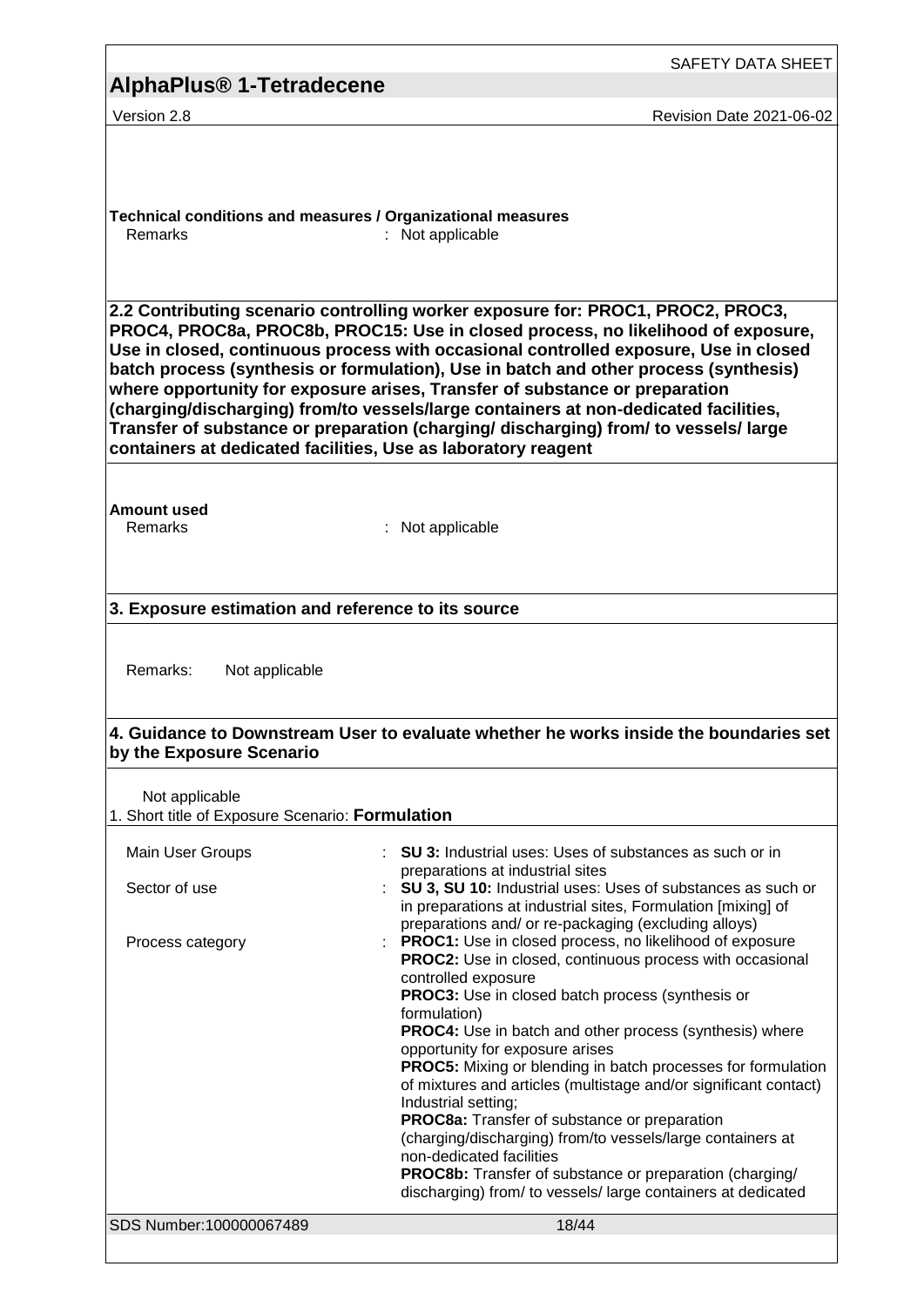|                                                                                                                                                                                                                                                                                                                                                                                                                                                                                                                                                                                                  | SAFETY DATA SHEET                                                                                                                                                                                                                                                                                                                                                                                                                                                                                                                                                                                                                                                                                                                                                 |  |  |
|--------------------------------------------------------------------------------------------------------------------------------------------------------------------------------------------------------------------------------------------------------------------------------------------------------------------------------------------------------------------------------------------------------------------------------------------------------------------------------------------------------------------------------------------------------------------------------------------------|-------------------------------------------------------------------------------------------------------------------------------------------------------------------------------------------------------------------------------------------------------------------------------------------------------------------------------------------------------------------------------------------------------------------------------------------------------------------------------------------------------------------------------------------------------------------------------------------------------------------------------------------------------------------------------------------------------------------------------------------------------------------|--|--|
| AlphaPlus <sup>®</sup> 1-Tetradecene                                                                                                                                                                                                                                                                                                                                                                                                                                                                                                                                                             |                                                                                                                                                                                                                                                                                                                                                                                                                                                                                                                                                                                                                                                                                                                                                                   |  |  |
| Version 2.8                                                                                                                                                                                                                                                                                                                                                                                                                                                                                                                                                                                      | <b>Revision Date 2021-06-02</b>                                                                                                                                                                                                                                                                                                                                                                                                                                                                                                                                                                                                                                                                                                                                   |  |  |
| Technical conditions and measures / Organizational measures<br>Remarks                                                                                                                                                                                                                                                                                                                                                                                                                                                                                                                           | : Not applicable<br>2.2 Contributing scenario controlling worker exposure for: PROC1, PROC2, PROC3,                                                                                                                                                                                                                                                                                                                                                                                                                                                                                                                                                                                                                                                               |  |  |
| PROC4, PROC8a, PROC8b, PROC15: Use in closed process, no likelihood of exposure,<br>Use in closed, continuous process with occasional controlled exposure, Use in closed<br>batch process (synthesis or formulation), Use in batch and other process (synthesis)<br>where opportunity for exposure arises, Transfer of substance or preparation<br>(charging/discharging) from/to vessels/large containers at non-dedicated facilities,<br>Transfer of substance or preparation (charging/ discharging) from/ to vessels/ large<br>containers at dedicated facilities, Use as laboratory reagent |                                                                                                                                                                                                                                                                                                                                                                                                                                                                                                                                                                                                                                                                                                                                                                   |  |  |
| <b>Amount used</b><br>Remarks                                                                                                                                                                                                                                                                                                                                                                                                                                                                                                                                                                    | : Not applicable                                                                                                                                                                                                                                                                                                                                                                                                                                                                                                                                                                                                                                                                                                                                                  |  |  |
| 3. Exposure estimation and reference to its source                                                                                                                                                                                                                                                                                                                                                                                                                                                                                                                                               |                                                                                                                                                                                                                                                                                                                                                                                                                                                                                                                                                                                                                                                                                                                                                                   |  |  |
| Remarks:<br>Not applicable<br>4. Guidance to Downstream User to evaluate whether he works inside the boundaries set                                                                                                                                                                                                                                                                                                                                                                                                                                                                              |                                                                                                                                                                                                                                                                                                                                                                                                                                                                                                                                                                                                                                                                                                                                                                   |  |  |
| by the Exposure Scenario                                                                                                                                                                                                                                                                                                                                                                                                                                                                                                                                                                         |                                                                                                                                                                                                                                                                                                                                                                                                                                                                                                                                                                                                                                                                                                                                                                   |  |  |
| Not applicable<br>1. Short title of Exposure Scenario: Formulation                                                                                                                                                                                                                                                                                                                                                                                                                                                                                                                               |                                                                                                                                                                                                                                                                                                                                                                                                                                                                                                                                                                                                                                                                                                                                                                   |  |  |
| Main User Groups                                                                                                                                                                                                                                                                                                                                                                                                                                                                                                                                                                                 | : SU 3: Industrial uses: Uses of substances as such or in                                                                                                                                                                                                                                                                                                                                                                                                                                                                                                                                                                                                                                                                                                         |  |  |
| Sector of use                                                                                                                                                                                                                                                                                                                                                                                                                                                                                                                                                                                    | preparations at industrial sites<br>SU 3, SU 10: Industrial uses: Uses of substances as such or<br>in preparations at industrial sites, Formulation [mixing] of<br>preparations and/ or re-packaging (excluding alloys)                                                                                                                                                                                                                                                                                                                                                                                                                                                                                                                                           |  |  |
| Process category                                                                                                                                                                                                                                                                                                                                                                                                                                                                                                                                                                                 | PROC1: Use in closed process, no likelihood of exposure<br><b>PROC2:</b> Use in closed, continuous process with occasional<br>controlled exposure<br>PROC3: Use in closed batch process (synthesis or<br>formulation)<br>PROC4: Use in batch and other process (synthesis) where<br>opportunity for exposure arises<br><b>PROC5:</b> Mixing or blending in batch processes for formulation<br>of mixtures and articles (multistage and/or significant contact)<br>Industrial setting;<br>PROC8a: Transfer of substance or preparation<br>(charging/discharging) from/to vessels/large containers at<br>non-dedicated facilities<br><b>PROC8b:</b> Transfer of substance or preparation (charging/<br>discharging) from/ to vessels/ large containers at dedicated |  |  |
| SDS Number:100000067489                                                                                                                                                                                                                                                                                                                                                                                                                                                                                                                                                                          | 18/44                                                                                                                                                                                                                                                                                                                                                                                                                                                                                                                                                                                                                                                                                                                                                             |  |  |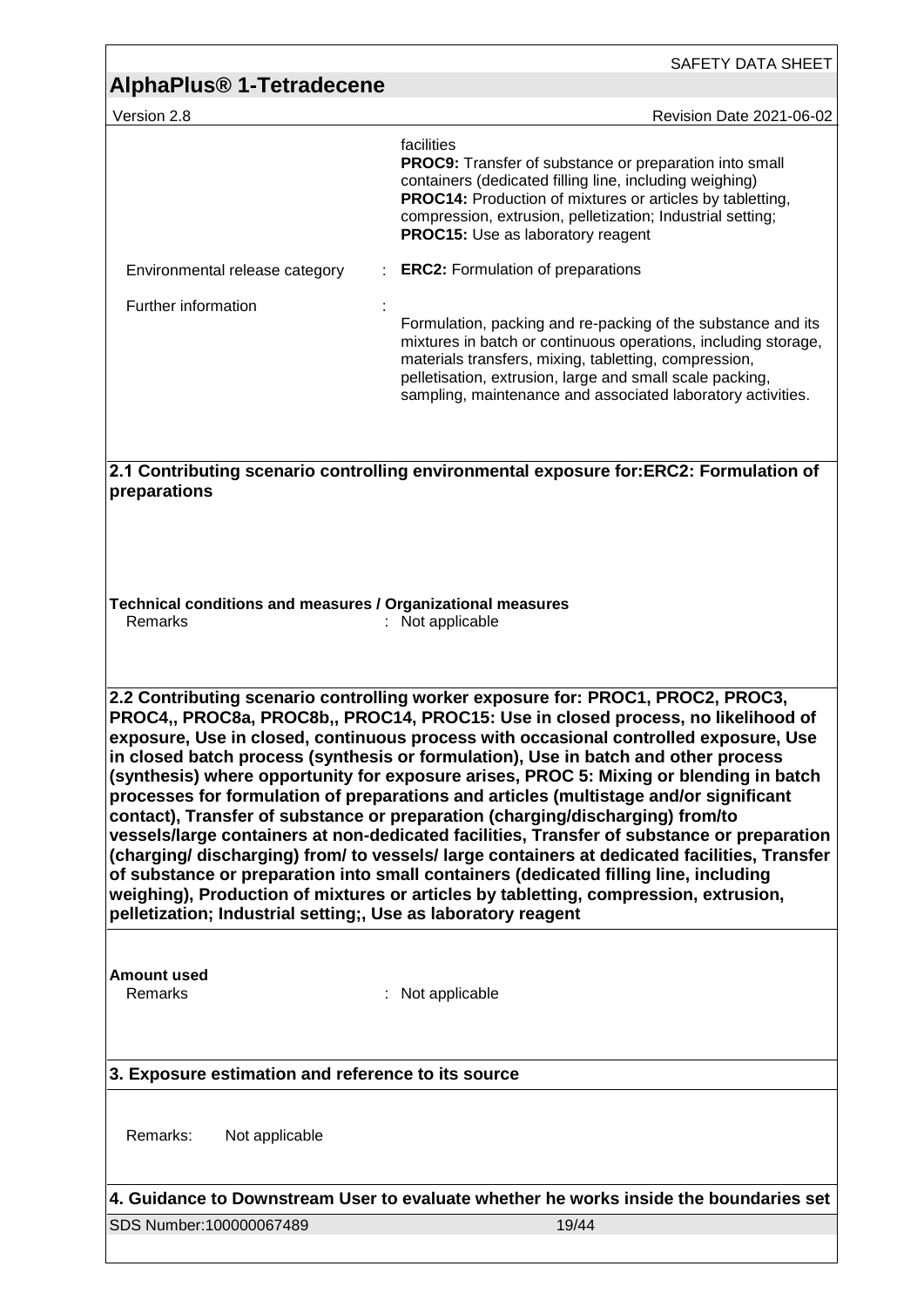| AlphaPlus <sup>®</sup> 1-Tetradecene                                                                                                                                                                                                                                                                                                                                                                                                                                                                                                                                                                                                                                                                                                                                                                                                                                                                                                                                                                                                                              | SAFETY DATA SHEET                                                                                                                                                                                                                                                                                                                                              |  |
|-------------------------------------------------------------------------------------------------------------------------------------------------------------------------------------------------------------------------------------------------------------------------------------------------------------------------------------------------------------------------------------------------------------------------------------------------------------------------------------------------------------------------------------------------------------------------------------------------------------------------------------------------------------------------------------------------------------------------------------------------------------------------------------------------------------------------------------------------------------------------------------------------------------------------------------------------------------------------------------------------------------------------------------------------------------------|----------------------------------------------------------------------------------------------------------------------------------------------------------------------------------------------------------------------------------------------------------------------------------------------------------------------------------------------------------------|--|
|                                                                                                                                                                                                                                                                                                                                                                                                                                                                                                                                                                                                                                                                                                                                                                                                                                                                                                                                                                                                                                                                   |                                                                                                                                                                                                                                                                                                                                                                |  |
| Version 2.8                                                                                                                                                                                                                                                                                                                                                                                                                                                                                                                                                                                                                                                                                                                                                                                                                                                                                                                                                                                                                                                       | Revision Date 2021-06-02<br>facilities<br><b>PROC9:</b> Transfer of substance or preparation into small<br>containers (dedicated filling line, including weighing)<br><b>PROC14:</b> Production of mixtures or articles by tabletting,<br>compression, extrusion, pelletization; Industrial setting;<br>PROC15: Use as laboratory reagent                      |  |
| Environmental release category<br>Further information                                                                                                                                                                                                                                                                                                                                                                                                                                                                                                                                                                                                                                                                                                                                                                                                                                                                                                                                                                                                             | <b>ERC2:</b> Formulation of preparations<br>Formulation, packing and re-packing of the substance and its<br>mixtures in batch or continuous operations, including storage,<br>materials transfers, mixing, tabletting, compression,<br>pelletisation, extrusion, large and small scale packing,<br>sampling, maintenance and associated laboratory activities. |  |
| 2.1 Contributing scenario controlling environmental exposure for:ERC2: Formulation of<br>preparations<br>Technical conditions and measures / Organizational measures<br>Remarks<br>Not applicable                                                                                                                                                                                                                                                                                                                                                                                                                                                                                                                                                                                                                                                                                                                                                                                                                                                                 |                                                                                                                                                                                                                                                                                                                                                                |  |
| 2.2 Contributing scenario controlling worker exposure for: PROC1, PROC2, PROC3,<br>PROC4,, PROC8a, PROC8b,, PROC14, PROC15: Use in closed process, no likelihood of<br>exposure, Use in closed, continuous process with occasional controlled exposure, Use<br>in closed batch process (synthesis or formulation), Use in batch and other process<br>(synthesis) where opportunity for exposure arises, PROC 5: Mixing or blending in batch<br>processes for formulation of preparations and articles (multistage and/or significant<br>contact), Transfer of substance or preparation (charging/discharging) from/to<br>vessels/large containers at non-dedicated facilities, Transfer of substance or preparation<br>(charging/discharging) from/to vessels/large containers at dedicated facilities, Transfer<br>of substance or preparation into small containers (dedicated filling line, including<br>weighing), Production of mixtures or articles by tabletting, compression, extrusion,<br>pelletization; Industrial setting;, Use as laboratory reagent |                                                                                                                                                                                                                                                                                                                                                                |  |
| <b>Amount used</b><br>Remarks                                                                                                                                                                                                                                                                                                                                                                                                                                                                                                                                                                                                                                                                                                                                                                                                                                                                                                                                                                                                                                     | : Not applicable                                                                                                                                                                                                                                                                                                                                               |  |
| 3. Exposure estimation and reference to its source                                                                                                                                                                                                                                                                                                                                                                                                                                                                                                                                                                                                                                                                                                                                                                                                                                                                                                                                                                                                                |                                                                                                                                                                                                                                                                                                                                                                |  |
| Remarks:<br>Not applicable                                                                                                                                                                                                                                                                                                                                                                                                                                                                                                                                                                                                                                                                                                                                                                                                                                                                                                                                                                                                                                        |                                                                                                                                                                                                                                                                                                                                                                |  |
| SDS Number:100000067489                                                                                                                                                                                                                                                                                                                                                                                                                                                                                                                                                                                                                                                                                                                                                                                                                                                                                                                                                                                                                                           | 4. Guidance to Downstream User to evaluate whether he works inside the boundaries set<br>19/44                                                                                                                                                                                                                                                                 |  |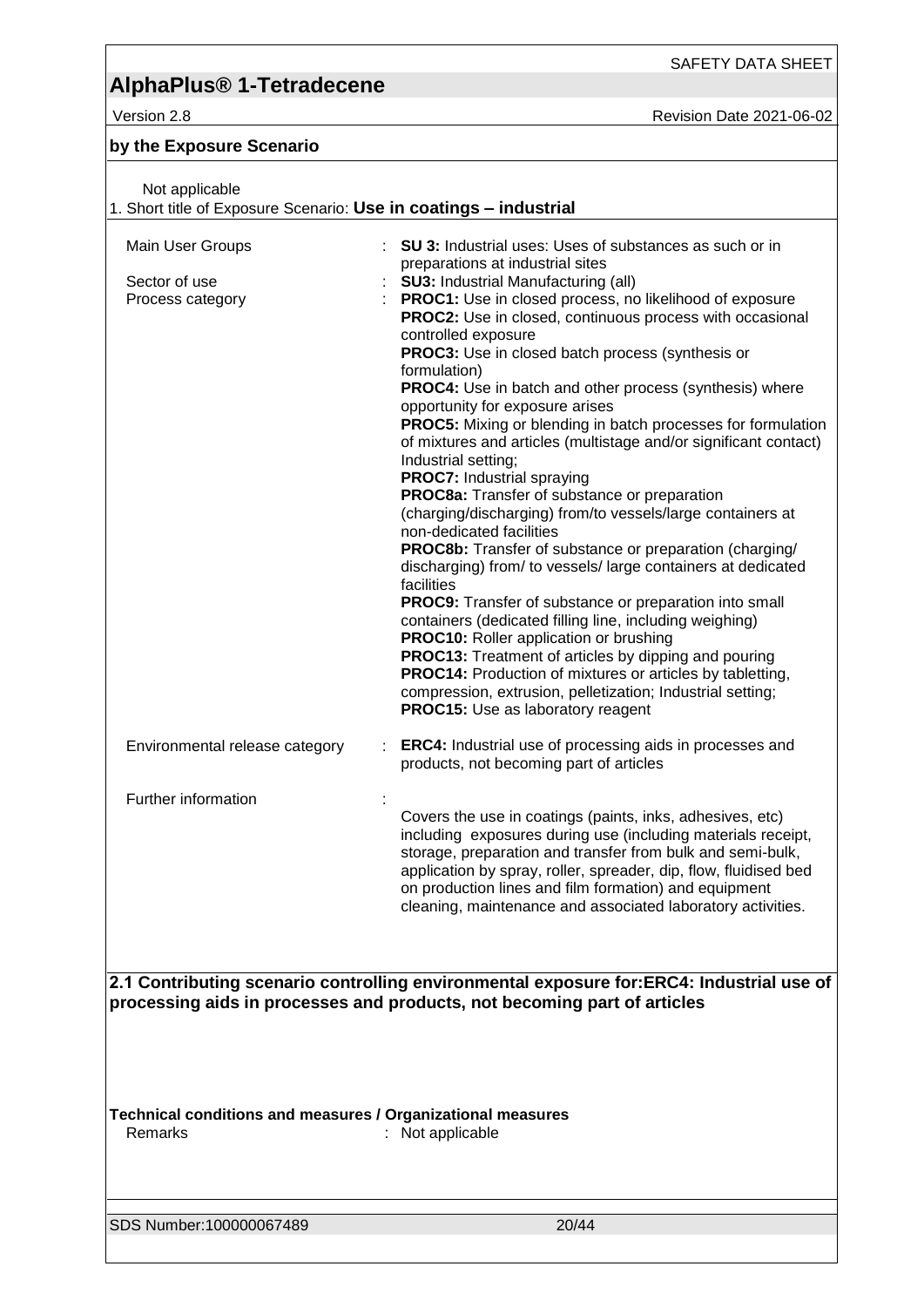# **AlphaPlus® 1-Tetradecene**

Version 2.8 Revision Date 2021-06-02

### **by the Exposure Scenario**

| Not applicable<br>1. Short title of Exposure Scenario: Use in coatings - industrial                                                                                  |                                                                                                                                                                                                                                                                                                                                                                                                                                                                                                                                                                                                                                                                                                                                                                                                                                                                                                                                                                                                                                                                                                                                                                                                                                                                                                                                                        |  |
|----------------------------------------------------------------------------------------------------------------------------------------------------------------------|--------------------------------------------------------------------------------------------------------------------------------------------------------------------------------------------------------------------------------------------------------------------------------------------------------------------------------------------------------------------------------------------------------------------------------------------------------------------------------------------------------------------------------------------------------------------------------------------------------------------------------------------------------------------------------------------------------------------------------------------------------------------------------------------------------------------------------------------------------------------------------------------------------------------------------------------------------------------------------------------------------------------------------------------------------------------------------------------------------------------------------------------------------------------------------------------------------------------------------------------------------------------------------------------------------------------------------------------------------|--|
| Main User Groups<br>Sector of use<br>Process category                                                                                                                | SU 3: Industrial uses: Uses of substances as such or in<br>preparations at industrial sites<br><b>SU3: Industrial Manufacturing (all)</b><br><b>PROC1:</b> Use in closed process, no likelihood of exposure<br><b>PROC2:</b> Use in closed, continuous process with occasional<br>controlled exposure<br>PROC3: Use in closed batch process (synthesis or<br>formulation)<br><b>PROC4:</b> Use in batch and other process (synthesis) where<br>opportunity for exposure arises<br><b>PROC5:</b> Mixing or blending in batch processes for formulation<br>of mixtures and articles (multistage and/or significant contact)<br>Industrial setting;<br><b>PROC7:</b> Industrial spraying<br>PROC8a: Transfer of substance or preparation<br>(charging/discharging) from/to vessels/large containers at<br>non-dedicated facilities<br><b>PROC8b:</b> Transfer of substance or preparation (charging/<br>discharging) from/ to vessels/ large containers at dedicated<br>facilities<br>PROC9: Transfer of substance or preparation into small<br>containers (dedicated filling line, including weighing)<br><b>PROC10:</b> Roller application or brushing<br><b>PROC13:</b> Treatment of articles by dipping and pouring<br><b>PROC14:</b> Production of mixtures or articles by tabletting,<br>compression, extrusion, pelletization; Industrial setting; |  |
| Environmental release category                                                                                                                                       | <b>PROC15:</b> Use as laboratory reagent<br><b>ERC4:</b> Industrial use of processing aids in processes and<br>products, not becoming part of articles                                                                                                                                                                                                                                                                                                                                                                                                                                                                                                                                                                                                                                                                                                                                                                                                                                                                                                                                                                                                                                                                                                                                                                                                 |  |
| Further information                                                                                                                                                  | Covers the use in coatings (paints, inks, adhesives, etc)<br>including exposures during use (including materials receipt,<br>storage, preparation and transfer from bulk and semi-bulk,<br>application by spray, roller, spreader, dip, flow, fluidised bed<br>on production lines and film formation) and equipment<br>cleaning, maintenance and associated laboratory activities.                                                                                                                                                                                                                                                                                                                                                                                                                                                                                                                                                                                                                                                                                                                                                                                                                                                                                                                                                                    |  |
| 2.1 Contributing scenario controlling environmental exposure for:ERC4: Industrial use of<br>processing aids in processes and products, not becoming part of articles |                                                                                                                                                                                                                                                                                                                                                                                                                                                                                                                                                                                                                                                                                                                                                                                                                                                                                                                                                                                                                                                                                                                                                                                                                                                                                                                                                        |  |
| Technical conditions and measures / Organizational measures<br>Remarks                                                                                               | : Not applicable                                                                                                                                                                                                                                                                                                                                                                                                                                                                                                                                                                                                                                                                                                                                                                                                                                                                                                                                                                                                                                                                                                                                                                                                                                                                                                                                       |  |
| SDS Number:100000067489                                                                                                                                              | 20/44                                                                                                                                                                                                                                                                                                                                                                                                                                                                                                                                                                                                                                                                                                                                                                                                                                                                                                                                                                                                                                                                                                                                                                                                                                                                                                                                                  |  |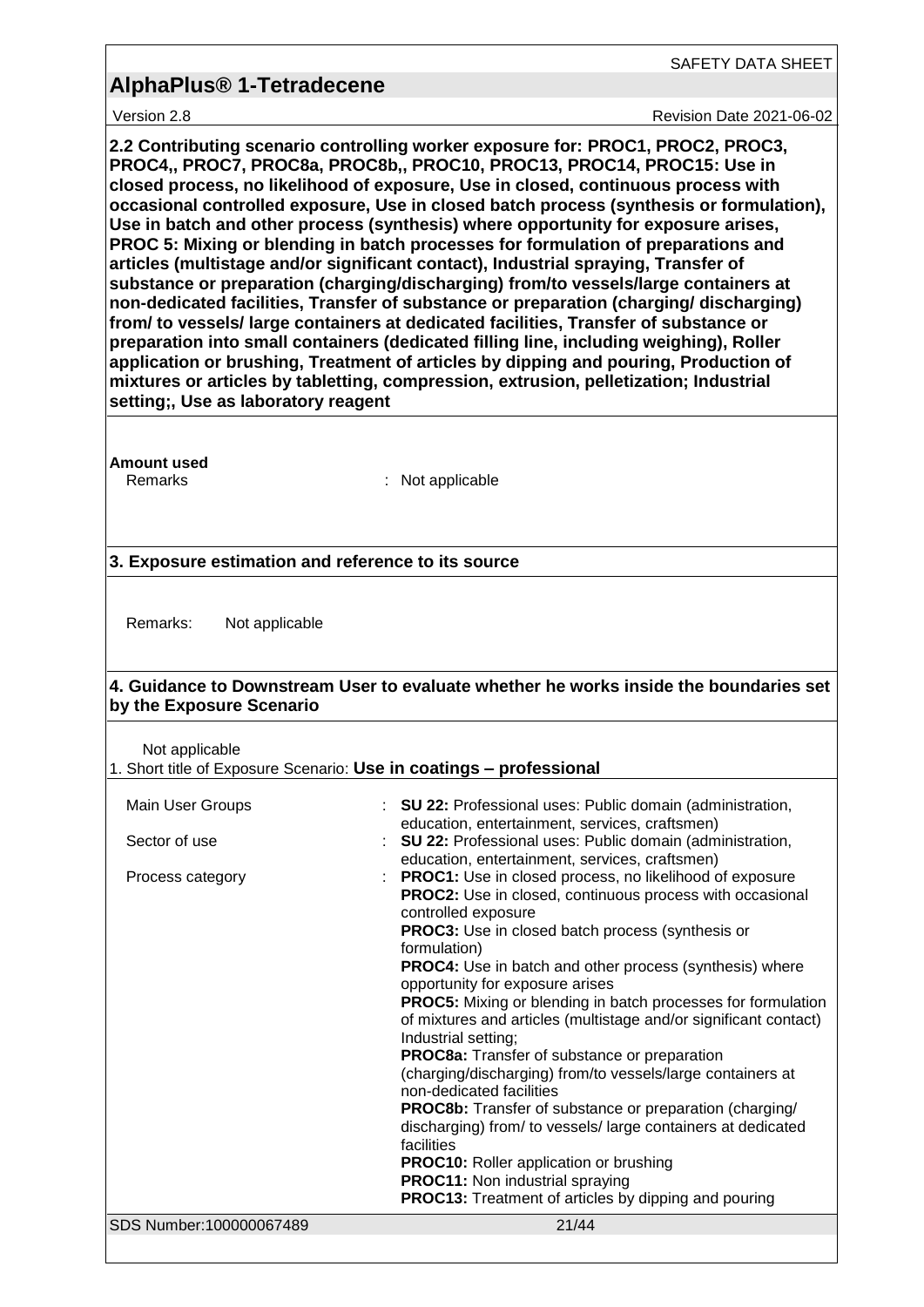SAFETY DATA SHEET

Version 2.8 **Revision Date 2021-06-02** 

**2.2 Contributing scenario controlling worker exposure for: PROC1, PROC2, PROC3, PROC4,, PROC7, PROC8a, PROC8b,, PROC10, PROC13, PROC14, PROC15: Use in closed process, no likelihood of exposure, Use in closed, continuous process with occasional controlled exposure, Use in closed batch process (synthesis or formulation), Use in batch and other process (synthesis) where opportunity for exposure arises, PROC 5: Mixing or blending in batch processes for formulation of preparations and articles (multistage and/or significant contact), Industrial spraying, Transfer of substance or preparation (charging/discharging) from/to vessels/large containers at non-dedicated facilities, Transfer of substance or preparation (charging/ discharging) from/ to vessels/ large containers at dedicated facilities, Transfer of substance or preparation into small containers (dedicated filling line, including weighing), Roller application or brushing, Treatment of articles by dipping and pouring, Production of mixtures or articles by tabletting, compression, extrusion, pelletization; Industrial setting;, Use as laboratory reagent**

**Amount used**

Remarks : Not applicable

#### **3. Exposure estimation and reference to its source**

Remarks: Not applicable

#### **4. Guidance to Downstream User to evaluate whether he works inside the boundaries set by the Exposure Scenario**

Not applicable

| 1. Short title of Exposure Scenario: Use in coatings - professional |  |  |  |
|---------------------------------------------------------------------|--|--|--|
|---------------------------------------------------------------------|--|--|--|

| Main User Groups        | : SU 22: Professional uses: Public domain (administration,<br>education, entertainment, services, craftsmen)                                                                                                        |
|-------------------------|---------------------------------------------------------------------------------------------------------------------------------------------------------------------------------------------------------------------|
| Sector of use           | : SU 22: Professional uses: Public domain (administration,<br>education, entertainment, services, craftsmen)                                                                                                        |
| Process category        | <b>PROC1:</b> Use in closed process, no likelihood of exposure<br><b>PROC2:</b> Use in closed, continuous process with occasional<br>controlled exposure<br><b>PROC3:</b> Use in closed batch process (synthesis or |
|                         | formulation)<br><b>PROC4:</b> Use in batch and other process (synthesis) where<br>opportunity for exposure arises                                                                                                   |
|                         | <b>PROC5:</b> Mixing or blending in batch processes for formulation<br>of mixtures and articles (multistage and/or significant contact)<br>Industrial setting;                                                      |
|                         | <b>PROC8a:</b> Transfer of substance or preparation<br>(charging/discharging) from/to vessels/large containers at<br>non-dedicated facilities                                                                       |
|                         | <b>PROC8b:</b> Transfer of substance or preparation (charging/<br>discharging) from/ to vessels/large containers at dedicated<br>facilities                                                                         |
|                         | <b>PROC10:</b> Roller application or brushing<br><b>PROC11:</b> Non industrial spraying<br><b>PROC13:</b> Treatment of articles by dipping and pouring                                                              |
| SDS Number:100000067489 | 21/44                                                                                                                                                                                                               |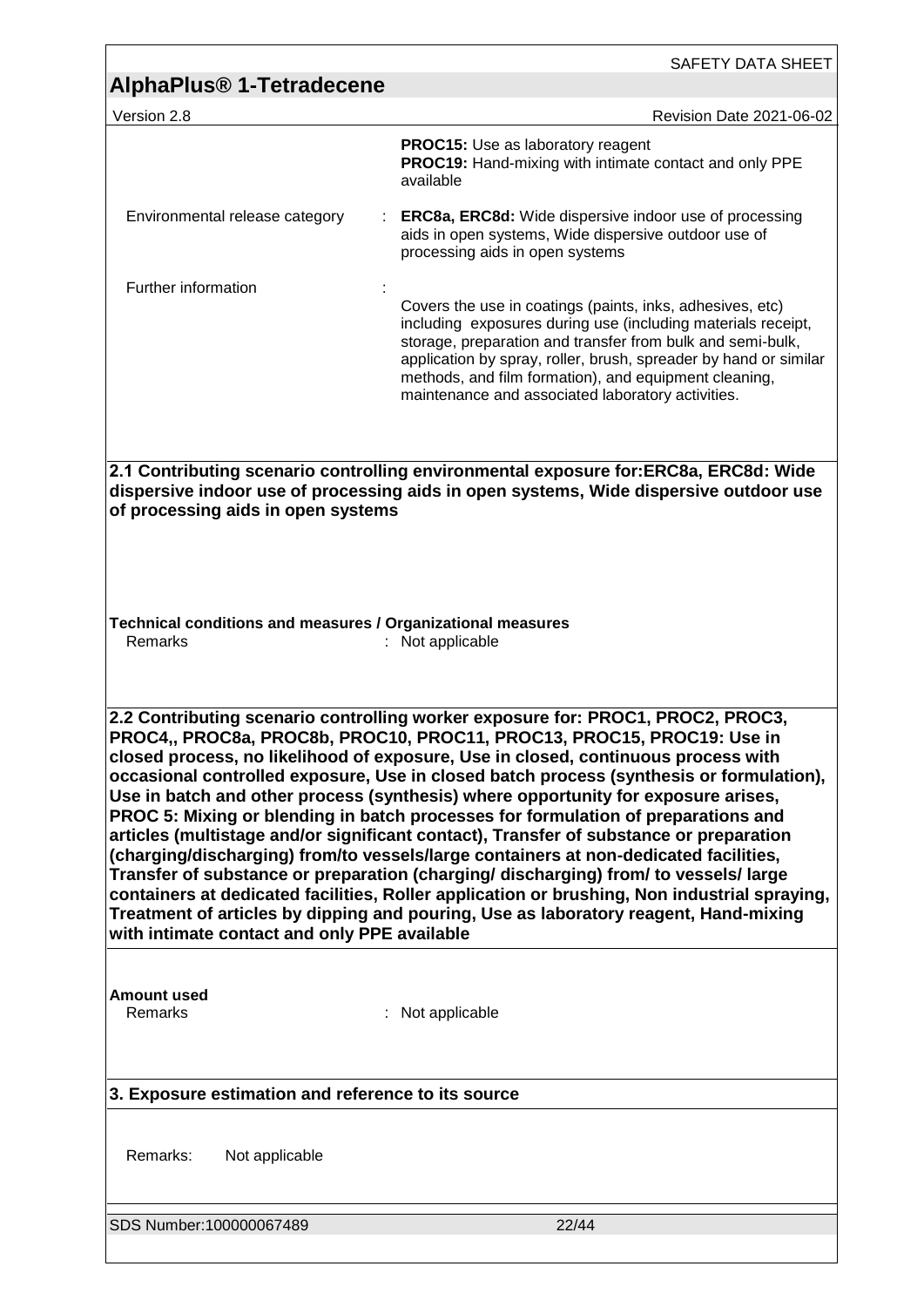|                                                                                                                                                                                                                                                                                                                                                                                                                                                                                                                                                                                                                                                                                                                                                                                                                                                                                                                                                                                                                                     | SAFETY DATA SHEET                                                                                                                                                                                                                                                                                                                                                         |  |
|-------------------------------------------------------------------------------------------------------------------------------------------------------------------------------------------------------------------------------------------------------------------------------------------------------------------------------------------------------------------------------------------------------------------------------------------------------------------------------------------------------------------------------------------------------------------------------------------------------------------------------------------------------------------------------------------------------------------------------------------------------------------------------------------------------------------------------------------------------------------------------------------------------------------------------------------------------------------------------------------------------------------------------------|---------------------------------------------------------------------------------------------------------------------------------------------------------------------------------------------------------------------------------------------------------------------------------------------------------------------------------------------------------------------------|--|
| <b>AlphaPlus<sup>®</sup> 1-Tetradecene</b>                                                                                                                                                                                                                                                                                                                                                                                                                                                                                                                                                                                                                                                                                                                                                                                                                                                                                                                                                                                          |                                                                                                                                                                                                                                                                                                                                                                           |  |
| Version 2.8                                                                                                                                                                                                                                                                                                                                                                                                                                                                                                                                                                                                                                                                                                                                                                                                                                                                                                                                                                                                                         | Revision Date 2021-06-02                                                                                                                                                                                                                                                                                                                                                  |  |
|                                                                                                                                                                                                                                                                                                                                                                                                                                                                                                                                                                                                                                                                                                                                                                                                                                                                                                                                                                                                                                     | PROC15: Use as laboratory reagent<br><b>PROC19:</b> Hand-mixing with intimate contact and only PPE<br>available                                                                                                                                                                                                                                                           |  |
| Environmental release category                                                                                                                                                                                                                                                                                                                                                                                                                                                                                                                                                                                                                                                                                                                                                                                                                                                                                                                                                                                                      | <b>ERC8a, ERC8d:</b> Wide dispersive indoor use of processing<br>aids in open systems, Wide dispersive outdoor use of<br>processing aids in open systems                                                                                                                                                                                                                  |  |
| Further information                                                                                                                                                                                                                                                                                                                                                                                                                                                                                                                                                                                                                                                                                                                                                                                                                                                                                                                                                                                                                 |                                                                                                                                                                                                                                                                                                                                                                           |  |
|                                                                                                                                                                                                                                                                                                                                                                                                                                                                                                                                                                                                                                                                                                                                                                                                                                                                                                                                                                                                                                     | Covers the use in coatings (paints, inks, adhesives, etc)<br>including exposures during use (including materials receipt,<br>storage, preparation and transfer from bulk and semi-bulk,<br>application by spray, roller, brush, spreader by hand or similar<br>methods, and film formation), and equipment cleaning,<br>maintenance and associated laboratory activities. |  |
|                                                                                                                                                                                                                                                                                                                                                                                                                                                                                                                                                                                                                                                                                                                                                                                                                                                                                                                                                                                                                                     |                                                                                                                                                                                                                                                                                                                                                                           |  |
| 2.1 Contributing scenario controlling environmental exposure for:ERC8a, ERC8d: Wide<br>dispersive indoor use of processing aids in open systems, Wide dispersive outdoor use<br>of processing aids in open systems                                                                                                                                                                                                                                                                                                                                                                                                                                                                                                                                                                                                                                                                                                                                                                                                                  |                                                                                                                                                                                                                                                                                                                                                                           |  |
| Technical conditions and measures / Organizational measures                                                                                                                                                                                                                                                                                                                                                                                                                                                                                                                                                                                                                                                                                                                                                                                                                                                                                                                                                                         |                                                                                                                                                                                                                                                                                                                                                                           |  |
| Remarks                                                                                                                                                                                                                                                                                                                                                                                                                                                                                                                                                                                                                                                                                                                                                                                                                                                                                                                                                                                                                             | : Not applicable                                                                                                                                                                                                                                                                                                                                                          |  |
|                                                                                                                                                                                                                                                                                                                                                                                                                                                                                                                                                                                                                                                                                                                                                                                                                                                                                                                                                                                                                                     |                                                                                                                                                                                                                                                                                                                                                                           |  |
| 2.2 Contributing scenario controlling worker exposure for: PROC1, PROC2, PROC3,<br>PROC4,, PROC8a, PROC8b, PROC10, PROC11, PROC13, PROC15, PROC19: Use in<br>closed process, no likelihood of exposure, Use in closed, continuous process with<br>occasional controlled exposure, Use in closed batch process (synthesis or formulation),<br>Use in batch and other process (synthesis) where opportunity for exposure arises,<br>PROC 5: Mixing or blending in batch processes for formulation of preparations and<br>articles (multistage and/or significant contact), Transfer of substance or preparation<br>(charging/discharging) from/to vessels/large containers at non-dedicated facilities,<br>Transfer of substance or preparation (charging/discharging) from/ to vessels/large<br>containers at dedicated facilities, Roller application or brushing, Non industrial spraying,<br>Treatment of articles by dipping and pouring, Use as laboratory reagent, Hand-mixing<br>with intimate contact and only PPE available |                                                                                                                                                                                                                                                                                                                                                                           |  |
| <b>Amount used</b><br>Remarks                                                                                                                                                                                                                                                                                                                                                                                                                                                                                                                                                                                                                                                                                                                                                                                                                                                                                                                                                                                                       | : Not applicable                                                                                                                                                                                                                                                                                                                                                          |  |
| 3. Exposure estimation and reference to its source                                                                                                                                                                                                                                                                                                                                                                                                                                                                                                                                                                                                                                                                                                                                                                                                                                                                                                                                                                                  |                                                                                                                                                                                                                                                                                                                                                                           |  |
| Remarks:<br>Not applicable                                                                                                                                                                                                                                                                                                                                                                                                                                                                                                                                                                                                                                                                                                                                                                                                                                                                                                                                                                                                          |                                                                                                                                                                                                                                                                                                                                                                           |  |
| SDS Number:100000067489                                                                                                                                                                                                                                                                                                                                                                                                                                                                                                                                                                                                                                                                                                                                                                                                                                                                                                                                                                                                             | 22/44                                                                                                                                                                                                                                                                                                                                                                     |  |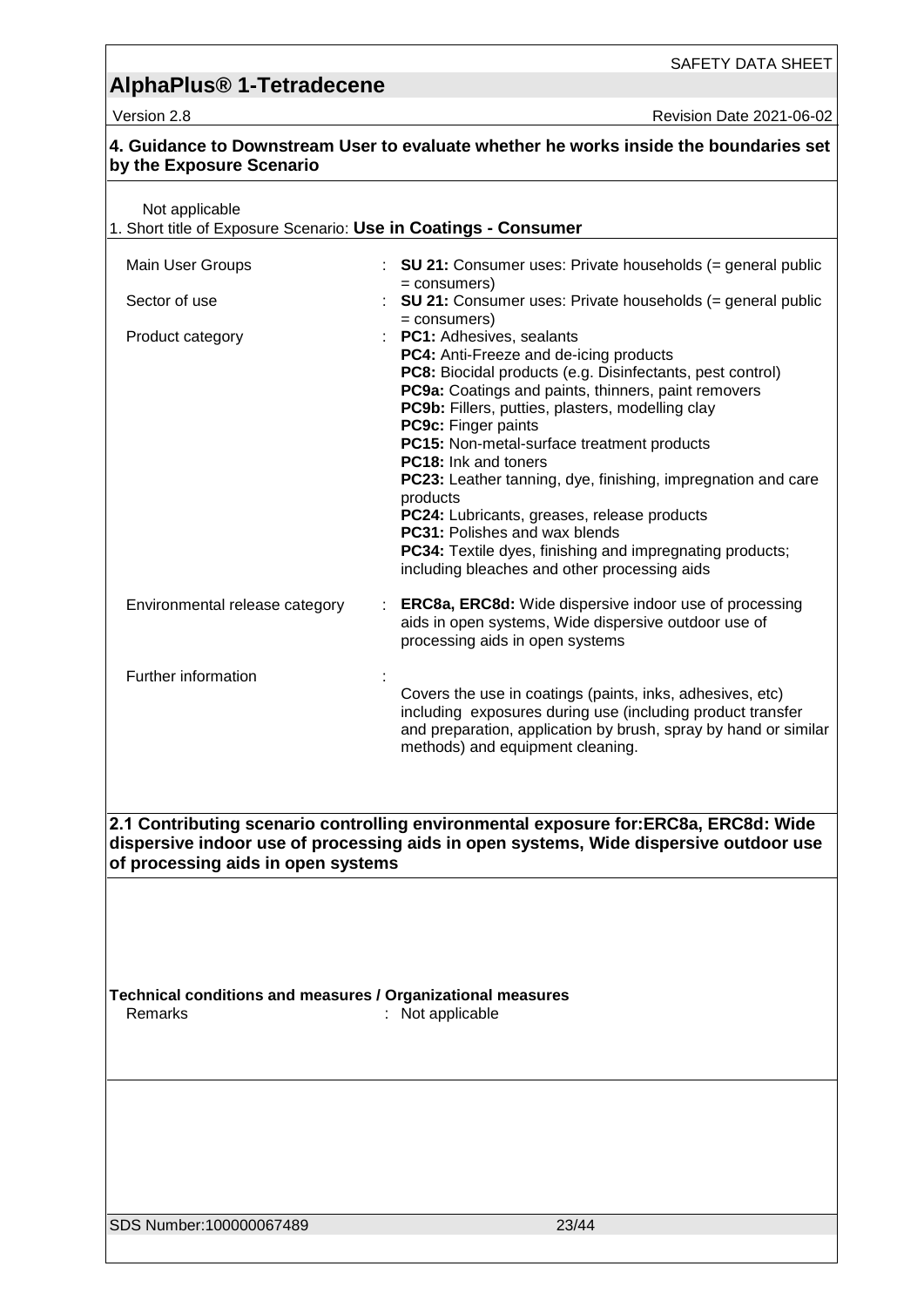Version 2.8 Revision Date 2021-06-02

| by the Exposure Scenario                                                          | 4. Guidance to Downstream User to evaluate whether he works inside the boundaries set                                                                                                                                                                                                                                                                                                                                                                                                                                                                                                                                                |
|-----------------------------------------------------------------------------------|--------------------------------------------------------------------------------------------------------------------------------------------------------------------------------------------------------------------------------------------------------------------------------------------------------------------------------------------------------------------------------------------------------------------------------------------------------------------------------------------------------------------------------------------------------------------------------------------------------------------------------------|
| Not applicable<br>1. Short title of Exposure Scenario: Use in Coatings - Consumer |                                                                                                                                                                                                                                                                                                                                                                                                                                                                                                                                                                                                                                      |
| Main User Groups                                                                  | <b>SU 21:</b> Consumer uses: Private households $(=$ general public                                                                                                                                                                                                                                                                                                                                                                                                                                                                                                                                                                  |
| Sector of use                                                                     | = consumers)<br><b>SU 21:</b> Consumer uses: Private households (= general public<br>= consumers)                                                                                                                                                                                                                                                                                                                                                                                                                                                                                                                                    |
| Product category                                                                  | PC1: Adhesives, sealants<br>PC4: Anti-Freeze and de-icing products<br>PC8: Biocidal products (e.g. Disinfectants, pest control)<br>PC9a: Coatings and paints, thinners, paint removers<br>PC9b: Fillers, putties, plasters, modelling clay<br>PC9c: Finger paints<br>PC15: Non-metal-surface treatment products<br><b>PC18:</b> Ink and toners<br>PC23: Leather tanning, dye, finishing, impregnation and care<br>products<br>PC24: Lubricants, greases, release products<br><b>PC31: Polishes and wax blends</b><br><b>PC34:</b> Textile dyes, finishing and impregnating products;<br>including bleaches and other processing aids |
| Environmental release category                                                    | <b>ERC8a, ERC8d:</b> Wide dispersive indoor use of processing<br>aids in open systems, Wide dispersive outdoor use of<br>processing aids in open systems                                                                                                                                                                                                                                                                                                                                                                                                                                                                             |
| Further information                                                               |                                                                                                                                                                                                                                                                                                                                                                                                                                                                                                                                                                                                                                      |
|                                                                                   | Covers the use in coatings (paints, inks, adhesives, etc)<br>including exposures during use (including product transfer<br>and preparation, application by brush, spray by hand or similar<br>methods) and equipment cleaning.                                                                                                                                                                                                                                                                                                                                                                                                       |
| of processing aids in open systems                                                | 2.1 Contributing scenario controlling environmental exposure for:ERC8a, ERC8d: Wide<br>dispersive indoor use of processing aids in open systems, Wide dispersive outdoor use                                                                                                                                                                                                                                                                                                                                                                                                                                                         |
| Technical conditions and measures / Organizational measures<br>Remarks            | : Not applicable                                                                                                                                                                                                                                                                                                                                                                                                                                                                                                                                                                                                                     |
|                                                                                   |                                                                                                                                                                                                                                                                                                                                                                                                                                                                                                                                                                                                                                      |
| SDS Number:100000067489                                                           | 23/44                                                                                                                                                                                                                                                                                                                                                                                                                                                                                                                                                                                                                                |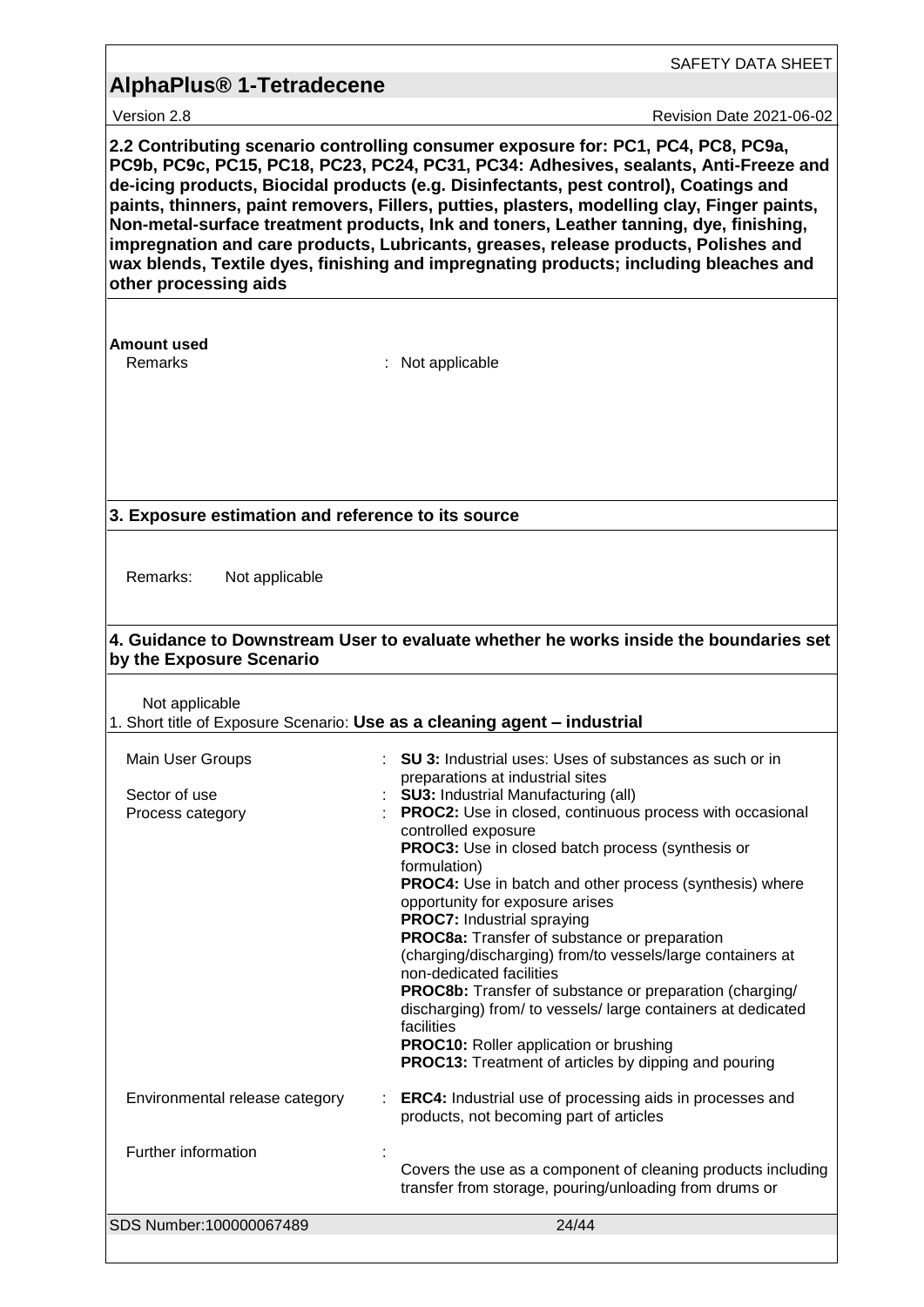|                                                                                                                                                                                                                                                                                                                                                                                                                                                                                                                                                                                                                                                                       | SAFETY DATA SHEET                                                                                                                                                                                                                                                                                                                                                                                                                                                                                                                                                                                                                                                                                                                                                                                                                                                                                                                                                              |  |
|-----------------------------------------------------------------------------------------------------------------------------------------------------------------------------------------------------------------------------------------------------------------------------------------------------------------------------------------------------------------------------------------------------------------------------------------------------------------------------------------------------------------------------------------------------------------------------------------------------------------------------------------------------------------------|--------------------------------------------------------------------------------------------------------------------------------------------------------------------------------------------------------------------------------------------------------------------------------------------------------------------------------------------------------------------------------------------------------------------------------------------------------------------------------------------------------------------------------------------------------------------------------------------------------------------------------------------------------------------------------------------------------------------------------------------------------------------------------------------------------------------------------------------------------------------------------------------------------------------------------------------------------------------------------|--|
| <b>AlphaPlus<sup>®</sup> 1-Tetradecene</b>                                                                                                                                                                                                                                                                                                                                                                                                                                                                                                                                                                                                                            |                                                                                                                                                                                                                                                                                                                                                                                                                                                                                                                                                                                                                                                                                                                                                                                                                                                                                                                                                                                |  |
| Version 2.8                                                                                                                                                                                                                                                                                                                                                                                                                                                                                                                                                                                                                                                           | <b>Revision Date 2021-06-02</b>                                                                                                                                                                                                                                                                                                                                                                                                                                                                                                                                                                                                                                                                                                                                                                                                                                                                                                                                                |  |
| 2.2 Contributing scenario controlling consumer exposure for: PC1, PC4, PC8, PC9a,<br>PC9b, PC9c, PC15, PC18, PC23, PC24, PC31, PC34: Adhesives, sealants, Anti-Freeze and<br>de-icing products, Biocidal products (e.g. Disinfectants, pest control), Coatings and<br>paints, thinners, paint removers, Fillers, putties, plasters, modelling clay, Finger paints,<br>Non-metal-surface treatment products, Ink and toners, Leather tanning, dye, finishing,<br>impregnation and care products, Lubricants, greases, release products, Polishes and<br>wax blends, Textile dyes, finishing and impregnating products; including bleaches and<br>other processing aids |                                                                                                                                                                                                                                                                                                                                                                                                                                                                                                                                                                                                                                                                                                                                                                                                                                                                                                                                                                                |  |
| Amount used<br>Remarks                                                                                                                                                                                                                                                                                                                                                                                                                                                                                                                                                                                                                                                | : Not applicable                                                                                                                                                                                                                                                                                                                                                                                                                                                                                                                                                                                                                                                                                                                                                                                                                                                                                                                                                               |  |
| 3. Exposure estimation and reference to its source                                                                                                                                                                                                                                                                                                                                                                                                                                                                                                                                                                                                                    |                                                                                                                                                                                                                                                                                                                                                                                                                                                                                                                                                                                                                                                                                                                                                                                                                                                                                                                                                                                |  |
|                                                                                                                                                                                                                                                                                                                                                                                                                                                                                                                                                                                                                                                                       |                                                                                                                                                                                                                                                                                                                                                                                                                                                                                                                                                                                                                                                                                                                                                                                                                                                                                                                                                                                |  |
| Remarks:<br>Not applicable<br>4. Guidance to Downstream User to evaluate whether he works inside the boundaries set                                                                                                                                                                                                                                                                                                                                                                                                                                                                                                                                                   |                                                                                                                                                                                                                                                                                                                                                                                                                                                                                                                                                                                                                                                                                                                                                                                                                                                                                                                                                                                |  |
| by the Exposure Scenario                                                                                                                                                                                                                                                                                                                                                                                                                                                                                                                                                                                                                                              |                                                                                                                                                                                                                                                                                                                                                                                                                                                                                                                                                                                                                                                                                                                                                                                                                                                                                                                                                                                |  |
| Not applicable<br>1. Short title of Exposure Scenario: Use as a cleaning agent - industrial                                                                                                                                                                                                                                                                                                                                                                                                                                                                                                                                                                           |                                                                                                                                                                                                                                                                                                                                                                                                                                                                                                                                                                                                                                                                                                                                                                                                                                                                                                                                                                                |  |
| Main User Groups                                                                                                                                                                                                                                                                                                                                                                                                                                                                                                                                                                                                                                                      | <b>SU 3:</b> Industrial uses: Uses of substances as such or in                                                                                                                                                                                                                                                                                                                                                                                                                                                                                                                                                                                                                                                                                                                                                                                                                                                                                                                 |  |
| Sector of use<br>Process category<br>Environmental release category<br>Further information                                                                                                                                                                                                                                                                                                                                                                                                                                                                                                                                                                            | preparations at industrial sites<br><b>SU3: Industrial Manufacturing (all)</b><br><b>PROC2:</b> Use in closed, continuous process with occasional<br>controlled exposure<br><b>PROC3:</b> Use in closed batch process (synthesis or<br>formulation)<br><b>PROC4:</b> Use in batch and other process (synthesis) where<br>opportunity for exposure arises<br><b>PROC7:</b> Industrial spraying<br>PROC8a: Transfer of substance or preparation<br>(charging/discharging) from/to vessels/large containers at<br>non-dedicated facilities<br><b>PROC8b:</b> Transfer of substance or preparation (charging/<br>discharging) from/ to vessels/ large containers at dedicated<br>facilities<br>PROC10: Roller application or brushing<br><b>PROC13:</b> Treatment of articles by dipping and pouring<br><b>ERC4:</b> Industrial use of processing aids in processes and<br>products, not becoming part of articles<br>Covers the use as a component of cleaning products including |  |
|                                                                                                                                                                                                                                                                                                                                                                                                                                                                                                                                                                                                                                                                       | transfer from storage, pouring/unloading from drums or                                                                                                                                                                                                                                                                                                                                                                                                                                                                                                                                                                                                                                                                                                                                                                                                                                                                                                                         |  |
| SDS Number:100000067489                                                                                                                                                                                                                                                                                                                                                                                                                                                                                                                                                                                                                                               | 24/44                                                                                                                                                                                                                                                                                                                                                                                                                                                                                                                                                                                                                                                                                                                                                                                                                                                                                                                                                                          |  |

<u> 1989 - Johann Stoff, deutscher Stoff, der Stoff, der Stoff, der Stoff, der Stoff, der Stoff, der Stoff, der S</u>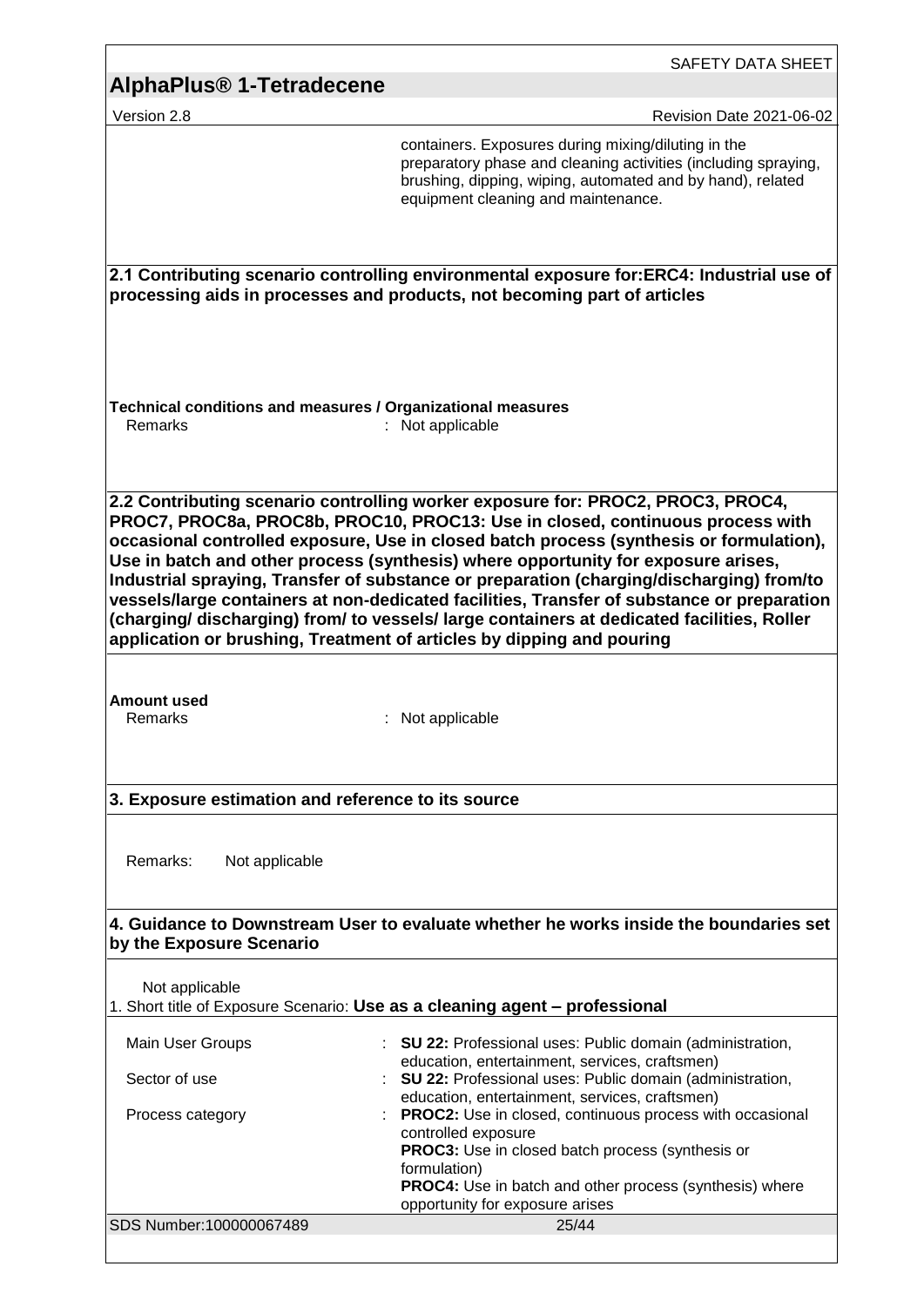| AlphaPlus® 1-Tetradecene                                               |                                                                                                                                                                                                                                                                                                                                                                                                                                                                                                                                                                                                                                                                                                                   |
|------------------------------------------------------------------------|-------------------------------------------------------------------------------------------------------------------------------------------------------------------------------------------------------------------------------------------------------------------------------------------------------------------------------------------------------------------------------------------------------------------------------------------------------------------------------------------------------------------------------------------------------------------------------------------------------------------------------------------------------------------------------------------------------------------|
|                                                                        |                                                                                                                                                                                                                                                                                                                                                                                                                                                                                                                                                                                                                                                                                                                   |
| Version 2.8                                                            | <b>Revision Date 2021-06-02</b>                                                                                                                                                                                                                                                                                                                                                                                                                                                                                                                                                                                                                                                                                   |
|                                                                        | containers. Exposures during mixing/diluting in the<br>preparatory phase and cleaning activities (including spraying,<br>brushing, dipping, wiping, automated and by hand), related<br>equipment cleaning and maintenance.                                                                                                                                                                                                                                                                                                                                                                                                                                                                                        |
|                                                                        | 2.1 Contributing scenario controlling environmental exposure for:ERC4: Industrial use of<br>processing aids in processes and products, not becoming part of articles                                                                                                                                                                                                                                                                                                                                                                                                                                                                                                                                              |
| Technical conditions and measures / Organizational measures<br>Remarks | : Not applicable                                                                                                                                                                                                                                                                                                                                                                                                                                                                                                                                                                                                                                                                                                  |
|                                                                        | 2.2 Contributing scenario controlling worker exposure for: PROC2, PROC3, PROC4,<br>PROC7, PROC8a, PROC8b, PROC10, PROC13: Use in closed, continuous process with<br>occasional controlled exposure, Use in closed batch process (synthesis or formulation),<br>Use in batch and other process (synthesis) where opportunity for exposure arises,<br>Industrial spraying, Transfer of substance or preparation (charging/discharging) from/to<br>vessels/large containers at non-dedicated facilities, Transfer of substance or preparation<br>(charging/ discharging) from/ to vessels/ large containers at dedicated facilities, Roller<br>application or brushing, Treatment of articles by dipping and pouring |
| <b>Amount used</b><br>Remarks                                          |                                                                                                                                                                                                                                                                                                                                                                                                                                                                                                                                                                                                                                                                                                                   |
|                                                                        | Not applicable                                                                                                                                                                                                                                                                                                                                                                                                                                                                                                                                                                                                                                                                                                    |
| 3. Exposure estimation and reference to its source                     |                                                                                                                                                                                                                                                                                                                                                                                                                                                                                                                                                                                                                                                                                                                   |
| Remarks:<br>Not applicable                                             |                                                                                                                                                                                                                                                                                                                                                                                                                                                                                                                                                                                                                                                                                                                   |
| Not applicable                                                         | 4. Guidance to Downstream User to evaluate whether he works inside the boundaries set<br>1. Short title of Exposure Scenario: Use as a cleaning agent - professional                                                                                                                                                                                                                                                                                                                                                                                                                                                                                                                                              |
| Main User Groups                                                       | <b>SU 22: Professional uses: Public domain (administration,</b>                                                                                                                                                                                                                                                                                                                                                                                                                                                                                                                                                                                                                                                   |
| Sector of use                                                          | education, entertainment, services, craftsmen)<br>SU 22: Professional uses: Public domain (administration,                                                                                                                                                                                                                                                                                                                                                                                                                                                                                                                                                                                                        |
| by the Exposure Scenario<br>Process category                           | education, entertainment, services, craftsmen)<br><b>PROC2:</b> Use in closed, continuous process with occasional<br>controlled exposure<br><b>PROC3:</b> Use in closed batch process (synthesis or<br>formulation)<br>PROC4: Use in batch and other process (synthesis) where<br>opportunity for exposure arises                                                                                                                                                                                                                                                                                                                                                                                                 |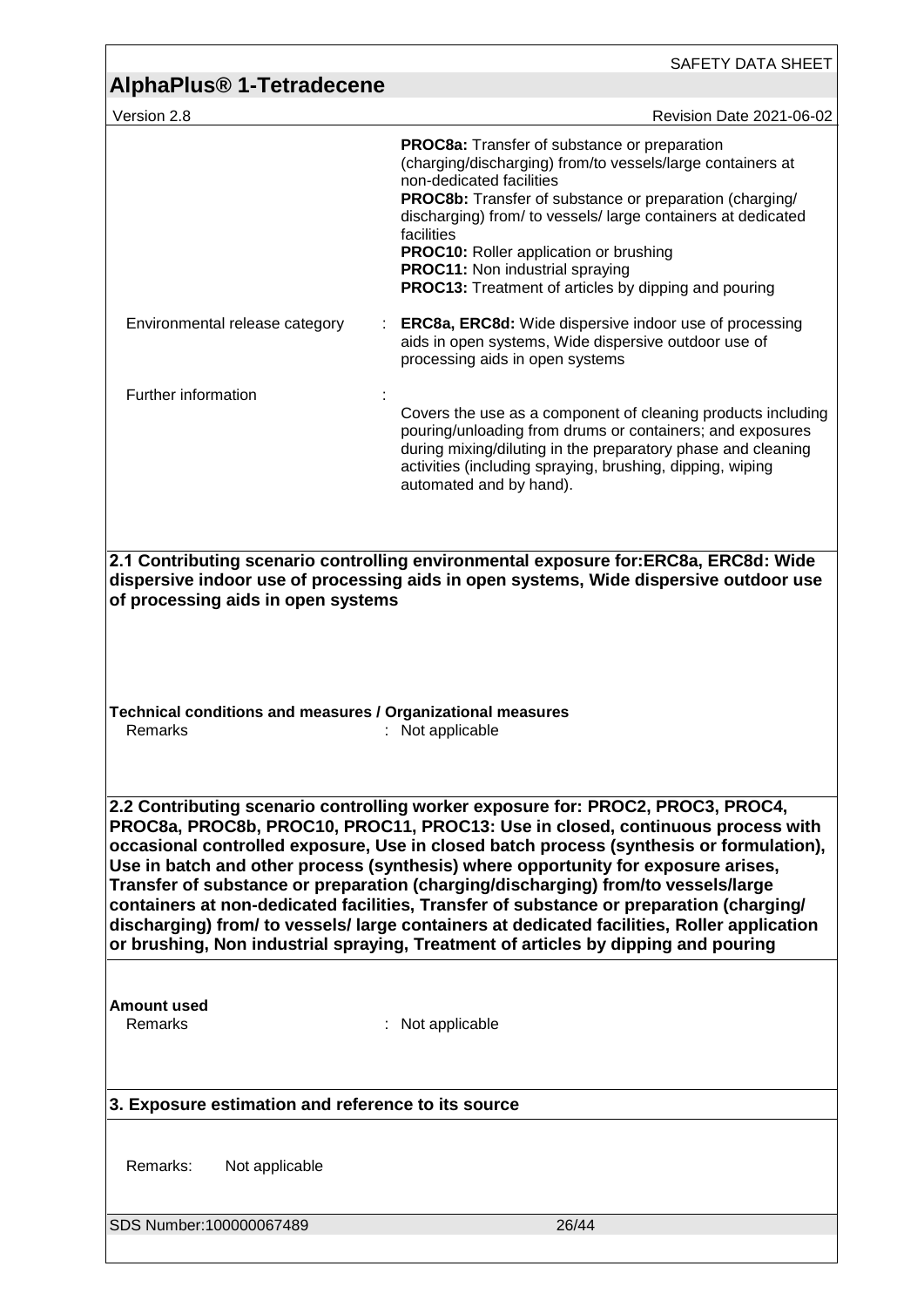| AlphaPlus <sup>®</sup> 1-Tetradecene                                                                                                                                                                                                                                                                                                                                                                                                                                                                                                                                                                                                                                                                                   | SAFETY DATA SHEET                                                                                                                                                                                                                                                                                                                                                                                                                         |  |
|------------------------------------------------------------------------------------------------------------------------------------------------------------------------------------------------------------------------------------------------------------------------------------------------------------------------------------------------------------------------------------------------------------------------------------------------------------------------------------------------------------------------------------------------------------------------------------------------------------------------------------------------------------------------------------------------------------------------|-------------------------------------------------------------------------------------------------------------------------------------------------------------------------------------------------------------------------------------------------------------------------------------------------------------------------------------------------------------------------------------------------------------------------------------------|--|
| Version 2.8                                                                                                                                                                                                                                                                                                                                                                                                                                                                                                                                                                                                                                                                                                            | Revision Date 2021-06-02                                                                                                                                                                                                                                                                                                                                                                                                                  |  |
|                                                                                                                                                                                                                                                                                                                                                                                                                                                                                                                                                                                                                                                                                                                        | PROC8a: Transfer of substance or preparation<br>(charging/discharging) from/to vessels/large containers at<br>non-dedicated facilities<br>PROC8b: Transfer of substance or preparation (charging/<br>discharging) from/ to vessels/ large containers at dedicated<br>facilities<br><b>PROC10:</b> Roller application or brushing<br><b>PROC11:</b> Non industrial spraying<br><b>PROC13:</b> Treatment of articles by dipping and pouring |  |
| Environmental release category                                                                                                                                                                                                                                                                                                                                                                                                                                                                                                                                                                                                                                                                                         | <b>ERC8a, ERC8d:</b> Wide dispersive indoor use of processing<br>aids in open systems, Wide dispersive outdoor use of<br>processing aids in open systems                                                                                                                                                                                                                                                                                  |  |
| Further information                                                                                                                                                                                                                                                                                                                                                                                                                                                                                                                                                                                                                                                                                                    |                                                                                                                                                                                                                                                                                                                                                                                                                                           |  |
|                                                                                                                                                                                                                                                                                                                                                                                                                                                                                                                                                                                                                                                                                                                        | Covers the use as a component of cleaning products including<br>pouring/unloading from drums or containers; and exposures<br>during mixing/diluting in the preparatory phase and cleaning<br>activities (including spraying, brushing, dipping, wiping<br>automated and by hand).                                                                                                                                                         |  |
|                                                                                                                                                                                                                                                                                                                                                                                                                                                                                                                                                                                                                                                                                                                        |                                                                                                                                                                                                                                                                                                                                                                                                                                           |  |
| Technical conditions and measures / Organizational measures<br>Remarks                                                                                                                                                                                                                                                                                                                                                                                                                                                                                                                                                                                                                                                 | Not applicable                                                                                                                                                                                                                                                                                                                                                                                                                            |  |
| 2.2 Contributing scenario controlling worker exposure for: PROC2, PROC3, PROC4,<br>PROC8a, PROC8b, PROC10, PROC11, PROC13: Use in closed, continuous process with<br>occasional controlled exposure, Use in closed batch process (synthesis or formulation),<br>Use in batch and other process (synthesis) where opportunity for exposure arises,<br>Transfer of substance or preparation (charging/discharging) from/to vessels/large<br>containers at non-dedicated facilities, Transfer of substance or preparation (charging/<br>discharging) from/ to vessels/ large containers at dedicated facilities, Roller application<br>or brushing, Non industrial spraying, Treatment of articles by dipping and pouring |                                                                                                                                                                                                                                                                                                                                                                                                                                           |  |
| <b>Amount used</b><br>Remarks                                                                                                                                                                                                                                                                                                                                                                                                                                                                                                                                                                                                                                                                                          | Not applicable                                                                                                                                                                                                                                                                                                                                                                                                                            |  |
| 3. Exposure estimation and reference to its source                                                                                                                                                                                                                                                                                                                                                                                                                                                                                                                                                                                                                                                                     |                                                                                                                                                                                                                                                                                                                                                                                                                                           |  |
| Remarks:<br>Not applicable                                                                                                                                                                                                                                                                                                                                                                                                                                                                                                                                                                                                                                                                                             |                                                                                                                                                                                                                                                                                                                                                                                                                                           |  |
| SDS Number:100000067489                                                                                                                                                                                                                                                                                                                                                                                                                                                                                                                                                                                                                                                                                                | 26/44                                                                                                                                                                                                                                                                                                                                                                                                                                     |  |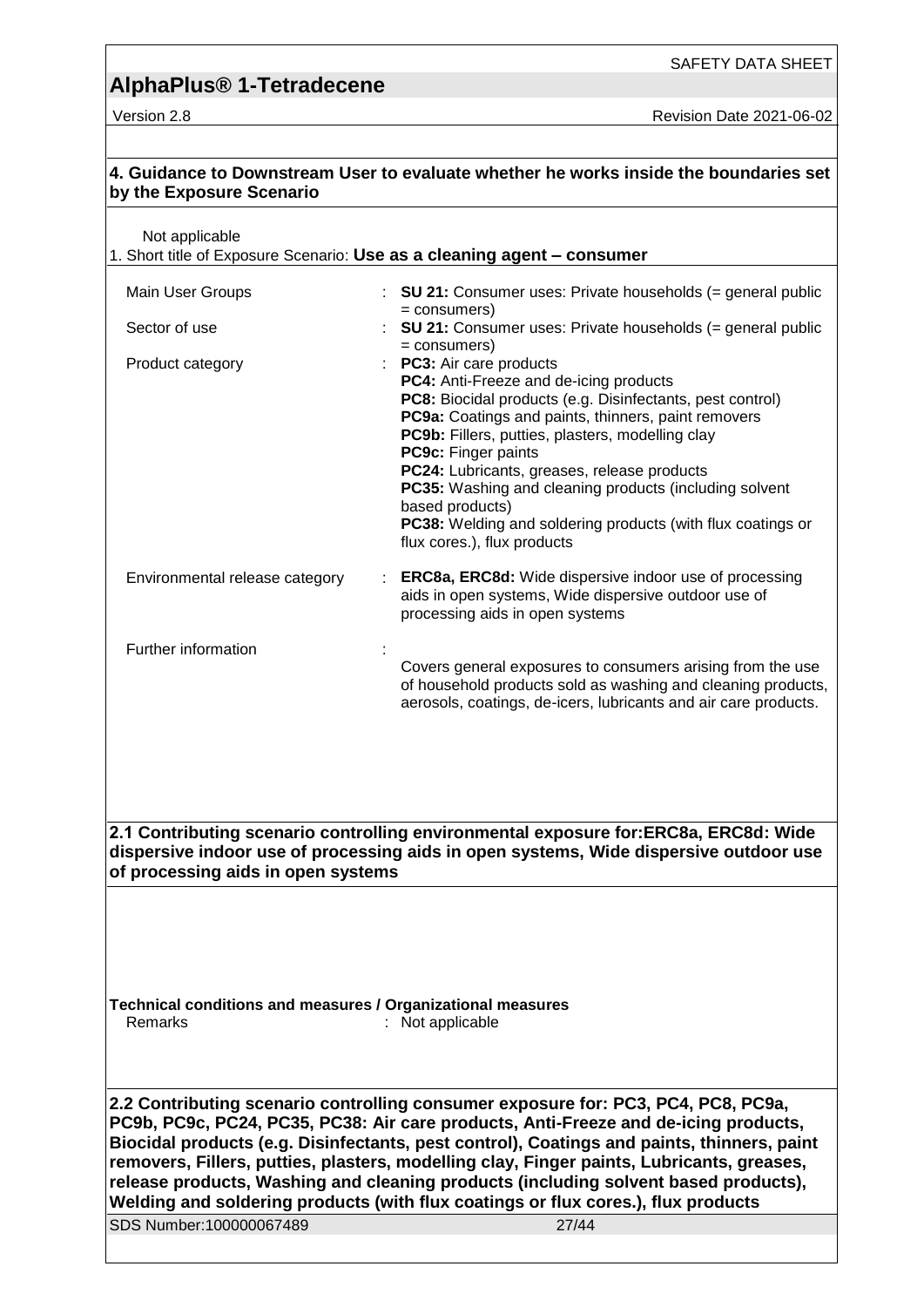Version 2.8 **Version 2.8** Revision Date 2021-06-02

| by the Exposure Scenario                                                                                                                                                                                                                                                                                                                                                                                                                                                                                                                        | 4. Guidance to Downstream User to evaluate whether he works inside the boundaries set                                                                                                                                                                                                                                                          |  |
|-------------------------------------------------------------------------------------------------------------------------------------------------------------------------------------------------------------------------------------------------------------------------------------------------------------------------------------------------------------------------------------------------------------------------------------------------------------------------------------------------------------------------------------------------|------------------------------------------------------------------------------------------------------------------------------------------------------------------------------------------------------------------------------------------------------------------------------------------------------------------------------------------------|--|
| Not applicable                                                                                                                                                                                                                                                                                                                                                                                                                                                                                                                                  | 1. Short title of Exposure Scenario: Use as a cleaning agent - consumer                                                                                                                                                                                                                                                                        |  |
| Main User Groups                                                                                                                                                                                                                                                                                                                                                                                                                                                                                                                                | : SU 21: Consumer uses: Private households $(=$ general public                                                                                                                                                                                                                                                                                 |  |
|                                                                                                                                                                                                                                                                                                                                                                                                                                                                                                                                                 | $=$ consumers)                                                                                                                                                                                                                                                                                                                                 |  |
| Sector of use                                                                                                                                                                                                                                                                                                                                                                                                                                                                                                                                   | <b>SU 21:</b> Consumer uses: Private households (= general public<br>$=$ consumers)                                                                                                                                                                                                                                                            |  |
| Product category                                                                                                                                                                                                                                                                                                                                                                                                                                                                                                                                | <b>PC3:</b> Air care products                                                                                                                                                                                                                                                                                                                  |  |
|                                                                                                                                                                                                                                                                                                                                                                                                                                                                                                                                                 | PC4: Anti-Freeze and de-icing products<br>PC8: Biocidal products (e.g. Disinfectants, pest control)<br>PC9a: Coatings and paints, thinners, paint removers<br>PC9b: Fillers, putties, plasters, modelling clay<br>PC9c: Finger paints<br>PC24: Lubricants, greases, release products<br>PC35: Washing and cleaning products (including solvent |  |
|                                                                                                                                                                                                                                                                                                                                                                                                                                                                                                                                                 | based products)                                                                                                                                                                                                                                                                                                                                |  |
|                                                                                                                                                                                                                                                                                                                                                                                                                                                                                                                                                 | PC38: Welding and soldering products (with flux coatings or<br>flux cores.), flux products                                                                                                                                                                                                                                                     |  |
| Environmental release category                                                                                                                                                                                                                                                                                                                                                                                                                                                                                                                  | <b>ERC8a, ERC8d:</b> Wide dispersive indoor use of processing<br>aids in open systems, Wide dispersive outdoor use of<br>processing aids in open systems                                                                                                                                                                                       |  |
| Further information                                                                                                                                                                                                                                                                                                                                                                                                                                                                                                                             |                                                                                                                                                                                                                                                                                                                                                |  |
|                                                                                                                                                                                                                                                                                                                                                                                                                                                                                                                                                 | Covers general exposures to consumers arising from the use<br>of household products sold as washing and cleaning products,<br>aerosols, coatings, de-icers, lubricants and air care products.                                                                                                                                                  |  |
| of processing aids in open systems                                                                                                                                                                                                                                                                                                                                                                                                                                                                                                              | 2.1 Contributing scenario controlling environmental exposure for: ERC8a, ERC8d: Wide<br>dispersive indoor use of processing aids in open systems, Wide dispersive outdoor use                                                                                                                                                                  |  |
|                                                                                                                                                                                                                                                                                                                                                                                                                                                                                                                                                 |                                                                                                                                                                                                                                                                                                                                                |  |
|                                                                                                                                                                                                                                                                                                                                                                                                                                                                                                                                                 |                                                                                                                                                                                                                                                                                                                                                |  |
| Technical conditions and measures / Organizational measures<br>Remarks<br>: Not applicable                                                                                                                                                                                                                                                                                                                                                                                                                                                      |                                                                                                                                                                                                                                                                                                                                                |  |
|                                                                                                                                                                                                                                                                                                                                                                                                                                                                                                                                                 |                                                                                                                                                                                                                                                                                                                                                |  |
| 2.2 Contributing scenario controlling consumer exposure for: PC3, PC4, PC8, PC9a,<br>PC9b, PC9c, PC24, PC35, PC38: Air care products, Anti-Freeze and de-icing products,<br>Biocidal products (e.g. Disinfectants, pest control), Coatings and paints, thinners, paint<br>removers, Fillers, putties, plasters, modelling clay, Finger paints, Lubricants, greases,<br>release products, Washing and cleaning products (including solvent based products),<br>Welding and soldering products (with flux coatings or flux cores.), flux products |                                                                                                                                                                                                                                                                                                                                                |  |
| SDS Number:100000067489                                                                                                                                                                                                                                                                                                                                                                                                                                                                                                                         | 27/44                                                                                                                                                                                                                                                                                                                                          |  |
|                                                                                                                                                                                                                                                                                                                                                                                                                                                                                                                                                 |                                                                                                                                                                                                                                                                                                                                                |  |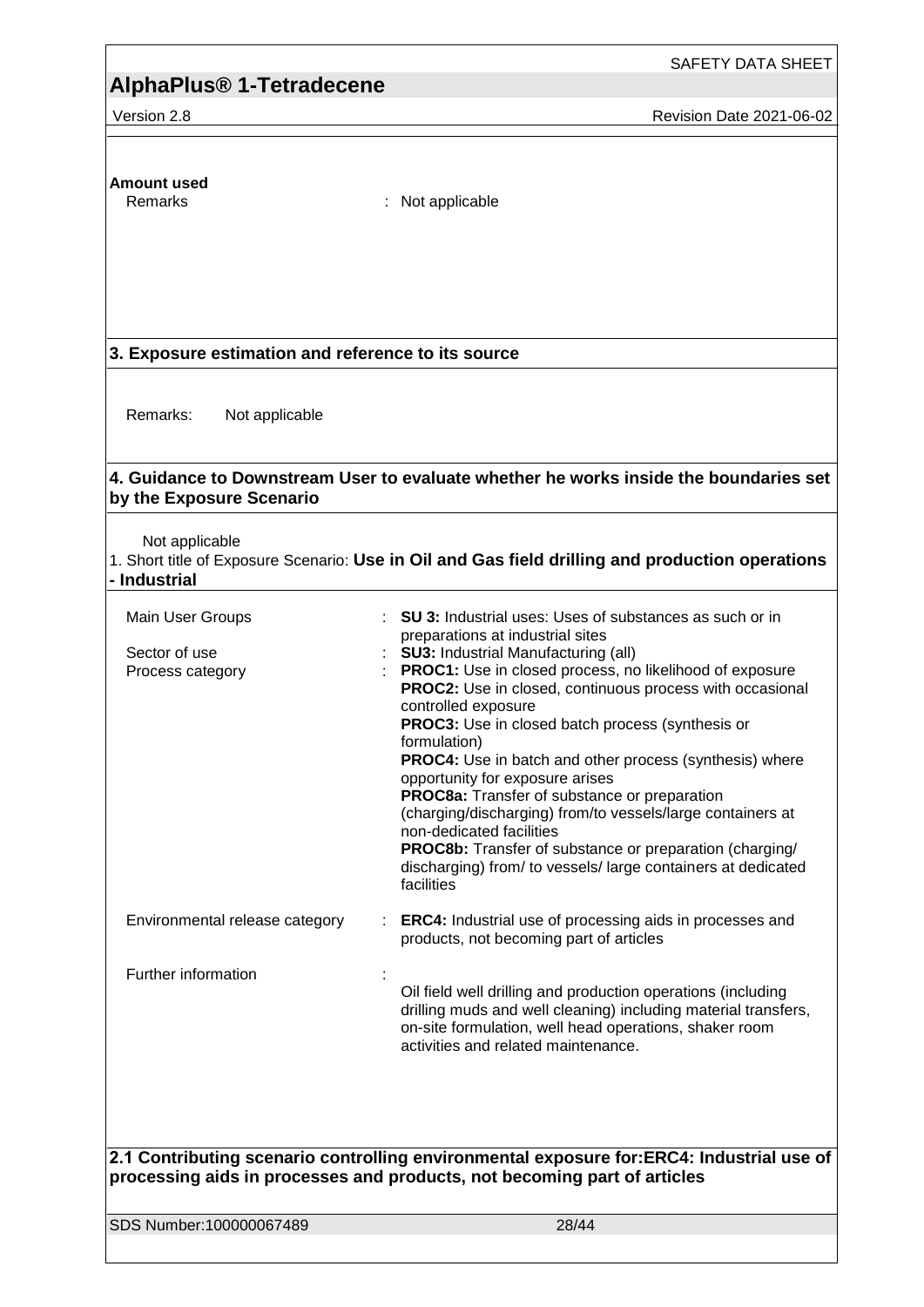### **AlphaPlus® 1-Tetradecene**

Version 2.8 **All 2021-06-02** Revision Date 2021-06-02

# **Amount used**

: Not applicable

### **3. Exposure estimation and reference to its source**

Remarks: Not applicable

#### **4. Guidance to Downstream User to evaluate whether he works inside the boundaries set by the Exposure Scenario**

Not applicable

1. Short title of Exposure Scenario: **Use in Oil and Gas field drilling and production operations - Industrial**

| Main User Groups<br>Sector of use<br>Process category | <b>SU 3:</b> Industrial uses: Uses of substances as such or in<br>preparations at industrial sites<br><b>SU3: Industrial Manufacturing (all)</b><br>PROC1: Use in closed process, no likelihood of exposure<br><b>PROC2:</b> Use in closed, continuous process with occasional<br>controlled exposure<br><b>PROC3:</b> Use in closed batch process (synthesis or<br>formulation)<br>PROC4: Use in batch and other process (synthesis) where<br>opportunity for exposure arises<br>PROC8a: Transfer of substance or preparation<br>(charging/discharging) from/to vessels/large containers at<br>non-dedicated facilities<br>PROC8b: Transfer of substance or preparation (charging/<br>discharging) from/ to vessels/ large containers at dedicated<br>facilities |
|-------------------------------------------------------|-------------------------------------------------------------------------------------------------------------------------------------------------------------------------------------------------------------------------------------------------------------------------------------------------------------------------------------------------------------------------------------------------------------------------------------------------------------------------------------------------------------------------------------------------------------------------------------------------------------------------------------------------------------------------------------------------------------------------------------------------------------------|
| Environmental release category                        | <b>ERC4:</b> Industrial use of processing aids in processes and<br>products, not becoming part of articles                                                                                                                                                                                                                                                                                                                                                                                                                                                                                                                                                                                                                                                        |
| Further information                                   | Oil field well drilling and production operations (including<br>drilling muds and well cleaning) including material transfers,<br>on-site formulation, well head operations, shaker room<br>activities and related maintenance.                                                                                                                                                                                                                                                                                                                                                                                                                                                                                                                                   |
|                                                       | 2.1 Contributing scenario controlling environmental exposure for:ERC4: Industrial use of<br>processing aids in processes and products, not becoming part of articles                                                                                                                                                                                                                                                                                                                                                                                                                                                                                                                                                                                              |

SDS Number:100000067489 28/44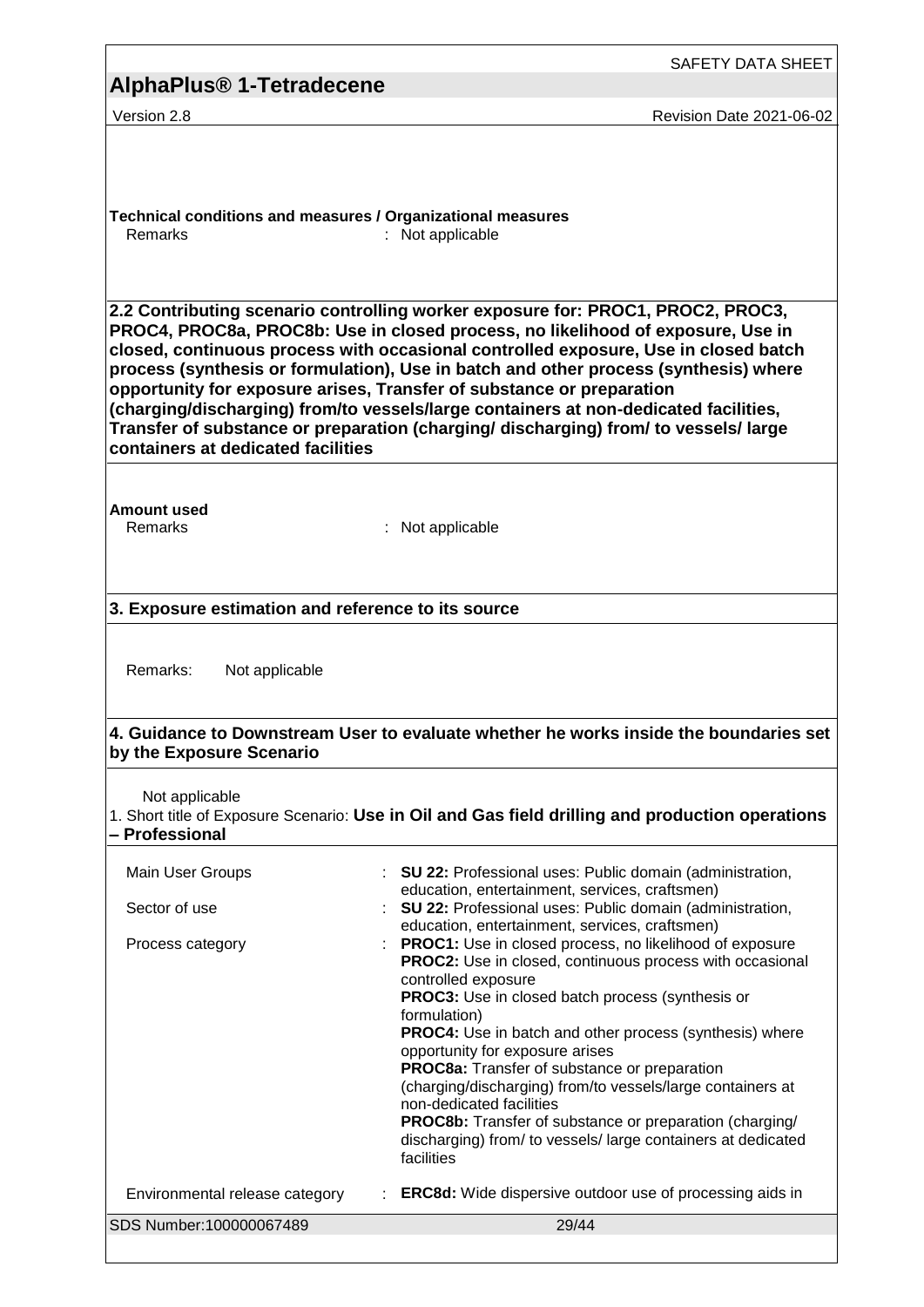|                                                                                                                                                                                                                                                                                                                                                                                                                                                                                                                                                                                                                                                | <b>SAFETY DATA SHEET</b>                                                                                                                                                                                                                                                                                                                                                                                                                                                                                                                                                                                                                                               |  |
|------------------------------------------------------------------------------------------------------------------------------------------------------------------------------------------------------------------------------------------------------------------------------------------------------------------------------------------------------------------------------------------------------------------------------------------------------------------------------------------------------------------------------------------------------------------------------------------------------------------------------------------------|------------------------------------------------------------------------------------------------------------------------------------------------------------------------------------------------------------------------------------------------------------------------------------------------------------------------------------------------------------------------------------------------------------------------------------------------------------------------------------------------------------------------------------------------------------------------------------------------------------------------------------------------------------------------|--|
| AlphaPlus <sup>®</sup> 1-Tetradecene                                                                                                                                                                                                                                                                                                                                                                                                                                                                                                                                                                                                           |                                                                                                                                                                                                                                                                                                                                                                                                                                                                                                                                                                                                                                                                        |  |
| Version 2.8                                                                                                                                                                                                                                                                                                                                                                                                                                                                                                                                                                                                                                    | Revision Date 2021-06-02                                                                                                                                                                                                                                                                                                                                                                                                                                                                                                                                                                                                                                               |  |
| Technical conditions and measures / Organizational measures<br>Remarks                                                                                                                                                                                                                                                                                                                                                                                                                                                                                                                                                                         | Not applicable                                                                                                                                                                                                                                                                                                                                                                                                                                                                                                                                                                                                                                                         |  |
| 2.2 Contributing scenario controlling worker exposure for: PROC1, PROC2, PROC3,<br>PROC4, PROC8a, PROC8b: Use in closed process, no likelihood of exposure, Use in<br>closed, continuous process with occasional controlled exposure, Use in closed batch<br>process (synthesis or formulation), Use in batch and other process (synthesis) where<br>opportunity for exposure arises, Transfer of substance or preparation<br>(charging/discharging) from/to vessels/large containers at non-dedicated facilities,<br>Transfer of substance or preparation (charging/discharging) from/ to vessels/large<br>containers at dedicated facilities |                                                                                                                                                                                                                                                                                                                                                                                                                                                                                                                                                                                                                                                                        |  |
| <b>Amount used</b><br>Remarks                                                                                                                                                                                                                                                                                                                                                                                                                                                                                                                                                                                                                  | : Not applicable                                                                                                                                                                                                                                                                                                                                                                                                                                                                                                                                                                                                                                                       |  |
| 3. Exposure estimation and reference to its source                                                                                                                                                                                                                                                                                                                                                                                                                                                                                                                                                                                             |                                                                                                                                                                                                                                                                                                                                                                                                                                                                                                                                                                                                                                                                        |  |
| Remarks:<br>Not applicable<br>4. Guidance to Downstream User to evaluate whether he works inside the boundaries set                                                                                                                                                                                                                                                                                                                                                                                                                                                                                                                            |                                                                                                                                                                                                                                                                                                                                                                                                                                                                                                                                                                                                                                                                        |  |
| by the Exposure Scenario                                                                                                                                                                                                                                                                                                                                                                                                                                                                                                                                                                                                                       |                                                                                                                                                                                                                                                                                                                                                                                                                                                                                                                                                                                                                                                                        |  |
| Not applicable<br>- Professional                                                                                                                                                                                                                                                                                                                                                                                                                                                                                                                                                                                                               | 1. Short title of Exposure Scenario: Use in Oil and Gas field drilling and production operations                                                                                                                                                                                                                                                                                                                                                                                                                                                                                                                                                                       |  |
| Main User Groups<br>Sector of use                                                                                                                                                                                                                                                                                                                                                                                                                                                                                                                                                                                                              | SU 22: Professional uses: Public domain (administration,<br>education, entertainment, services, craftsmen)<br>SU 22: Professional uses: Public domain (administration,                                                                                                                                                                                                                                                                                                                                                                                                                                                                                                 |  |
| Process category                                                                                                                                                                                                                                                                                                                                                                                                                                                                                                                                                                                                                               | education, entertainment, services, craftsmen)<br>PROC1: Use in closed process, no likelihood of exposure<br><b>PROC2:</b> Use in closed, continuous process with occasional<br>controlled exposure<br><b>PROC3:</b> Use in closed batch process (synthesis or<br>formulation)<br>PROC4: Use in batch and other process (synthesis) where<br>opportunity for exposure arises<br>PROC8a: Transfer of substance or preparation<br>(charging/discharging) from/to vessels/large containers at<br>non-dedicated facilities<br><b>PROC8b:</b> Transfer of substance or preparation (charging/<br>discharging) from/ to vessels/ large containers at dedicated<br>facilities |  |
| Environmental release category                                                                                                                                                                                                                                                                                                                                                                                                                                                                                                                                                                                                                 | <b>ERC8d:</b> Wide dispersive outdoor use of processing aids in                                                                                                                                                                                                                                                                                                                                                                                                                                                                                                                                                                                                        |  |
| SDS Number:100000067489                                                                                                                                                                                                                                                                                                                                                                                                                                                                                                                                                                                                                        | 29/44                                                                                                                                                                                                                                                                                                                                                                                                                                                                                                                                                                                                                                                                  |  |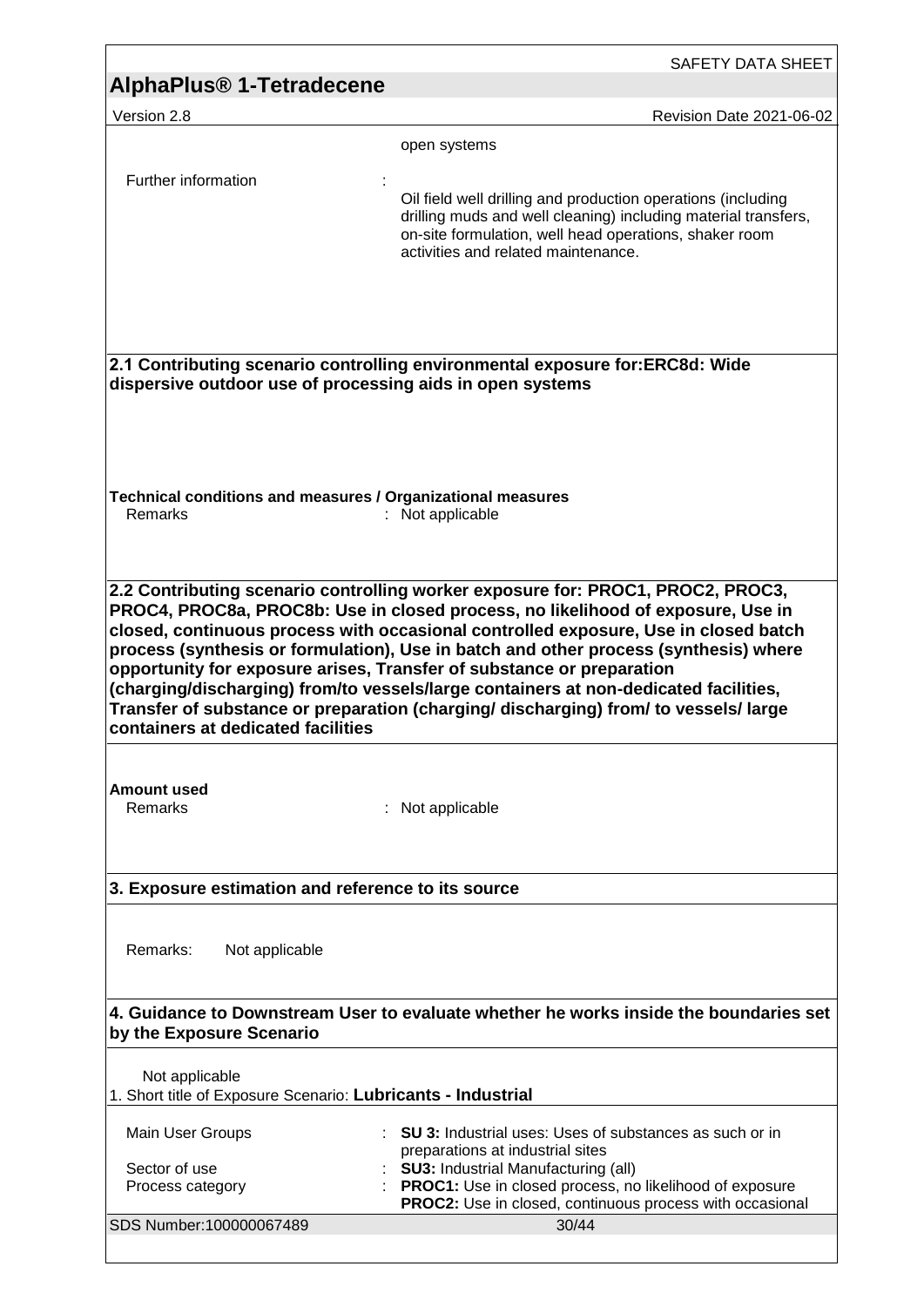|                                                                                                                   | SAFETY DATA SHEET                                                                                                                                                                                                                                   |
|-------------------------------------------------------------------------------------------------------------------|-----------------------------------------------------------------------------------------------------------------------------------------------------------------------------------------------------------------------------------------------------|
| AlphaPlus <sup>®</sup> 1-Tetradecene                                                                              |                                                                                                                                                                                                                                                     |
| Version 2.8                                                                                                       | Revision Date 2021-06-02                                                                                                                                                                                                                            |
| Further information                                                                                               | open systems<br>Oil field well drilling and production operations (including<br>drilling muds and well cleaning) including material transfers,                                                                                                      |
|                                                                                                                   | on-site formulation, well head operations, shaker room<br>activities and related maintenance.                                                                                                                                                       |
| dispersive outdoor use of processing aids in open systems                                                         | 2.1 Contributing scenario controlling environmental exposure for:ERC8d: Wide                                                                                                                                                                        |
|                                                                                                                   |                                                                                                                                                                                                                                                     |
| Technical conditions and measures / Organizational measures<br>Remarks                                            | : Not applicable                                                                                                                                                                                                                                    |
|                                                                                                                   | 2.2 Contributing scenario controlling worker exposure for: PROC1, PROC2, PROC3,<br>PROC4, PROC8a, PROC8b: Use in closed process, no likelihood of exposure, Use in                                                                                  |
|                                                                                                                   | closed, continuous process with occasional controlled exposure, Use in closed batch<br>process (synthesis or formulation), Use in batch and other process (synthesis) where                                                                         |
| containers at dedicated facilities                                                                                | opportunity for exposure arises, Transfer of substance or preparation<br>(charging/discharging) from/to vessels/large containers at non-dedicated facilities,<br>Transfer of substance or preparation (charging/discharging) from/ to vessels/large |
| <b>Amount used</b>                                                                                                |                                                                                                                                                                                                                                                     |
| <b>Remarks</b>                                                                                                    | Not applicable                                                                                                                                                                                                                                      |
| 3. Exposure estimation and reference to its source                                                                |                                                                                                                                                                                                                                                     |
| Remarks:<br>Not applicable                                                                                        |                                                                                                                                                                                                                                                     |
| 4. Guidance to Downstream User to evaluate whether he works inside the boundaries set<br>by the Exposure Scenario |                                                                                                                                                                                                                                                     |
| Not applicable<br>1. Short title of Exposure Scenario: Lubricants - Industrial                                    |                                                                                                                                                                                                                                                     |
| Main User Groups                                                                                                  | <b>SU 3:</b> Industrial uses: Uses of substances as such or in<br>preparations at industrial sites                                                                                                                                                  |
| Sector of use<br>Process category                                                                                 | SU3: Industrial Manufacturing (all)<br>PROC1: Use in closed process, no likelihood of exposure<br><b>PROC2:</b> Use in closed, continuous process with occasional                                                                                   |
| SDS Number:100000067489                                                                                           | 30/44                                                                                                                                                                                                                                               |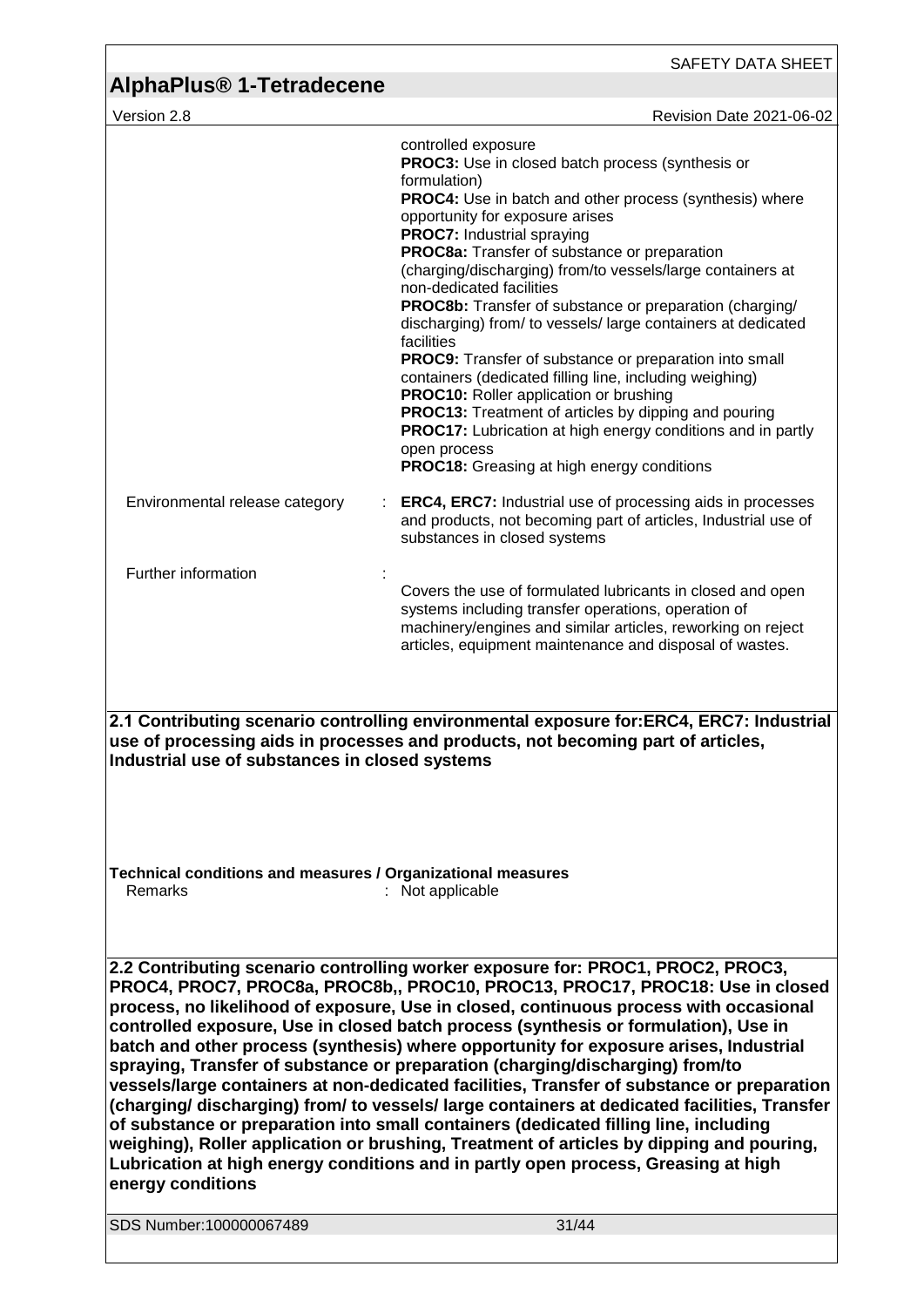| AlphaPlus <sup>®</sup> 1-Tetradecene                                                                                                                                                                                                                                                                                                                                                                                                                                                                                                                                                                                                                                                                                                                                                                                                                                                                                                                                                                                |                                                                                                                                                                                                                                                                                                                                                                                                                                                                                                                                                                                                                                                                                                                                                                                                                                                                                                                          |  |
|---------------------------------------------------------------------------------------------------------------------------------------------------------------------------------------------------------------------------------------------------------------------------------------------------------------------------------------------------------------------------------------------------------------------------------------------------------------------------------------------------------------------------------------------------------------------------------------------------------------------------------------------------------------------------------------------------------------------------------------------------------------------------------------------------------------------------------------------------------------------------------------------------------------------------------------------------------------------------------------------------------------------|--------------------------------------------------------------------------------------------------------------------------------------------------------------------------------------------------------------------------------------------------------------------------------------------------------------------------------------------------------------------------------------------------------------------------------------------------------------------------------------------------------------------------------------------------------------------------------------------------------------------------------------------------------------------------------------------------------------------------------------------------------------------------------------------------------------------------------------------------------------------------------------------------------------------------|--|
| Version 2.8                                                                                                                                                                                                                                                                                                                                                                                                                                                                                                                                                                                                                                                                                                                                                                                                                                                                                                                                                                                                         | Revision Date 2021-06-02                                                                                                                                                                                                                                                                                                                                                                                                                                                                                                                                                                                                                                                                                                                                                                                                                                                                                                 |  |
|                                                                                                                                                                                                                                                                                                                                                                                                                                                                                                                                                                                                                                                                                                                                                                                                                                                                                                                                                                                                                     | controlled exposure<br><b>PROC3:</b> Use in closed batch process (synthesis or<br>formulation)<br><b>PROC4:</b> Use in batch and other process (synthesis) where<br>opportunity for exposure arises<br><b>PROC7: Industrial spraying</b><br>PROC8a: Transfer of substance or preparation<br>(charging/discharging) from/to vessels/large containers at<br>non-dedicated facilities<br><b>PROC8b:</b> Transfer of substance or preparation (charging/<br>discharging) from/ to vessels/large containers at dedicated<br>facilities<br><b>PROC9:</b> Transfer of substance or preparation into small<br>containers (dedicated filling line, including weighing)<br><b>PROC10:</b> Roller application or brushing<br><b>PROC13:</b> Treatment of articles by dipping and pouring<br><b>PROC17:</b> Lubrication at high energy conditions and in partly<br>open process<br><b>PROC18:</b> Greasing at high energy conditions |  |
| Environmental release category                                                                                                                                                                                                                                                                                                                                                                                                                                                                                                                                                                                                                                                                                                                                                                                                                                                                                                                                                                                      | <b>ERC4, ERC7:</b> Industrial use of processing aids in processes<br>and products, not becoming part of articles, Industrial use of<br>substances in closed systems                                                                                                                                                                                                                                                                                                                                                                                                                                                                                                                                                                                                                                                                                                                                                      |  |
| Further information                                                                                                                                                                                                                                                                                                                                                                                                                                                                                                                                                                                                                                                                                                                                                                                                                                                                                                                                                                                                 | Covers the use of formulated lubricants in closed and open<br>systems including transfer operations, operation of<br>machinery/engines and similar articles, reworking on reject<br>articles, equipment maintenance and disposal of wastes.                                                                                                                                                                                                                                                                                                                                                                                                                                                                                                                                                                                                                                                                              |  |
| Industrial use of substances in closed systems                                                                                                                                                                                                                                                                                                                                                                                                                                                                                                                                                                                                                                                                                                                                                                                                                                                                                                                                                                      | 2.1 Contributing scenario controlling environmental exposure for:ERC4, ERC7: Industrial<br>use of processing aids in processes and products, not becoming part of articles,                                                                                                                                                                                                                                                                                                                                                                                                                                                                                                                                                                                                                                                                                                                                              |  |
| Technical conditions and measures / Organizational measures<br>Remarks                                                                                                                                                                                                                                                                                                                                                                                                                                                                                                                                                                                                                                                                                                                                                                                                                                                                                                                                              | : Not applicable                                                                                                                                                                                                                                                                                                                                                                                                                                                                                                                                                                                                                                                                                                                                                                                                                                                                                                         |  |
| 2.2 Contributing scenario controlling worker exposure for: PROC1, PROC2, PROC3,<br>PROC4, PROC7, PROC8a, PROC8b,, PROC10, PROC13, PROC17, PROC18: Use in closed<br>process, no likelihood of exposure, Use in closed, continuous process with occasional<br>controlled exposure, Use in closed batch process (synthesis or formulation), Use in<br>batch and other process (synthesis) where opportunity for exposure arises, Industrial<br>spraying, Transfer of substance or preparation (charging/discharging) from/to<br>vessels/large containers at non-dedicated facilities, Transfer of substance or preparation<br>(charging/discharging) from/to vessels/large containers at dedicated facilities, Transfer<br>of substance or preparation into small containers (dedicated filling line, including<br>weighing), Roller application or brushing, Treatment of articles by dipping and pouring,<br>Lubrication at high energy conditions and in partly open process, Greasing at high<br>energy conditions |                                                                                                                                                                                                                                                                                                                                                                                                                                                                                                                                                                                                                                                                                                                                                                                                                                                                                                                          |  |
| SDS Number:100000067489                                                                                                                                                                                                                                                                                                                                                                                                                                                                                                                                                                                                                                                                                                                                                                                                                                                                                                                                                                                             | 31/44                                                                                                                                                                                                                                                                                                                                                                                                                                                                                                                                                                                                                                                                                                                                                                                                                                                                                                                    |  |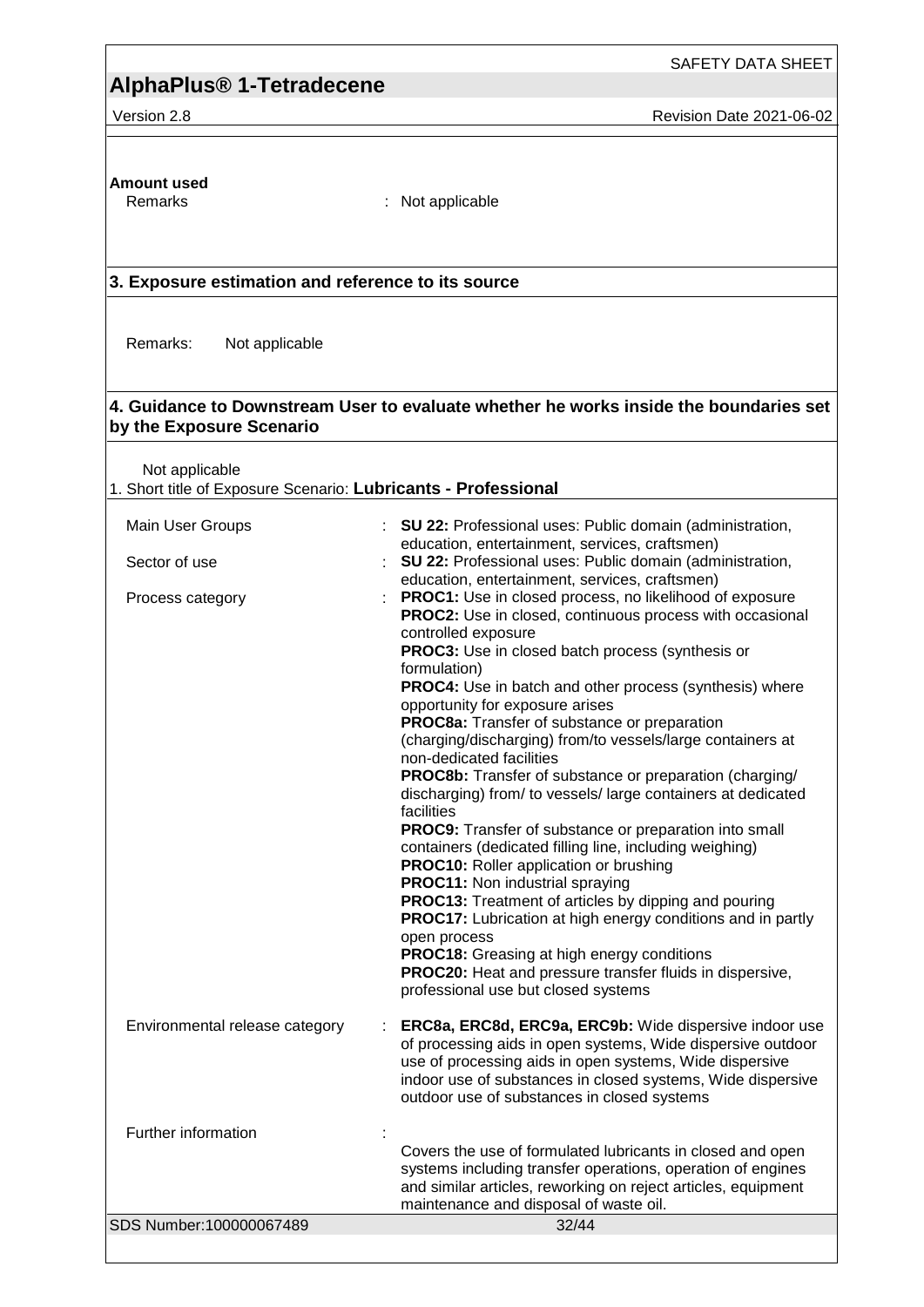SAFETY DATA SHEET

Version 2.8 **Revision Date 2021-06-02** Revision Date 2021-06-02

# **Amount used**

: Not applicable

#### **3. Exposure estimation and reference to its source**

Remarks: Not applicable

#### **4. Guidance to Downstream User to evaluate whether he works inside the boundaries set by the Exposure Scenario**

Not applicable

1. Short title of Exposure Scenario: **Lubricants - Professional**

| Main User Groups               | SU 22: Professional uses: Public domain (administration,                                                                                                                                                                                                                                                                                                                                                                                                                                                                                                                                                                                                                                                                                                                                                                                                                                                                                                                                                                                                                                                                     |
|--------------------------------|------------------------------------------------------------------------------------------------------------------------------------------------------------------------------------------------------------------------------------------------------------------------------------------------------------------------------------------------------------------------------------------------------------------------------------------------------------------------------------------------------------------------------------------------------------------------------------------------------------------------------------------------------------------------------------------------------------------------------------------------------------------------------------------------------------------------------------------------------------------------------------------------------------------------------------------------------------------------------------------------------------------------------------------------------------------------------------------------------------------------------|
| Sector of use                  | education, entertainment, services, craftsmen)<br>SU 22: Professional uses: Public domain (administration,<br>education, entertainment, services, craftsmen)                                                                                                                                                                                                                                                                                                                                                                                                                                                                                                                                                                                                                                                                                                                                                                                                                                                                                                                                                                 |
| Process category               | PROC1: Use in closed process, no likelihood of exposure<br><b>PROC2:</b> Use in closed, continuous process with occasional<br>controlled exposure<br>PROC3: Use in closed batch process (synthesis or<br>formulation)<br>PROC4: Use in batch and other process (synthesis) where<br>opportunity for exposure arises<br>PROC8a: Transfer of substance or preparation<br>(charging/discharging) from/to vessels/large containers at<br>non-dedicated facilities<br>PROC8b: Transfer of substance or preparation (charging/<br>discharging) from/ to vessels/ large containers at dedicated<br>facilities<br><b>PROC9:</b> Transfer of substance or preparation into small<br>containers (dedicated filling line, including weighing)<br><b>PROC10:</b> Roller application or brushing<br>PROC11: Non industrial spraying<br>PROC13: Treatment of articles by dipping and pouring<br><b>PROC17:</b> Lubrication at high energy conditions and in partly<br>open process<br><b>PROC18:</b> Greasing at high energy conditions<br>PROC20: Heat and pressure transfer fluids in dispersive,<br>professional use but closed systems |
| Environmental release category | ERC8a, ERC8d, ERC9a, ERC9b: Wide dispersive indoor use<br>of processing aids in open systems, Wide dispersive outdoor<br>use of processing aids in open systems, Wide dispersive<br>indoor use of substances in closed systems, Wide dispersive<br>outdoor use of substances in closed systems                                                                                                                                                                                                                                                                                                                                                                                                                                                                                                                                                                                                                                                                                                                                                                                                                               |
| Further information            |                                                                                                                                                                                                                                                                                                                                                                                                                                                                                                                                                                                                                                                                                                                                                                                                                                                                                                                                                                                                                                                                                                                              |
|                                | Covers the use of formulated lubricants in closed and open<br>systems including transfer operations, operation of engines<br>and similar articles, reworking on reject articles, equipment<br>maintenance and disposal of waste oil.                                                                                                                                                                                                                                                                                                                                                                                                                                                                                                                                                                                                                                                                                                                                                                                                                                                                                         |
| SDS Number:100000067489        | 32/44                                                                                                                                                                                                                                                                                                                                                                                                                                                                                                                                                                                                                                                                                                                                                                                                                                                                                                                                                                                                                                                                                                                        |
|                                |                                                                                                                                                                                                                                                                                                                                                                                                                                                                                                                                                                                                                                                                                                                                                                                                                                                                                                                                                                                                                                                                                                                              |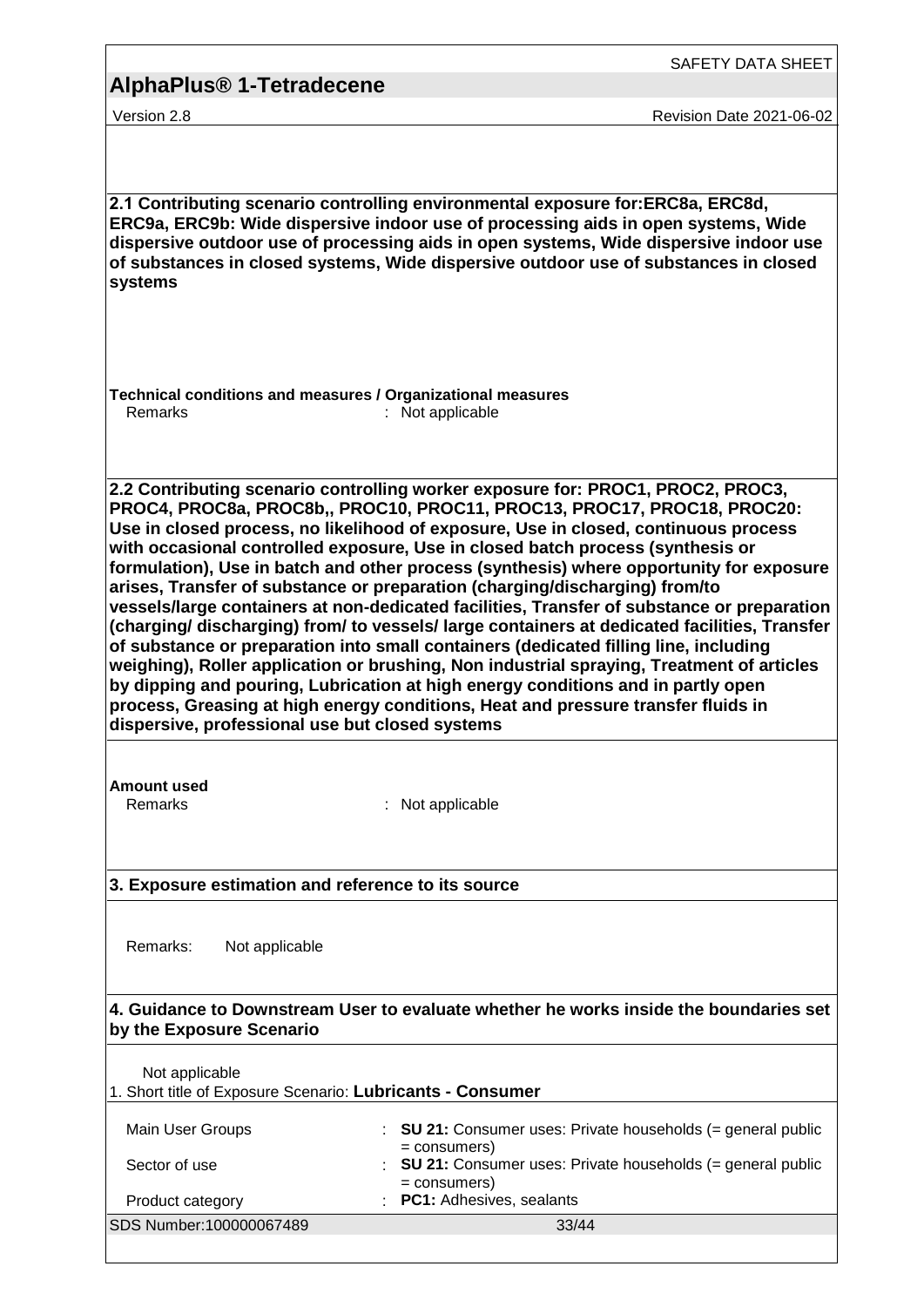| <b>AlphaPlus<sup>®</sup> 1-Tetradecene</b>                                   |                                                                                                                                                                                                                                                                                                                                                                                                                                                                                                                                                                                                                                                                                                                                                                                                                                                                                                                                                                                                                                                                        |
|------------------------------------------------------------------------------|------------------------------------------------------------------------------------------------------------------------------------------------------------------------------------------------------------------------------------------------------------------------------------------------------------------------------------------------------------------------------------------------------------------------------------------------------------------------------------------------------------------------------------------------------------------------------------------------------------------------------------------------------------------------------------------------------------------------------------------------------------------------------------------------------------------------------------------------------------------------------------------------------------------------------------------------------------------------------------------------------------------------------------------------------------------------|
| Version 2.8                                                                  | Revision Date 2021-06-02                                                                                                                                                                                                                                                                                                                                                                                                                                                                                                                                                                                                                                                                                                                                                                                                                                                                                                                                                                                                                                               |
|                                                                              |                                                                                                                                                                                                                                                                                                                                                                                                                                                                                                                                                                                                                                                                                                                                                                                                                                                                                                                                                                                                                                                                        |
| systems                                                                      | 2.1 Contributing scenario controlling environmental exposure for:ERC8a, ERC8d,<br>ERC9a, ERC9b: Wide dispersive indoor use of processing aids in open systems, Wide<br>dispersive outdoor use of processing aids in open systems, Wide dispersive indoor use<br>of substances in closed systems, Wide dispersive outdoor use of substances in closed                                                                                                                                                                                                                                                                                                                                                                                                                                                                                                                                                                                                                                                                                                                   |
| Technical conditions and measures / Organizational measures<br>Remarks       | : Not applicable                                                                                                                                                                                                                                                                                                                                                                                                                                                                                                                                                                                                                                                                                                                                                                                                                                                                                                                                                                                                                                                       |
| dispersive, professional use but closed systems                              | 2.2 Contributing scenario controlling worker exposure for: PROC1, PROC2, PROC3,<br>PROC4, PROC8a, PROC8b,, PROC10, PROC11, PROC13, PROC17, PROC18, PROC20:<br>Use in closed process, no likelihood of exposure, Use in closed, continuous process<br>with occasional controlled exposure, Use in closed batch process (synthesis or<br>formulation), Use in batch and other process (synthesis) where opportunity for exposure<br>arises, Transfer of substance or preparation (charging/discharging) from/to<br>vessels/large containers at non-dedicated facilities, Transfer of substance or preparation<br>(charging/discharging) from/to vessels/large containers at dedicated facilities, Transfer<br>of substance or preparation into small containers (dedicated filling line, including<br>weighing), Roller application or brushing, Non industrial spraying, Treatment of articles<br>by dipping and pouring, Lubrication at high energy conditions and in partly open<br>process, Greasing at high energy conditions, Heat and pressure transfer fluids in |
| <b>Amount used</b><br><b>Remarks</b>                                         | Not applicable                                                                                                                                                                                                                                                                                                                                                                                                                                                                                                                                                                                                                                                                                                                                                                                                                                                                                                                                                                                                                                                         |
| 3. Exposure estimation and reference to its source                           |                                                                                                                                                                                                                                                                                                                                                                                                                                                                                                                                                                                                                                                                                                                                                                                                                                                                                                                                                                                                                                                                        |
| Remarks:<br>Not applicable                                                   |                                                                                                                                                                                                                                                                                                                                                                                                                                                                                                                                                                                                                                                                                                                                                                                                                                                                                                                                                                                                                                                                        |
| by the Exposure Scenario                                                     | 4. Guidance to Downstream User to evaluate whether he works inside the boundaries set                                                                                                                                                                                                                                                                                                                                                                                                                                                                                                                                                                                                                                                                                                                                                                                                                                                                                                                                                                                  |
| Not applicable<br>1. Short title of Exposure Scenario: Lubricants - Consumer |                                                                                                                                                                                                                                                                                                                                                                                                                                                                                                                                                                                                                                                                                                                                                                                                                                                                                                                                                                                                                                                                        |
| Main User Groups                                                             | <b>SU 21:</b> Consumer uses: Private households (= general public                                                                                                                                                                                                                                                                                                                                                                                                                                                                                                                                                                                                                                                                                                                                                                                                                                                                                                                                                                                                      |
| Sector of use                                                                | $=$ consumers)<br><b>SU 21:</b> Consumer uses: Private households $(=$ general public                                                                                                                                                                                                                                                                                                                                                                                                                                                                                                                                                                                                                                                                                                                                                                                                                                                                                                                                                                                  |
| Product category                                                             | $=$ consumers)<br>PC1: Adhesives, sealants                                                                                                                                                                                                                                                                                                                                                                                                                                                                                                                                                                                                                                                                                                                                                                                                                                                                                                                                                                                                                             |
| SDS Number:100000067489                                                      | 33/44                                                                                                                                                                                                                                                                                                                                                                                                                                                                                                                                                                                                                                                                                                                                                                                                                                                                                                                                                                                                                                                                  |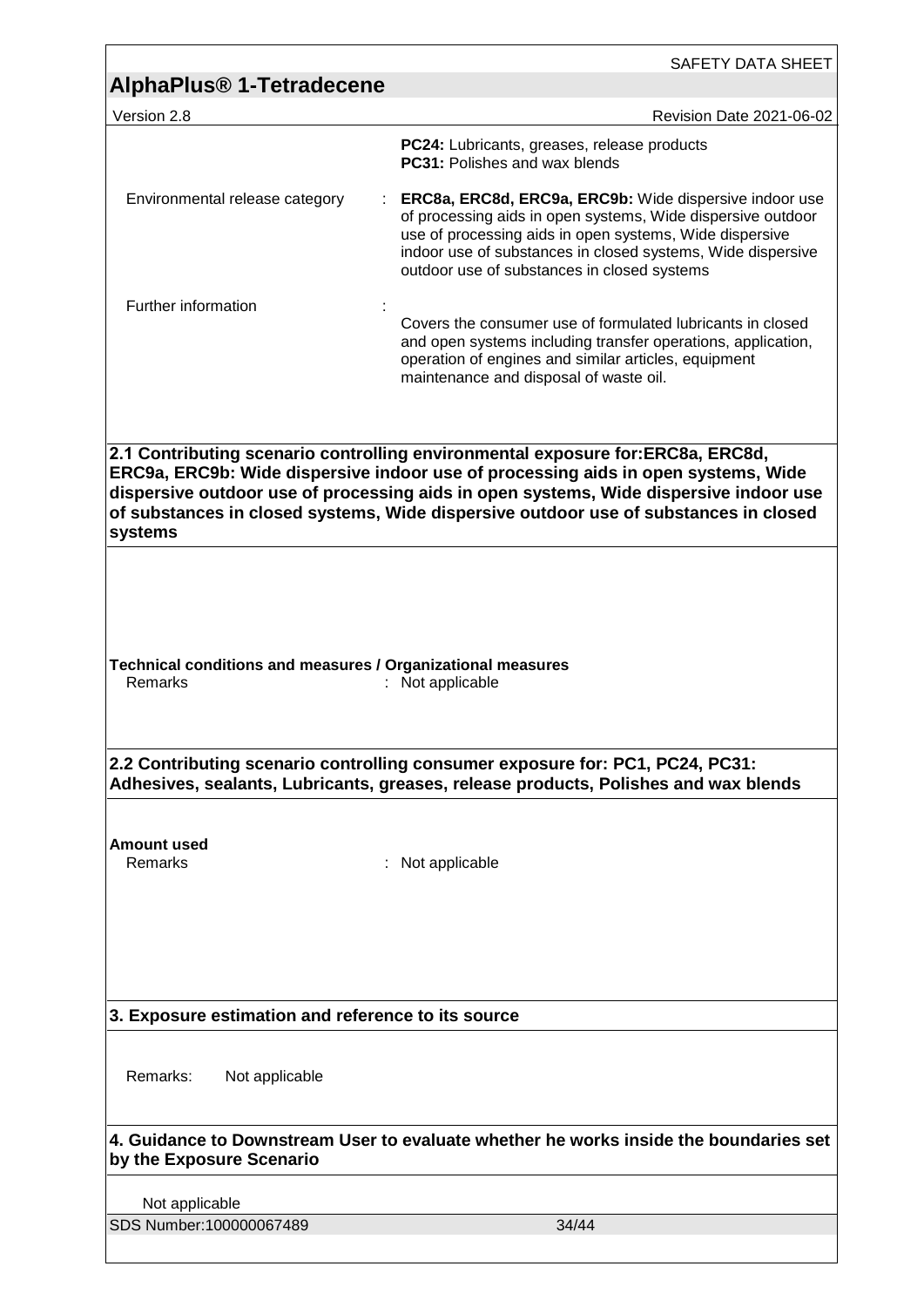|                                                                        | SAFETY DATA SHEET                                                                                                                                                                                                                                                                              |
|------------------------------------------------------------------------|------------------------------------------------------------------------------------------------------------------------------------------------------------------------------------------------------------------------------------------------------------------------------------------------|
| <b>AlphaPlus<sup>®</sup> 1-Tetradecene</b>                             |                                                                                                                                                                                                                                                                                                |
| Version 2.8                                                            | Revision Date 2021-06-02                                                                                                                                                                                                                                                                       |
|                                                                        | PC24: Lubricants, greases, release products<br><b>PC31: Polishes and wax blends</b>                                                                                                                                                                                                            |
| Environmental release category                                         | ERC8a, ERC8d, ERC9a, ERC9b: Wide dispersive indoor use<br>of processing aids in open systems, Wide dispersive outdoor<br>use of processing aids in open systems, Wide dispersive<br>indoor use of substances in closed systems, Wide dispersive<br>outdoor use of substances in closed systems |
| Further information                                                    |                                                                                                                                                                                                                                                                                                |
|                                                                        | Covers the consumer use of formulated lubricants in closed<br>and open systems including transfer operations, application,<br>operation of engines and similar articles, equipment<br>maintenance and disposal of waste oil.                                                                   |
|                                                                        | 2.1 Contributing scenario controlling environmental exposure for:ERC8a, ERC8d,<br>ERC9a, ERC9b: Wide dispersive indoor use of processing aids in open systems, Wide                                                                                                                            |
| systems                                                                | dispersive outdoor use of processing aids in open systems, Wide dispersive indoor use<br>of substances in closed systems, Wide dispersive outdoor use of substances in closed                                                                                                                  |
|                                                                        |                                                                                                                                                                                                                                                                                                |
|                                                                        |                                                                                                                                                                                                                                                                                                |
|                                                                        |                                                                                                                                                                                                                                                                                                |
|                                                                        |                                                                                                                                                                                                                                                                                                |
| Technical conditions and measures / Organizational measures<br>Remarks | : Not applicable                                                                                                                                                                                                                                                                               |
|                                                                        | 2.2 Contributing scenario controlling consumer exposure for: PC1, PC24, PC31:<br>Adhesives, sealants, Lubricants, greases, release products, Polishes and wax blends                                                                                                                           |
|                                                                        |                                                                                                                                                                                                                                                                                                |
| <b>Amount used</b><br>Remarks                                          | : Not applicable                                                                                                                                                                                                                                                                               |
|                                                                        |                                                                                                                                                                                                                                                                                                |
|                                                                        |                                                                                                                                                                                                                                                                                                |
|                                                                        |                                                                                                                                                                                                                                                                                                |
|                                                                        |                                                                                                                                                                                                                                                                                                |
| 3. Exposure estimation and reference to its source                     |                                                                                                                                                                                                                                                                                                |
|                                                                        |                                                                                                                                                                                                                                                                                                |
| Remarks:<br>Not applicable                                             |                                                                                                                                                                                                                                                                                                |
| by the Exposure Scenario                                               | 4. Guidance to Downstream User to evaluate whether he works inside the boundaries set                                                                                                                                                                                                          |
| Not applicable                                                         |                                                                                                                                                                                                                                                                                                |
| SDS Number:100000067489                                                | 34/44                                                                                                                                                                                                                                                                                          |
|                                                                        |                                                                                                                                                                                                                                                                                                |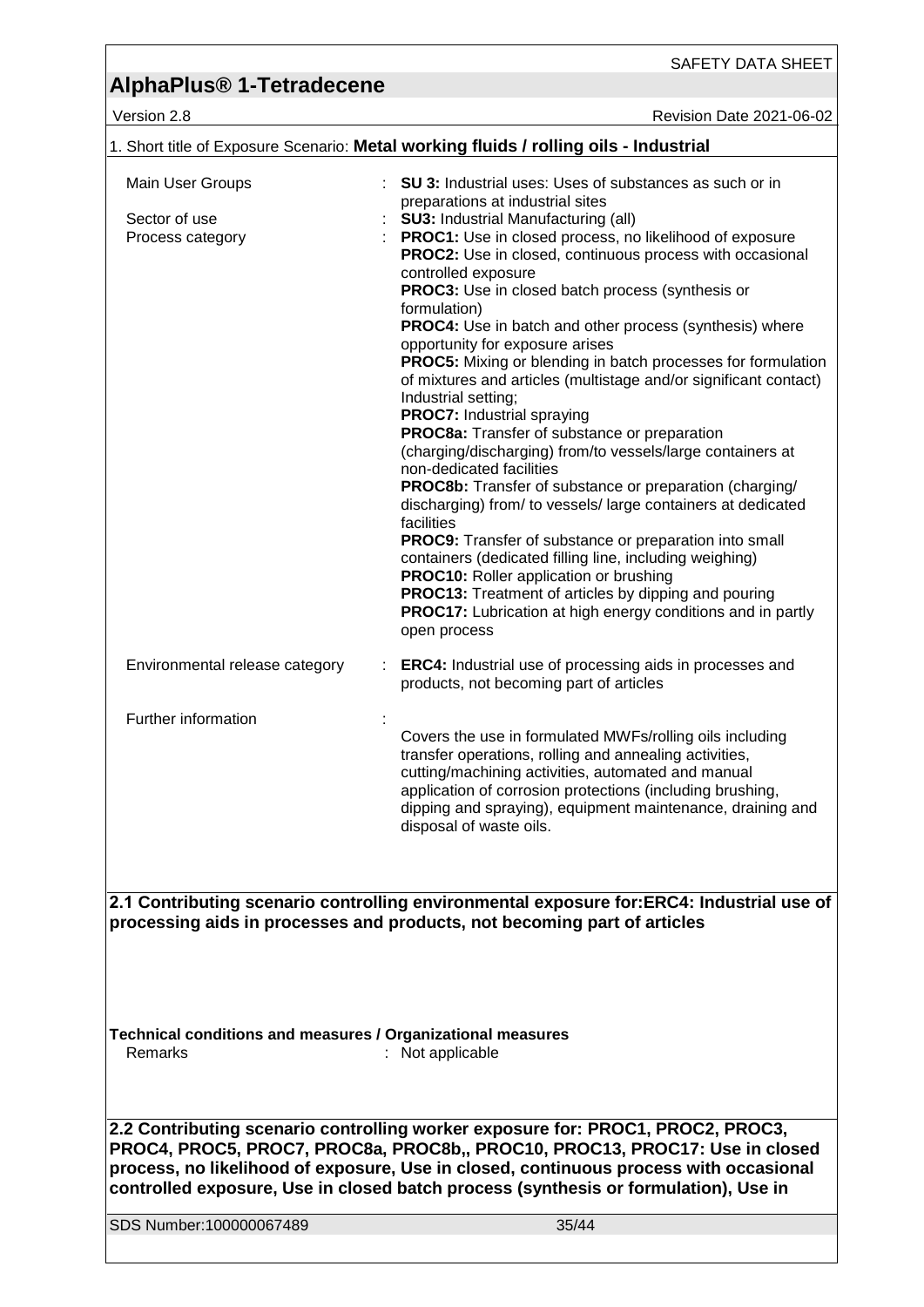SAFETY DATA SHEET

Version 2.8 Revision Date 2021-06-02

| 1. Short title of Exposure Scenario: Metal working fluids / rolling oils - Industrial |                                                                                                                            |  |
|---------------------------------------------------------------------------------------|----------------------------------------------------------------------------------------------------------------------------|--|
| Main User Groups                                                                      | <b>SU 3:</b> Industrial uses: Uses of substances as such or in                                                             |  |
|                                                                                       | preparations at industrial sites                                                                                           |  |
| Sector of use                                                                         | <b>SU3: Industrial Manufacturing (all)</b>                                                                                 |  |
| Process category                                                                      | PROC1: Use in closed process, no likelihood of exposure<br><b>PROC2:</b> Use in closed, continuous process with occasional |  |
|                                                                                       | controlled exposure                                                                                                        |  |
|                                                                                       | PROC3: Use in closed batch process (synthesis or                                                                           |  |
|                                                                                       | formulation)                                                                                                               |  |
|                                                                                       | <b>PROC4:</b> Use in batch and other process (synthesis) where                                                             |  |
|                                                                                       | opportunity for exposure arises                                                                                            |  |
|                                                                                       | <b>PROC5:</b> Mixing or blending in batch processes for formulation                                                        |  |
|                                                                                       | of mixtures and articles (multistage and/or significant contact)                                                           |  |
|                                                                                       | Industrial setting;                                                                                                        |  |
|                                                                                       | PROC7: Industrial spraying                                                                                                 |  |
|                                                                                       | PROC8a: Transfer of substance or preparation                                                                               |  |
|                                                                                       | (charging/discharging) from/to vessels/large containers at                                                                 |  |
|                                                                                       | non-dedicated facilities                                                                                                   |  |
|                                                                                       | PROC8b: Transfer of substance or preparation (charging/                                                                    |  |
|                                                                                       | discharging) from/ to vessels/ large containers at dedicated<br>facilities                                                 |  |
|                                                                                       | PROC9: Transfer of substance or preparation into small                                                                     |  |
|                                                                                       | containers (dedicated filling line, including weighing)                                                                    |  |
|                                                                                       | <b>PROC10:</b> Roller application or brushing                                                                              |  |
|                                                                                       | <b>PROC13:</b> Treatment of articles by dipping and pouring                                                                |  |
|                                                                                       | PROC17: Lubrication at high energy conditions and in partly                                                                |  |
|                                                                                       | open process                                                                                                               |  |
|                                                                                       |                                                                                                                            |  |
| Environmental release category                                                        | ERC4: Industrial use of processing aids in processes and                                                                   |  |
|                                                                                       | products, not becoming part of articles                                                                                    |  |
| Further information                                                                   |                                                                                                                            |  |
|                                                                                       | Covers the use in formulated MWFs/rolling oils including                                                                   |  |
|                                                                                       | transfer operations, rolling and annealing activities,                                                                     |  |
|                                                                                       | cutting/machining activities, automated and manual                                                                         |  |
|                                                                                       | application of corrosion protections (including brushing,                                                                  |  |
|                                                                                       | dipping and spraying), equipment maintenance, draining and                                                                 |  |
|                                                                                       | disposal of waste oils.                                                                                                    |  |
|                                                                                       |                                                                                                                            |  |
|                                                                                       |                                                                                                                            |  |
|                                                                                       |                                                                                                                            |  |
|                                                                                       | 2.1 Contributing scenario controlling environmental exposure for:ERC4: Industrial use of                                   |  |
|                                                                                       | processing aids in processes and products, not becoming part of articles                                                   |  |
|                                                                                       |                                                                                                                            |  |
|                                                                                       |                                                                                                                            |  |
|                                                                                       |                                                                                                                            |  |
|                                                                                       |                                                                                                                            |  |
|                                                                                       |                                                                                                                            |  |
| Technical conditions and measures / Organizational measures<br>Remarks                | : Not applicable                                                                                                           |  |
|                                                                                       |                                                                                                                            |  |
|                                                                                       |                                                                                                                            |  |
|                                                                                       |                                                                                                                            |  |
|                                                                                       | 2.2 Contributing scenario controlling worker exposure for: PROC1, PROC2, PROC3,                                            |  |
|                                                                                       | PROC4, PROC5, PROC7, PROC8a, PROC8b,, PROC10, PROC13, PROC17: Use in closed                                                |  |
|                                                                                       | process, no likelihood of exposure, Use in closed, continuous process with occasional                                      |  |
|                                                                                       | controlled exposure, Use in closed batch process (synthesis or formulation), Use in                                        |  |
|                                                                                       |                                                                                                                            |  |
| SDS Number:100000067489                                                               | 35/44                                                                                                                      |  |
|                                                                                       |                                                                                                                            |  |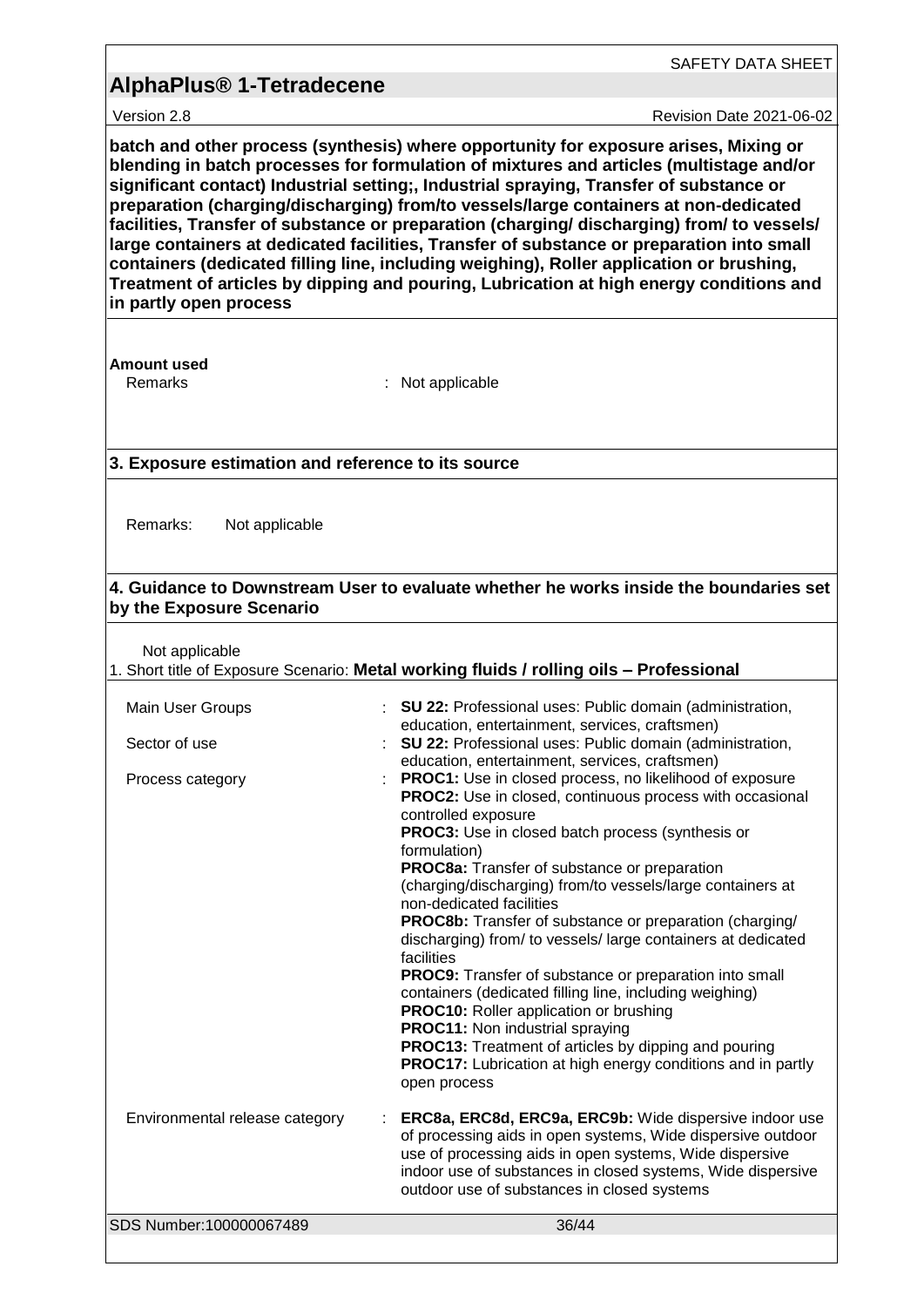Version 2.8 **Revision Date 2021-06-02** 

SAFETY DATA SHEET

**batch and other process (synthesis) where opportunity for exposure arises, Mixing or blending in batch processes for formulation of mixtures and articles (multistage and/or significant contact) Industrial setting;, Industrial spraying, Transfer of substance or preparation (charging/discharging) from/to vessels/large containers at non-dedicated facilities, Transfer of substance or preparation (charging/ discharging) from/ to vessels/ large containers at dedicated facilities, Transfer of substance or preparation into small containers (dedicated filling line, including weighing), Roller application or brushing, Treatment of articles by dipping and pouring, Lubrication at high energy conditions and in partly open process**

**Amount used**

: Not applicable

#### **3. Exposure estimation and reference to its source**

Remarks: Not applicable

#### **4. Guidance to Downstream User to evaluate whether he works inside the boundaries set by the Exposure Scenario**

Not applicable

| <b>NOT applicable</b>          | 1. Short title of Exposure Scenario: Metal working fluids / rolling oils - Professional                                                                                                                                                                                                                                                                                                                                                                                                                                                                                                                                                                                                                                                                                                                                                                                |
|--------------------------------|------------------------------------------------------------------------------------------------------------------------------------------------------------------------------------------------------------------------------------------------------------------------------------------------------------------------------------------------------------------------------------------------------------------------------------------------------------------------------------------------------------------------------------------------------------------------------------------------------------------------------------------------------------------------------------------------------------------------------------------------------------------------------------------------------------------------------------------------------------------------|
| Main User Groups               | : SU 22: Professional uses: Public domain (administration,<br>education, entertainment, services, craftsmen)                                                                                                                                                                                                                                                                                                                                                                                                                                                                                                                                                                                                                                                                                                                                                           |
| Sector of use                  | SU 22: Professional uses: Public domain (administration,<br>education, entertainment, services, craftsmen)                                                                                                                                                                                                                                                                                                                                                                                                                                                                                                                                                                                                                                                                                                                                                             |
| Process category               | PROC1: Use in closed process, no likelihood of exposure<br>PROC2: Use in closed, continuous process with occasional<br>controlled exposure<br><b>PROC3:</b> Use in closed batch process (synthesis or<br>formulation)<br>PROC8a: Transfer of substance or preparation<br>(charging/discharging) from/to vessels/large containers at<br>non-dedicated facilities<br>PROC8b: Transfer of substance or preparation (charging/<br>discharging) from/ to vessels/ large containers at dedicated<br>facilities<br>PROC9: Transfer of substance or preparation into small<br>containers (dedicated filling line, including weighing)<br><b>PROC10:</b> Roller application or brushing<br><b>PROC11:</b> Non industrial spraying<br>PROC13: Treatment of articles by dipping and pouring<br><b>PROC17:</b> Lubrication at high energy conditions and in partly<br>open process |
| Environmental release category | ERC8a, ERC8d, ERC9a, ERC9b: Wide dispersive indoor use<br>of processing aids in open systems, Wide dispersive outdoor<br>use of processing aids in open systems, Wide dispersive<br>indoor use of substances in closed systems, Wide dispersive<br>outdoor use of substances in closed systems                                                                                                                                                                                                                                                                                                                                                                                                                                                                                                                                                                         |
| SDS Number:100000067489        | 36/44                                                                                                                                                                                                                                                                                                                                                                                                                                                                                                                                                                                                                                                                                                                                                                                                                                                                  |
|                                |                                                                                                                                                                                                                                                                                                                                                                                                                                                                                                                                                                                                                                                                                                                                                                                                                                                                        |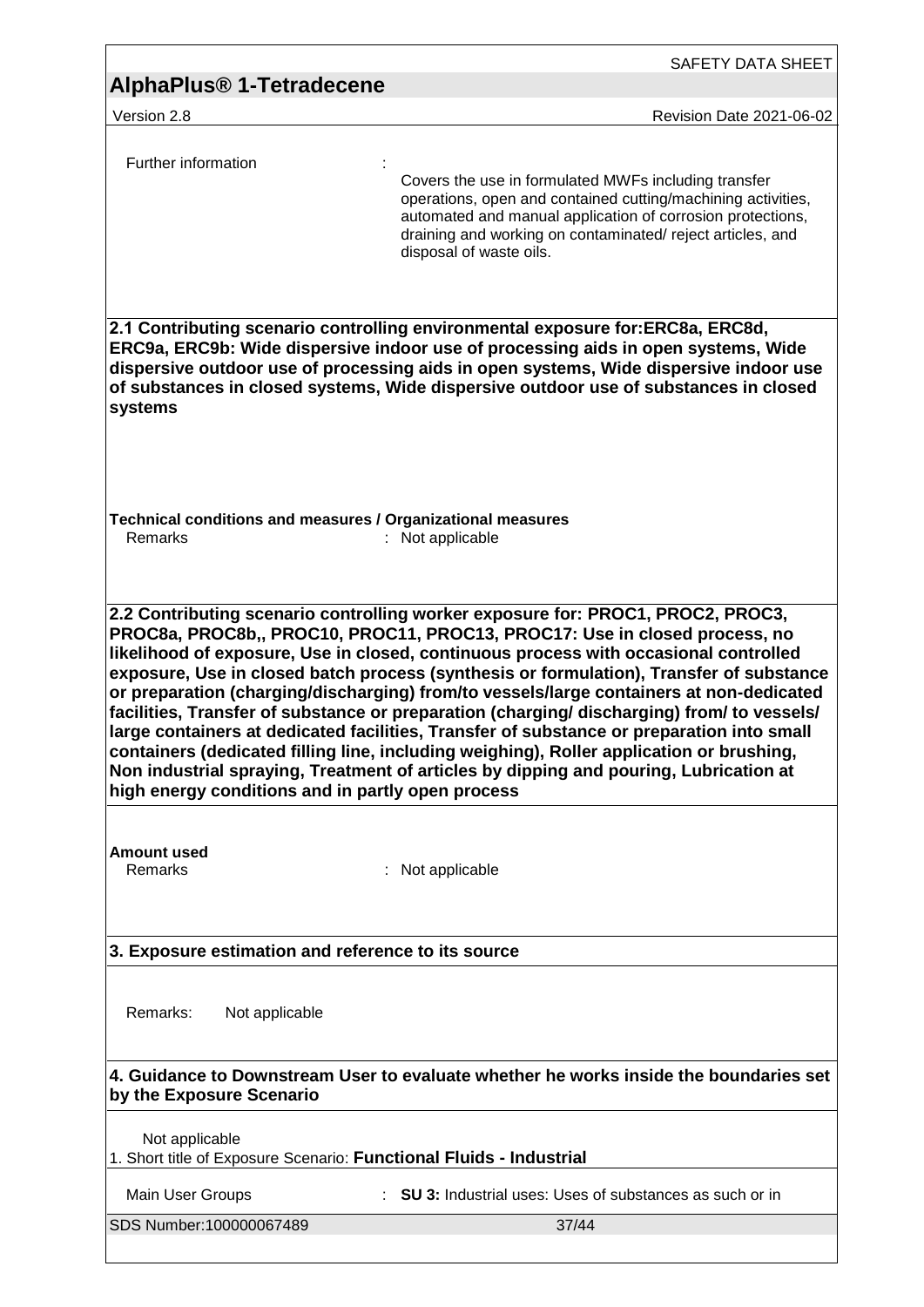| AlphaPlus <sup>®</sup> 1-Tetradecene                                                  | SAFETY DATA SHEET                                                                                                                                                                                                                                                                                                                                                                                                                                                                                                                                                                                                                                                                                                                                                                                                           |
|---------------------------------------------------------------------------------------|-----------------------------------------------------------------------------------------------------------------------------------------------------------------------------------------------------------------------------------------------------------------------------------------------------------------------------------------------------------------------------------------------------------------------------------------------------------------------------------------------------------------------------------------------------------------------------------------------------------------------------------------------------------------------------------------------------------------------------------------------------------------------------------------------------------------------------|
| Version 2.8                                                                           | Revision Date 2021-06-02                                                                                                                                                                                                                                                                                                                                                                                                                                                                                                                                                                                                                                                                                                                                                                                                    |
| Further information                                                                   | Covers the use in formulated MWFs including transfer<br>operations, open and contained cutting/machining activities,<br>automated and manual application of corrosion protections,<br>draining and working on contaminated/reject articles, and<br>disposal of waste oils.                                                                                                                                                                                                                                                                                                                                                                                                                                                                                                                                                  |
| systems                                                                               | 2.1 Contributing scenario controlling environmental exposure for:ERC8a, ERC8d,<br>ERC9a, ERC9b: Wide dispersive indoor use of processing aids in open systems, Wide<br>dispersive outdoor use of processing aids in open systems, Wide dispersive indoor use<br>of substances in closed systems, Wide dispersive outdoor use of substances in closed                                                                                                                                                                                                                                                                                                                                                                                                                                                                        |
| Technical conditions and measures / Organizational measures<br>Remarks                | : Not applicable                                                                                                                                                                                                                                                                                                                                                                                                                                                                                                                                                                                                                                                                                                                                                                                                            |
| high energy conditions and in partly open process                                     | 2.2 Contributing scenario controlling worker exposure for: PROC1, PROC2, PROC3,<br>PROC8a, PROC8b,, PROC10, PROC11, PROC13, PROC17: Use in closed process, no<br>likelihood of exposure, Use in closed, continuous process with occasional controlled<br>exposure, Use in closed batch process (synthesis or formulation), Transfer of substance<br>or preparation (charging/discharging) from/to vessels/large containers at non-dedicated<br>facilities, Transfer of substance or preparation (charging/ discharging) from/ to vessels/<br>large containers at dedicated facilities, Transfer of substance or preparation into small<br>containers (dedicated filling line, including weighing), Roller application or brushing,<br>Non industrial spraying, Treatment of articles by dipping and pouring, Lubrication at |
| <b>Amount used</b><br>Remarks                                                         | Not applicable                                                                                                                                                                                                                                                                                                                                                                                                                                                                                                                                                                                                                                                                                                                                                                                                              |
| 3. Exposure estimation and reference to its source                                    |                                                                                                                                                                                                                                                                                                                                                                                                                                                                                                                                                                                                                                                                                                                                                                                                                             |
| Remarks:<br>Not applicable                                                            |                                                                                                                                                                                                                                                                                                                                                                                                                                                                                                                                                                                                                                                                                                                                                                                                                             |
| by the Exposure Scenario                                                              | 4. Guidance to Downstream User to evaluate whether he works inside the boundaries set                                                                                                                                                                                                                                                                                                                                                                                                                                                                                                                                                                                                                                                                                                                                       |
| Not applicable<br>1. Short title of Exposure Scenario: Functional Fluids - Industrial |                                                                                                                                                                                                                                                                                                                                                                                                                                                                                                                                                                                                                                                                                                                                                                                                                             |
| Main User Groups                                                                      | <b>SU 3:</b> Industrial uses: Uses of substances as such or in                                                                                                                                                                                                                                                                                                                                                                                                                                                                                                                                                                                                                                                                                                                                                              |
| SDS Number:100000067489                                                               | 37/44                                                                                                                                                                                                                                                                                                                                                                                                                                                                                                                                                                                                                                                                                                                                                                                                                       |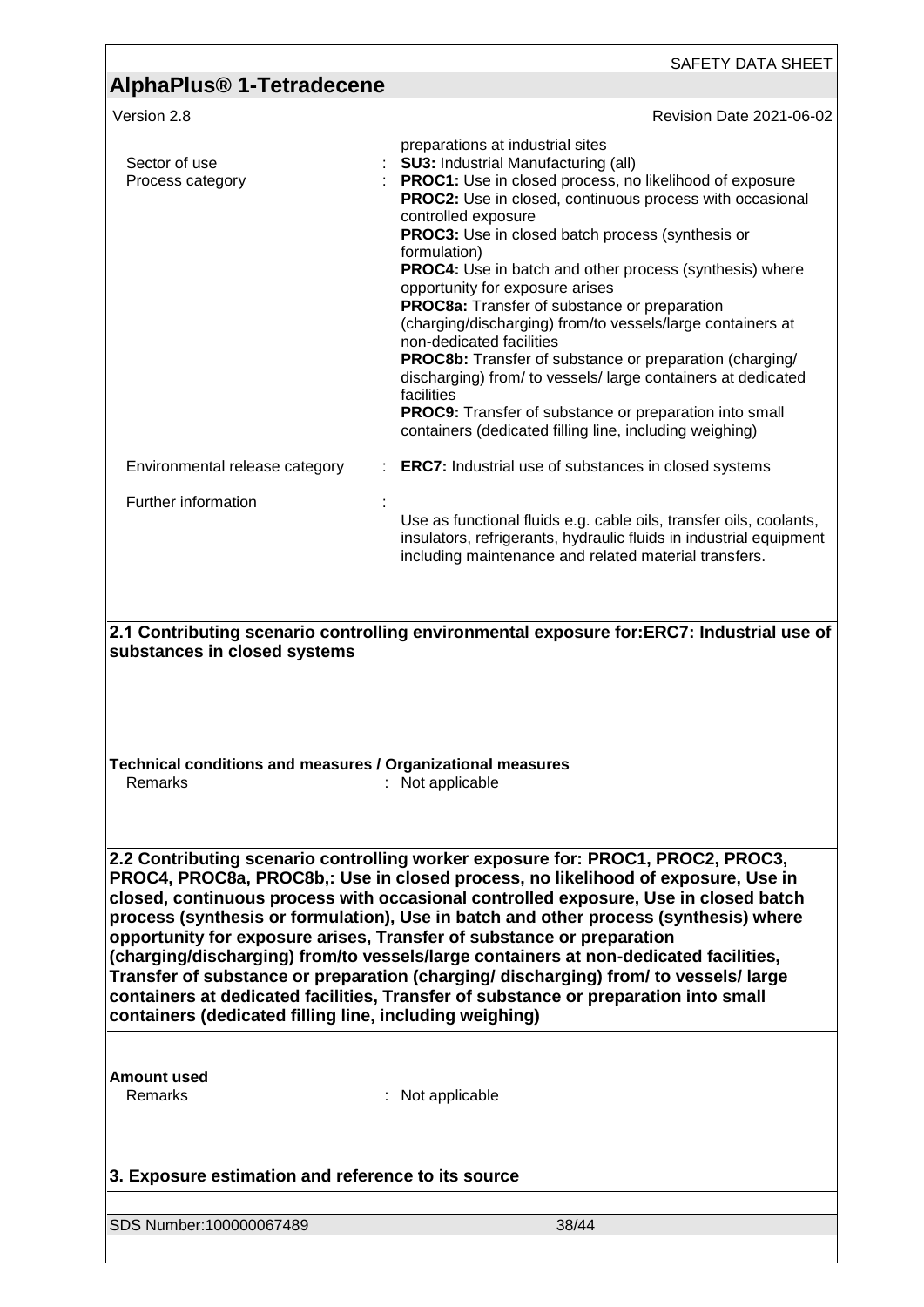|                                                                                                                                                                                                                                                                                                                                                                                                                                                                                                                                                                                                                                                                                                                                                               | SAFETY DATA SHEET                                                                                                                                                                                                                                                                                                                                                                                                                                                                                                                                                                                                                                                                                                                                                                                                                  |  |
|---------------------------------------------------------------------------------------------------------------------------------------------------------------------------------------------------------------------------------------------------------------------------------------------------------------------------------------------------------------------------------------------------------------------------------------------------------------------------------------------------------------------------------------------------------------------------------------------------------------------------------------------------------------------------------------------------------------------------------------------------------------|------------------------------------------------------------------------------------------------------------------------------------------------------------------------------------------------------------------------------------------------------------------------------------------------------------------------------------------------------------------------------------------------------------------------------------------------------------------------------------------------------------------------------------------------------------------------------------------------------------------------------------------------------------------------------------------------------------------------------------------------------------------------------------------------------------------------------------|--|
| <b>AlphaPlus<sup>®</sup> 1-Tetradecene</b>                                                                                                                                                                                                                                                                                                                                                                                                                                                                                                                                                                                                                                                                                                                    |                                                                                                                                                                                                                                                                                                                                                                                                                                                                                                                                                                                                                                                                                                                                                                                                                                    |  |
| Version 2.8                                                                                                                                                                                                                                                                                                                                                                                                                                                                                                                                                                                                                                                                                                                                                   | Revision Date 2021-06-02                                                                                                                                                                                                                                                                                                                                                                                                                                                                                                                                                                                                                                                                                                                                                                                                           |  |
| Sector of use<br>Process category                                                                                                                                                                                                                                                                                                                                                                                                                                                                                                                                                                                                                                                                                                                             | preparations at industrial sites<br><b>SU3: Industrial Manufacturing (all)</b><br>PROC1: Use in closed process, no likelihood of exposure<br><b>PROC2:</b> Use in closed, continuous process with occasional<br>controlled exposure<br>PROC3: Use in closed batch process (synthesis or<br>formulation)<br><b>PROC4:</b> Use in batch and other process (synthesis) where<br>opportunity for exposure arises<br>PROC8a: Transfer of substance or preparation<br>(charging/discharging) from/to vessels/large containers at<br>non-dedicated facilities<br><b>PROC8b:</b> Transfer of substance or preparation (charging/<br>discharging) from/ to vessels/ large containers at dedicated<br>facilities<br><b>PROC9:</b> Transfer of substance or preparation into small<br>containers (dedicated filling line, including weighing) |  |
| Environmental release category                                                                                                                                                                                                                                                                                                                                                                                                                                                                                                                                                                                                                                                                                                                                | <b>ERC7:</b> Industrial use of substances in closed systems                                                                                                                                                                                                                                                                                                                                                                                                                                                                                                                                                                                                                                                                                                                                                                        |  |
| Further information                                                                                                                                                                                                                                                                                                                                                                                                                                                                                                                                                                                                                                                                                                                                           | Use as functional fluids e.g. cable oils, transfer oils, coolants,<br>insulators, refrigerants, hydraulic fluids in industrial equipment<br>including maintenance and related material transfers.                                                                                                                                                                                                                                                                                                                                                                                                                                                                                                                                                                                                                                  |  |
| Technical conditions and measures / Organizational measures<br>Remarks                                                                                                                                                                                                                                                                                                                                                                                                                                                                                                                                                                                                                                                                                        | : Not applicable                                                                                                                                                                                                                                                                                                                                                                                                                                                                                                                                                                                                                                                                                                                                                                                                                   |  |
| 2.2 Contributing scenario controlling worker exposure for: PROC1, PROC2, PROC3,<br>PROC4, PROC8a, PROC8b,: Use in closed process, no likelihood of exposure, Use in<br>closed, continuous process with occasional controlled exposure, Use in closed batch<br>process (synthesis or formulation), Use in batch and other process (synthesis) where<br>opportunity for exposure arises, Transfer of substance or preparation<br>(charging/discharging) from/to vessels/large containers at non-dedicated facilities,<br>Transfer of substance or preparation (charging/ discharging) from/ to vessels/ large<br>containers at dedicated facilities, Transfer of substance or preparation into small<br>containers (dedicated filling line, including weighing) |                                                                                                                                                                                                                                                                                                                                                                                                                                                                                                                                                                                                                                                                                                                                                                                                                                    |  |
| <b>Amount used</b><br>Remarks                                                                                                                                                                                                                                                                                                                                                                                                                                                                                                                                                                                                                                                                                                                                 | : Not applicable                                                                                                                                                                                                                                                                                                                                                                                                                                                                                                                                                                                                                                                                                                                                                                                                                   |  |
| 3. Exposure estimation and reference to its source                                                                                                                                                                                                                                                                                                                                                                                                                                                                                                                                                                                                                                                                                                            |                                                                                                                                                                                                                                                                                                                                                                                                                                                                                                                                                                                                                                                                                                                                                                                                                                    |  |
| SDS Number:100000067489                                                                                                                                                                                                                                                                                                                                                                                                                                                                                                                                                                                                                                                                                                                                       | 38/44                                                                                                                                                                                                                                                                                                                                                                                                                                                                                                                                                                                                                                                                                                                                                                                                                              |  |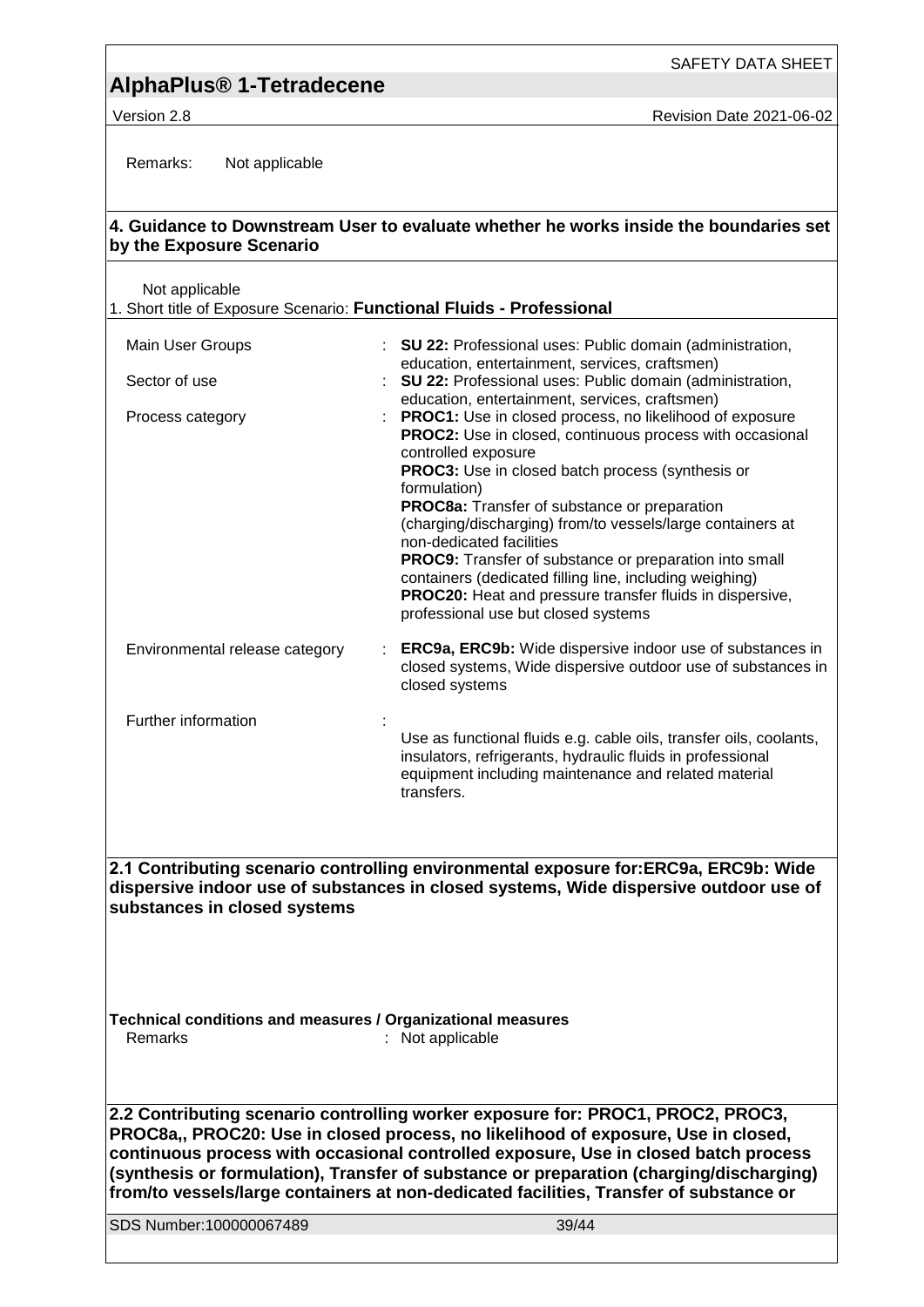SAFETY DATA SHEET

Version 2.8 **New Search 2021-06-02** Revision Date 2021-06-02

Remarks: Not applicable

#### **4. Guidance to Downstream User to evaluate whether he works inside the boundaries set by the Exposure Scenario**

Not applicable

1. Short title of Exposure Scenario: **Functional Fluids - Professional**

| Main User Groups<br>Sector of use | <b>SU 22: Professional uses: Public domain (administration,</b><br>education, entertainment, services, craftsmen)<br><b>SU 22: Professional uses: Public domain (administration,</b>                                                                                                                                                                                                                                                                                                                                                                                                                                                                                         |
|-----------------------------------|------------------------------------------------------------------------------------------------------------------------------------------------------------------------------------------------------------------------------------------------------------------------------------------------------------------------------------------------------------------------------------------------------------------------------------------------------------------------------------------------------------------------------------------------------------------------------------------------------------------------------------------------------------------------------|
| Process category                  | education, entertainment, services, craftsmen)<br><b>PROC1:</b> Use in closed process, no likelihood of exposure<br><b>PROC2:</b> Use in closed, continuous process with occasional<br>controlled exposure<br><b>PROC3:</b> Use in closed batch process (synthesis or<br>formulation)<br><b>PROC8a:</b> Transfer of substance or preparation<br>(charging/discharging) from/to vessels/large containers at<br>non-dedicated facilities<br><b>PROC9:</b> Transfer of substance or preparation into small<br>containers (dedicated filling line, including weighing)<br><b>PROC20:</b> Heat and pressure transfer fluids in dispersive,<br>professional use but closed systems |
| Environmental release category    | <b>ERC9a, ERC9b:</b> Wide dispersive indoor use of substances in<br>closed systems, Wide dispersive outdoor use of substances in<br>closed systems                                                                                                                                                                                                                                                                                                                                                                                                                                                                                                                           |
| Further information               | Use as functional fluids e.g. cable oils, transfer oils, coolants,<br>insulators, refrigerants, hydraulic fluids in professional<br>equipment including maintenance and related material<br>transfers.                                                                                                                                                                                                                                                                                                                                                                                                                                                                       |

**2.1 Contributing scenario controlling environmental exposure for:ERC9a, ERC9b: Wide dispersive indoor use of substances in closed systems, Wide dispersive outdoor use of substances in closed systems**

**Technical conditions and measures / Organizational measures** Remarks : Not applicable

**2.2 Contributing scenario controlling worker exposure for: PROC1, PROC2, PROC3, PROC8a,, PROC20: Use in closed process, no likelihood of exposure, Use in closed, continuous process with occasional controlled exposure, Use in closed batch process (synthesis or formulation), Transfer of substance or preparation (charging/discharging) from/to vessels/large containers at non-dedicated facilities, Transfer of substance or** 

SDS Number:100000067489 39/44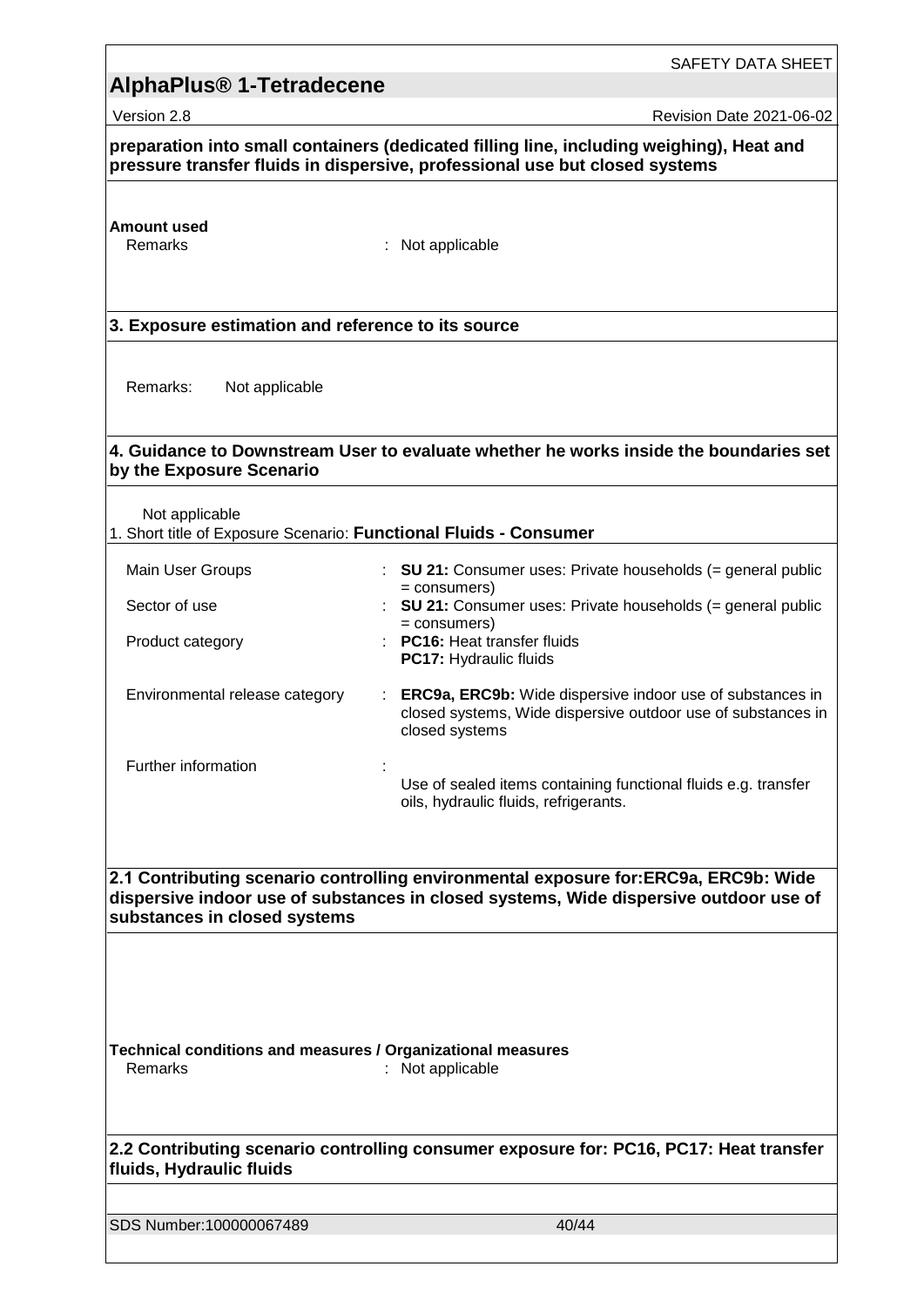|                                                                                     | SAFETY DATA SHEET                                                                                                                                                            |
|-------------------------------------------------------------------------------------|------------------------------------------------------------------------------------------------------------------------------------------------------------------------------|
| AlphaPlus <sup>®</sup> 1-Tetradecene                                                |                                                                                                                                                                              |
| Version 2.8                                                                         | Revision Date 2021-06-02                                                                                                                                                     |
|                                                                                     | preparation into small containers (dedicated filling line, including weighing), Heat and<br>pressure transfer fluids in dispersive, professional use but closed systems      |
| <b>Amount used</b><br>Remarks                                                       | : Not applicable                                                                                                                                                             |
| 3. Exposure estimation and reference to its source                                  |                                                                                                                                                                              |
| Remarks:<br>Not applicable                                                          |                                                                                                                                                                              |
| by the Exposure Scenario                                                            | 4. Guidance to Downstream User to evaluate whether he works inside the boundaries set                                                                                        |
| Not applicable<br>1. Short title of Exposure Scenario: Functional Fluids - Consumer |                                                                                                                                                                              |
| Main User Groups                                                                    | : SU 21: Consumer uses: Private households $(=$ general public                                                                                                               |
| Sector of use                                                                       | $=$ consumers)<br><b>SU 21:</b> Consumer uses: Private households (= general public                                                                                          |
| Product category                                                                    | = consumers)<br><b>PC16: Heat transfer fluids</b><br>PC17: Hydraulic fluids                                                                                                  |
| Environmental release category                                                      | ERC9a, ERC9b: Wide dispersive indoor use of substances in<br>closed systems, Wide dispersive outdoor use of substances in<br>closed systems                                  |
| Further information                                                                 | Use of sealed items containing functional fluids e.g. transfer<br>oils, hydraulic fluids, refrigerants.                                                                      |
| substances in closed systems                                                        | 2.1 Contributing scenario controlling environmental exposure for:ERC9a, ERC9b: Wide<br>dispersive indoor use of substances in closed systems, Wide dispersive outdoor use of |
| Technical conditions and measures / Organizational measures<br>Remarks              | : Not applicable                                                                                                                                                             |
| fluids, Hydraulic fluids                                                            | 2.2 Contributing scenario controlling consumer exposure for: PC16, PC17: Heat transfer                                                                                       |
| SDS Number:100000067489                                                             | 40/44                                                                                                                                                                        |
|                                                                                     |                                                                                                                                                                              |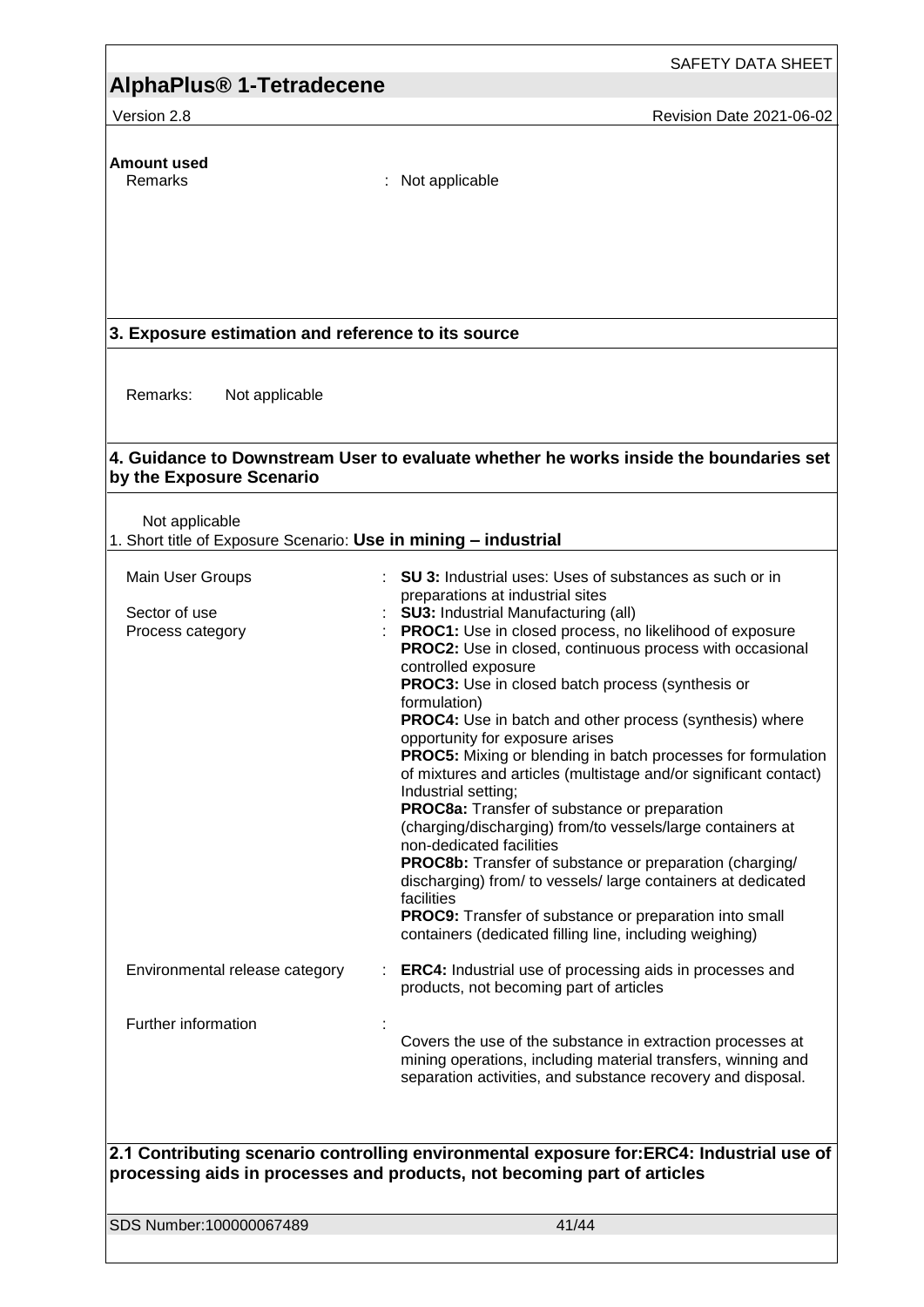Version 2.8 **Revision Date 2021-06-02** Revision Date 2021-06-02

**Amount used**

: Not applicable

### **3. Exposure estimation and reference to its source**

Remarks: Not applicable

#### **4. Guidance to Downstream User to evaluate whether he works inside the boundaries set by the Exposure Scenario**

Not applicable

| 1. Short title of Exposure Scenario: Use in mining - industrial |  |
|-----------------------------------------------------------------|--|
|                                                                 |  |

| Main User Groups                                                                                                                                                     |  | SU 3: Industrial uses: Uses of substances as such or in<br>preparations at industrial sites                                                                                                                                                                                                                                                                                                                                                                                                                                                                                                                                                                                                                                                                                                                                                                                                   |  |
|----------------------------------------------------------------------------------------------------------------------------------------------------------------------|--|-----------------------------------------------------------------------------------------------------------------------------------------------------------------------------------------------------------------------------------------------------------------------------------------------------------------------------------------------------------------------------------------------------------------------------------------------------------------------------------------------------------------------------------------------------------------------------------------------------------------------------------------------------------------------------------------------------------------------------------------------------------------------------------------------------------------------------------------------------------------------------------------------|--|
| Sector of use                                                                                                                                                        |  | <b>SU3: Industrial Manufacturing (all)</b>                                                                                                                                                                                                                                                                                                                                                                                                                                                                                                                                                                                                                                                                                                                                                                                                                                                    |  |
| Process category                                                                                                                                                     |  | PROC1: Use in closed process, no likelihood of exposure<br>PROC2: Use in closed, continuous process with occasional<br>controlled exposure<br><b>PROC3:</b> Use in closed batch process (synthesis or<br>formulation)<br>PROC4: Use in batch and other process (synthesis) where<br>opportunity for exposure arises<br><b>PROC5:</b> Mixing or blending in batch processes for formulation<br>of mixtures and articles (multistage and/or significant contact)<br>Industrial setting;<br>PROC8a: Transfer of substance or preparation<br>(charging/discharging) from/to vessels/large containers at<br>non-dedicated facilities<br>PROC8b: Transfer of substance or preparation (charging/<br>discharging) from/ to vessels/ large containers at dedicated<br>facilities<br>PROC9: Transfer of substance or preparation into small<br>containers (dedicated filling line, including weighing) |  |
| Environmental release category                                                                                                                                       |  | <b>ERC4:</b> Industrial use of processing aids in processes and<br>products, not becoming part of articles                                                                                                                                                                                                                                                                                                                                                                                                                                                                                                                                                                                                                                                                                                                                                                                    |  |
| Further information                                                                                                                                                  |  | Covers the use of the substance in extraction processes at<br>mining operations, including material transfers, winning and<br>separation activities, and substance recovery and disposal.                                                                                                                                                                                                                                                                                                                                                                                                                                                                                                                                                                                                                                                                                                     |  |
|                                                                                                                                                                      |  |                                                                                                                                                                                                                                                                                                                                                                                                                                                                                                                                                                                                                                                                                                                                                                                                                                                                                               |  |
| 2.1 Contributing scenario controlling environmental exposure for:ERC4: Industrial use of<br>processing aids in processes and products, not becoming part of articles |  |                                                                                                                                                                                                                                                                                                                                                                                                                                                                                                                                                                                                                                                                                                                                                                                                                                                                                               |  |

SDS Number:100000067489 41/44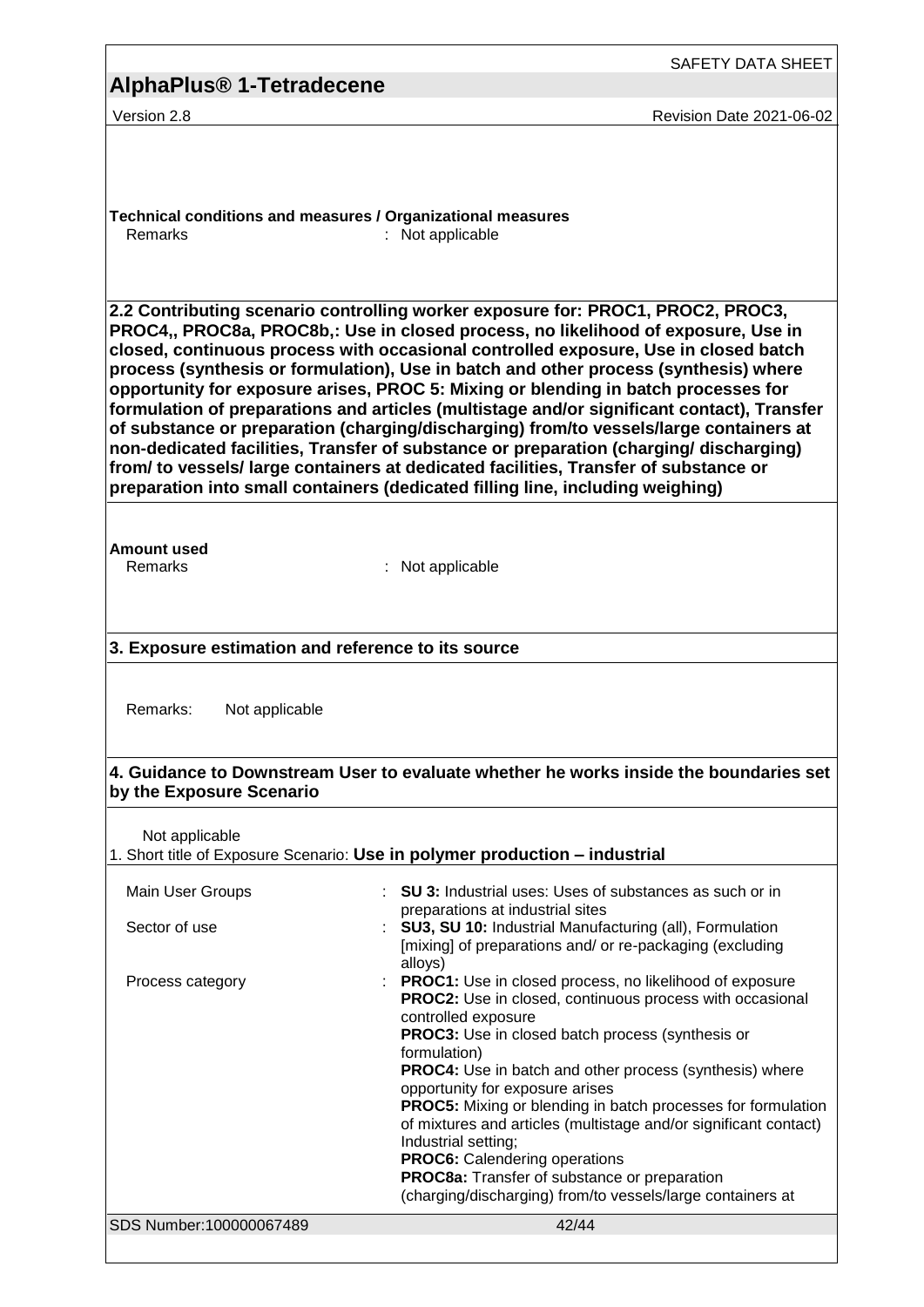|                                                                                                                                                                                                                                                                                                                                                                                                                                                                                                                                                                                                                                                                                                                                                                                                                                                                                                       | SAFETY DATA SHEET                                                                                                                                                                                                                                                                                                                                                                                                                                                                                                                                                                                                                                         |  |  |  |
|-------------------------------------------------------------------------------------------------------------------------------------------------------------------------------------------------------------------------------------------------------------------------------------------------------------------------------------------------------------------------------------------------------------------------------------------------------------------------------------------------------------------------------------------------------------------------------------------------------------------------------------------------------------------------------------------------------------------------------------------------------------------------------------------------------------------------------------------------------------------------------------------------------|-----------------------------------------------------------------------------------------------------------------------------------------------------------------------------------------------------------------------------------------------------------------------------------------------------------------------------------------------------------------------------------------------------------------------------------------------------------------------------------------------------------------------------------------------------------------------------------------------------------------------------------------------------------|--|--|--|
| <b>AlphaPlus<sup>®</sup> 1-Tetradecene</b>                                                                                                                                                                                                                                                                                                                                                                                                                                                                                                                                                                                                                                                                                                                                                                                                                                                            |                                                                                                                                                                                                                                                                                                                                                                                                                                                                                                                                                                                                                                                           |  |  |  |
| Version 2.8                                                                                                                                                                                                                                                                                                                                                                                                                                                                                                                                                                                                                                                                                                                                                                                                                                                                                           | Revision Date 2021-06-02                                                                                                                                                                                                                                                                                                                                                                                                                                                                                                                                                                                                                                  |  |  |  |
| Technical conditions and measures / Organizational measures<br>Remarks                                                                                                                                                                                                                                                                                                                                                                                                                                                                                                                                                                                                                                                                                                                                                                                                                                | : Not applicable                                                                                                                                                                                                                                                                                                                                                                                                                                                                                                                                                                                                                                          |  |  |  |
| 2.2 Contributing scenario controlling worker exposure for: PROC1, PROC2, PROC3,<br>PROC4,, PROC8a, PROC8b,: Use in closed process, no likelihood of exposure, Use in<br>closed, continuous process with occasional controlled exposure, Use in closed batch<br>process (synthesis or formulation), Use in batch and other process (synthesis) where<br>opportunity for exposure arises, PROC 5: Mixing or blending in batch processes for<br>formulation of preparations and articles (multistage and/or significant contact), Transfer<br>of substance or preparation (charging/discharging) from/to vessels/large containers at<br>non-dedicated facilities, Transfer of substance or preparation (charging/ discharging)<br>from/ to vessels/ large containers at dedicated facilities, Transfer of substance or<br>preparation into small containers (dedicated filling line, including weighing) |                                                                                                                                                                                                                                                                                                                                                                                                                                                                                                                                                                                                                                                           |  |  |  |
| Amount used<br>Remarks                                                                                                                                                                                                                                                                                                                                                                                                                                                                                                                                                                                                                                                                                                                                                                                                                                                                                | : Not applicable                                                                                                                                                                                                                                                                                                                                                                                                                                                                                                                                                                                                                                          |  |  |  |
| 3. Exposure estimation and reference to its source                                                                                                                                                                                                                                                                                                                                                                                                                                                                                                                                                                                                                                                                                                                                                                                                                                                    |                                                                                                                                                                                                                                                                                                                                                                                                                                                                                                                                                                                                                                                           |  |  |  |
| Remarks:<br>Not applicable                                                                                                                                                                                                                                                                                                                                                                                                                                                                                                                                                                                                                                                                                                                                                                                                                                                                            |                                                                                                                                                                                                                                                                                                                                                                                                                                                                                                                                                                                                                                                           |  |  |  |
| 4. Guidance to Downstream User to evaluate whether he works inside the boundaries set<br>by the Exposure Scenario                                                                                                                                                                                                                                                                                                                                                                                                                                                                                                                                                                                                                                                                                                                                                                                     |                                                                                                                                                                                                                                                                                                                                                                                                                                                                                                                                                                                                                                                           |  |  |  |
| Not applicable<br>1. Short title of Exposure Scenario: Use in polymer production - industrial                                                                                                                                                                                                                                                                                                                                                                                                                                                                                                                                                                                                                                                                                                                                                                                                         |                                                                                                                                                                                                                                                                                                                                                                                                                                                                                                                                                                                                                                                           |  |  |  |
| Main User Groups                                                                                                                                                                                                                                                                                                                                                                                                                                                                                                                                                                                                                                                                                                                                                                                                                                                                                      | <b>SU 3:</b> Industrial uses: Uses of substances as such or in                                                                                                                                                                                                                                                                                                                                                                                                                                                                                                                                                                                            |  |  |  |
| Sector of use                                                                                                                                                                                                                                                                                                                                                                                                                                                                                                                                                                                                                                                                                                                                                                                                                                                                                         | preparations at industrial sites<br>SU3, SU 10: Industrial Manufacturing (all), Formulation<br>[mixing] of preparations and/ or re-packaging (excluding<br>alloys)                                                                                                                                                                                                                                                                                                                                                                                                                                                                                        |  |  |  |
| Process category                                                                                                                                                                                                                                                                                                                                                                                                                                                                                                                                                                                                                                                                                                                                                                                                                                                                                      | <b>PROC1:</b> Use in closed process, no likelihood of exposure<br><b>PROC2:</b> Use in closed, continuous process with occasional<br>controlled exposure<br><b>PROC3:</b> Use in closed batch process (synthesis or<br>formulation)<br>PROC4: Use in batch and other process (synthesis) where<br>opportunity for exposure arises<br><b>PROC5:</b> Mixing or blending in batch processes for formulation<br>of mixtures and articles (multistage and/or significant contact)<br>Industrial setting;<br><b>PROC6:</b> Calendering operations<br>PROC8a: Transfer of substance or preparation<br>(charging/discharging) from/to vessels/large containers at |  |  |  |
| SDS Number:100000067489                                                                                                                                                                                                                                                                                                                                                                                                                                                                                                                                                                                                                                                                                                                                                                                                                                                                               | 42/44                                                                                                                                                                                                                                                                                                                                                                                                                                                                                                                                                                                                                                                     |  |  |  |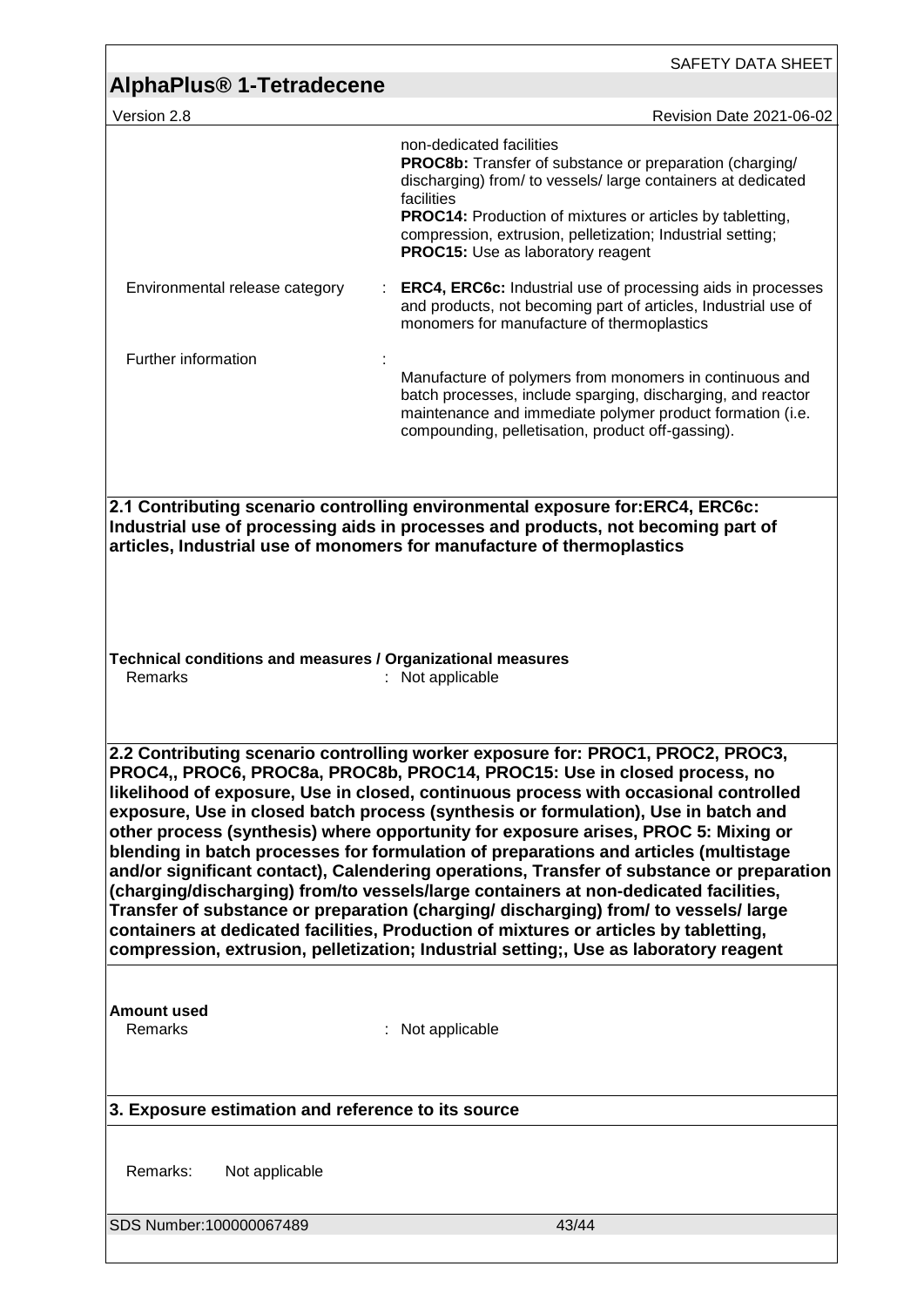| <b>AlphaPlus<sup>®</sup> 1-Tetradecene</b>                                                                                                                                                                                                                                                                                                                                                                                                                                                                                                                                                                                                                                                                                                                                                                                                                                                                                                                                                                                                | SAFETY DATA SHEET                                                                                                                                                                                                                                                                                                                                      |  |  |
|-------------------------------------------------------------------------------------------------------------------------------------------------------------------------------------------------------------------------------------------------------------------------------------------------------------------------------------------------------------------------------------------------------------------------------------------------------------------------------------------------------------------------------------------------------------------------------------------------------------------------------------------------------------------------------------------------------------------------------------------------------------------------------------------------------------------------------------------------------------------------------------------------------------------------------------------------------------------------------------------------------------------------------------------|--------------------------------------------------------------------------------------------------------------------------------------------------------------------------------------------------------------------------------------------------------------------------------------------------------------------------------------------------------|--|--|
| Version 2.8                                                                                                                                                                                                                                                                                                                                                                                                                                                                                                                                                                                                                                                                                                                                                                                                                                                                                                                                                                                                                               | Revision Date 2021-06-02                                                                                                                                                                                                                                                                                                                               |  |  |
|                                                                                                                                                                                                                                                                                                                                                                                                                                                                                                                                                                                                                                                                                                                                                                                                                                                                                                                                                                                                                                           | non-dedicated facilities<br><b>PROC8b:</b> Transfer of substance or preparation (charging/<br>discharging) from/ to vessels/ large containers at dedicated<br>facilities<br><b>PROC14:</b> Production of mixtures or articles by tabletting,<br>compression, extrusion, pelletization; Industrial setting;<br><b>PROC15:</b> Use as laboratory reagent |  |  |
| Environmental release category                                                                                                                                                                                                                                                                                                                                                                                                                                                                                                                                                                                                                                                                                                                                                                                                                                                                                                                                                                                                            | <b>ERC4, ERC6c:</b> Industrial use of processing aids in processes<br>and products, not becoming part of articles, Industrial use of<br>monomers for manufacture of thermoplastics                                                                                                                                                                     |  |  |
| Further information                                                                                                                                                                                                                                                                                                                                                                                                                                                                                                                                                                                                                                                                                                                                                                                                                                                                                                                                                                                                                       | Manufacture of polymers from monomers in continuous and<br>batch processes, include sparging, discharging, and reactor<br>maintenance and immediate polymer product formation (i.e.<br>compounding, pelletisation, product off-gassing).                                                                                                               |  |  |
| 2.1 Contributing scenario controlling environmental exposure for:ERC4, ERC6c:<br>Industrial use of processing aids in processes and products, not becoming part of<br>articles, Industrial use of monomers for manufacture of thermoplastics<br>Technical conditions and measures / Organizational measures<br>Remarks<br>: Not applicable                                                                                                                                                                                                                                                                                                                                                                                                                                                                                                                                                                                                                                                                                                |                                                                                                                                                                                                                                                                                                                                                        |  |  |
| 2.2 Contributing scenario controlling worker exposure for: PROC1, PROC2, PROC3,<br>PROC4,, PROC6, PROC8a, PROC8b, PROC14, PROC15: Use in closed process, no<br>likelihood of exposure, Use in closed, continuous process with occasional controlled<br>exposure, Use in closed batch process (synthesis or formulation), Use in batch and<br>other process (synthesis) where opportunity for exposure arises, PROC 5: Mixing or<br>blending in batch processes for formulation of preparations and articles (multistage<br>and/or significant contact), Calendering operations, Transfer of substance or preparation<br>(charging/discharging) from/to vessels/large containers at non-dedicated facilities,<br>Transfer of substance or preparation (charging/ discharging) from/ to vessels/ large<br>containers at dedicated facilities, Production of mixtures or articles by tabletting,<br>compression, extrusion, pelletization; Industrial setting;, Use as laboratory reagent<br><b>Amount used</b><br>Remarks<br>Not applicable |                                                                                                                                                                                                                                                                                                                                                        |  |  |
| 3. Exposure estimation and reference to its source                                                                                                                                                                                                                                                                                                                                                                                                                                                                                                                                                                                                                                                                                                                                                                                                                                                                                                                                                                                        |                                                                                                                                                                                                                                                                                                                                                        |  |  |
| Remarks:<br>Not applicable                                                                                                                                                                                                                                                                                                                                                                                                                                                                                                                                                                                                                                                                                                                                                                                                                                                                                                                                                                                                                |                                                                                                                                                                                                                                                                                                                                                        |  |  |
| SDS Number:100000067489                                                                                                                                                                                                                                                                                                                                                                                                                                                                                                                                                                                                                                                                                                                                                                                                                                                                                                                                                                                                                   | 43/44                                                                                                                                                                                                                                                                                                                                                  |  |  |